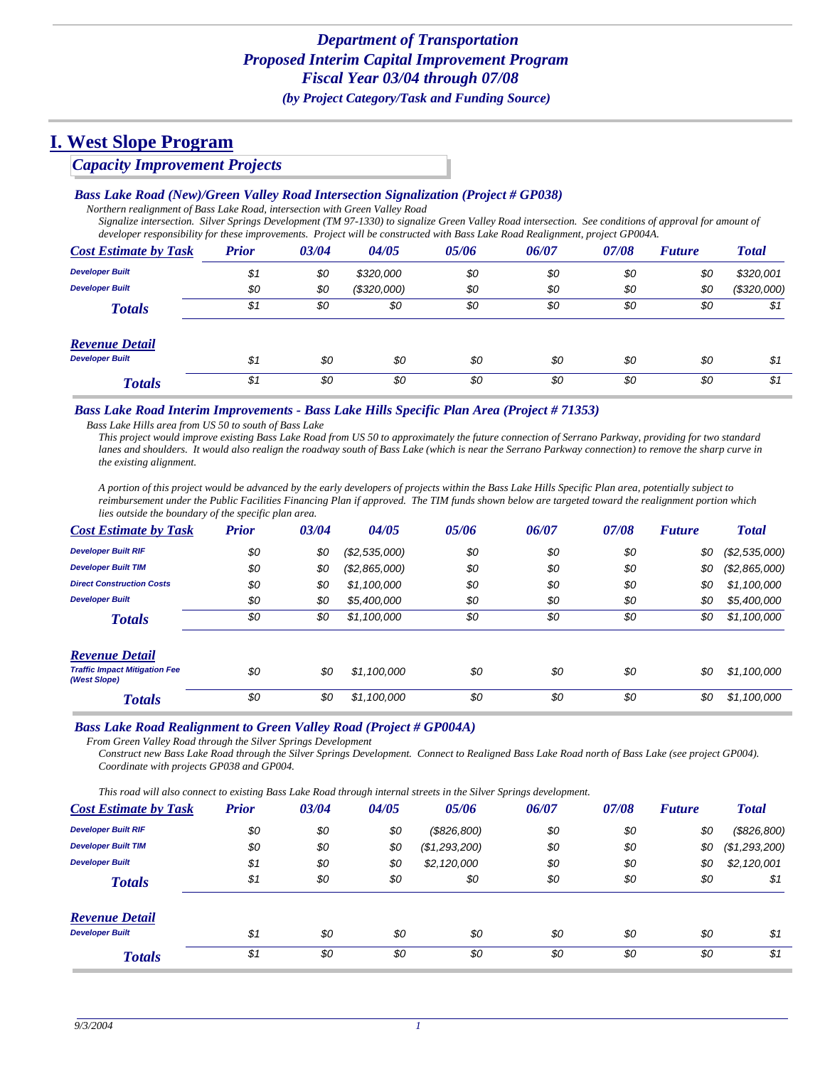### *Capacity Improvement Projects*

#### *Bass Lake Road (New)/Green Valley Road Intersection Signalization (Project # GP038)*

*Northern realignment of Bass Lake Road, intersection with Green Valley Road*

*Signalize intersection. Silver Springs Development (TM 97-1330) to signalize Green Valley Road intersection. See conditions of approval for amount of developer responsibility for these improvements. Project will be constructed with Bass Lake Road Realignment, project GP004A.*

| <b>Cost Estimate by Task</b> | <b>Prior</b> | 03/04 | 04/05       | 05/06 | 06/07 | 07/08 | <b>Future</b> | <b>Total</b> |
|------------------------------|--------------|-------|-------------|-------|-------|-------|---------------|--------------|
| <b>Developer Built</b>       | \$1          | \$0   | \$320,000   | \$0   | \$0   | \$0   | \$0           | \$320,001    |
| <b>Developer Built</b>       | \$0          | \$0   | (\$320,000) | \$0   | \$0   | \$0   | \$0           | (\$320,000)  |
| <b>Totals</b>                | \$1          | \$0   | \$0         | \$0   | \$0   | \$0   | \$0           | \$1          |
| <b>Revenue Detail</b>        |              |       |             |       |       |       |               |              |
| <b>Developer Built</b>       | \$1          | \$0   | \$0         | \$0   | \$0   | \$0   | \$0           | \$1          |
| <b>Totals</b>                | \$1          | \$0   | \$0         | \$0   | \$0   | \$0   | \$0           | \$1          |

#### *Bass Lake Road Interim Improvements - Bass Lake Hills Specific Plan Area (Project # 71353)*

*Bass Lake Hills area from US 50 to south of Bass Lake*

*This project would improve existing Bass Lake Road from US 50 to approximately the future connection of Serrano Parkway, providing for two standard lanes and shoulders. It would also realign the roadway south of Bass Lake (which is near the Serrano Parkway connection) to remove the sharp curve in the existing alignment.* 

*A portion of this project would be advanced by the early developers of projects within the Bass Lake Hills Specific Plan area, potentially subject to reimbursement under the Public Facilities Financing Plan if approved. The TIM funds shown below are targeted toward the realignment portion which lies outside the boundary of the specific plan area.*

| <b>Cost Estimate by Task</b>                         | <b>Prior</b> | 03/04 | 04/05         | 05/06 | 06/07 | 07/08 | <b>Future</b> | <b>Total</b>  |
|------------------------------------------------------|--------------|-------|---------------|-------|-------|-------|---------------|---------------|
| <b>Developer Built RIF</b>                           | \$0          | \$0   | (\$2,535,000) | \$0   | \$0   | \$0   | \$0           | (\$2,535,000) |
| <b>Developer Built TIM</b>                           | \$0          | \$0   | (\$2,865,000) | \$0   | \$0   | \$0   | \$0           | (\$2,865,000) |
| <b>Direct Construction Costs</b>                     | \$0          | \$0   | \$1,100,000   | \$0   | \$0   | \$0   | \$0           | \$1,100,000   |
| <b>Developer Built</b>                               | \$0          | \$0   | \$5,400,000   | \$0   | \$0   | \$0   | \$0           | \$5,400,000   |
| <b>Totals</b>                                        | \$0          | \$0   | \$1,100,000   | \$0   | \$0   | \$0   | \$0           | \$1,100,000   |
| <b>Revenue Detail</b>                                |              |       |               |       |       |       |               |               |
| <b>Traffic Impact Mitigation Fee</b><br>(West Slope) | \$0          | \$0   | \$1,100,000   | \$0   | \$0   | \$0   | \$0           | \$1,100,000   |
| <b>Totals</b>                                        | \$0          | \$0   | \$1,100,000   | \$0   | \$0   | \$0   | \$0           | \$1,100,000   |

#### *Bass Lake Road Realignment to Green Valley Road (Project # GP004A)*

*From Green Valley Road through the Silver Springs Development*

*Construct new Bass Lake Road through the Silver Springs Development. Connect to Realigned Bass Lake Road north of Bass Lake (see project GP004). Coordinate with projects GP038 and GP004.*

*This road will also connect to existing Bass Lake Road through internal streets in the Silver Springs development.*

| <b>Cost Estimate by Task</b> | <b>Prior</b> | 03/04 | 04/05 | 05/06         | 06/07 | 07/08 | <b>Future</b> | <b>Total</b>  |
|------------------------------|--------------|-------|-------|---------------|-------|-------|---------------|---------------|
| <b>Developer Built RIF</b>   | \$0          | \$0   | \$0   | (\$826,800)   | \$0   | \$0   | \$0           | (\$826,800)   |
| <b>Developer Built TIM</b>   | \$0          | \$0   | \$0   | (\$1,293,200) | \$0   | \$0   | \$0           | (\$1,293,200) |
| <b>Developer Built</b>       | \$1          | \$0   | \$0   | \$2,120,000   | \$0   | \$0   | \$0           | \$2,120,001   |
| <b>Totals</b>                | \$1          | \$0   | \$0   | \$0           | \$0   | \$0   | \$0           | \$1           |
| <b>Revenue Detail</b>        |              |       |       |               |       |       |               |               |
| <b>Developer Built</b>       | \$1          | \$0   | \$0   | \$0           | \$0   | \$0   | \$0           | \$1           |
| <b>Totals</b>                | \$1          | \$0   | \$0   | \$0           | \$0   | \$0   | \$0           | \$1           |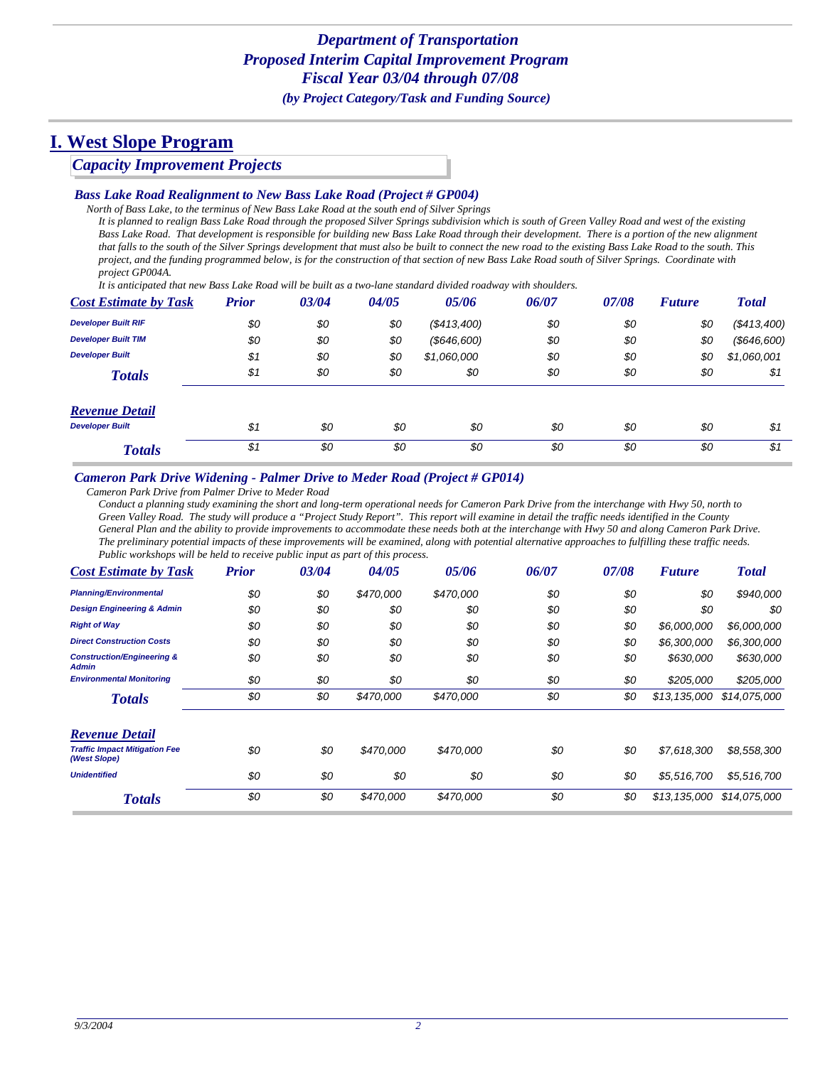### *Capacity Improvement Projects*

#### *Bass Lake Road Realignment to New Bass Lake Road (Project # GP004)*

*North of Bass Lake, to the terminus of New Bass Lake Road at the south end of Silver Springs It is planned to realign Bass Lake Road through the proposed Silver Springs subdivision which is south of Green Valley Road and west of the existing* 

Bass Lake Road. That development is responsible for building new Bass Lake Road through their development. There is a portion of the new alignment *that falls to the south of the Silver Springs development that must also be built to connect the new road to the existing Bass Lake Road to the south. This project, and the funding programmed below, is for the construction of that section of new Bass Lake Road south of Silver Springs. Coordinate with project GP004A.*

*It is anticipated that new Bass Lake Road will be built as a two-lane standard divided roadway with shoulders.*

| <b>Cost Estimate by Task</b> | <b>Prior</b> | 03/04 | 04/05 | 05/06          | 06/07 | 07/08 | <b>Future</b> | <b>Total</b>      |
|------------------------------|--------------|-------|-------|----------------|-------|-------|---------------|-------------------|
| <b>Developer Built RIF</b>   | \$0          | \$0   | \$0   | (\$413,400)    | \$0   | \$0   | \$0           | (\$413,400)       |
| <b>Developer Built TIM</b>   | \$0          | \$0   | \$0   | $($ \$646,600) | \$0   | \$0   | \$0           | $($ \$646,600 $)$ |
| <b>Developer Built</b>       | \$1          | \$0   | \$0   | \$1,060,000    | \$0   | \$0   | \$0           | \$1,060,001       |
| <b>Totals</b>                | \$1          | \$0   | \$0   | \$0            | \$0   | \$0   | \$0           | \$1               |
| <b>Revenue Detail</b>        |              |       |       |                |       |       |               |                   |
| <b>Developer Built</b>       | \$1          | \$0   | \$0   | \$0            | \$0   | \$0   | \$0           | \$1               |
| <b>Totals</b>                | \$1          | \$0   | \$0   | \$0            | \$0   | \$0   | \$0           | \$1               |

#### *Cameron Park Drive Widening - Palmer Drive to Meder Road (Project # GP014)*

*Cameron Park Drive from Palmer Drive to Meder Road*

*Conduct a planning study examining the short and long-term operational needs for Cameron Park Drive from the interchange with Hwy 50, north to Green Valley Road. The study will produce a "Project Study Report". This report will examine in detail the traffic needs identified in the County General Plan and the ability to provide improvements to accommodate these needs both at the interchange with Hwy 50 and along Cameron Park Drive. The preliminary potential impacts of these improvements will be examined, along with potential alternative approaches to fulfilling these traffic needs. Public workshops will be held to receive public input as part of this process.*

| <b>Cost Estimate by Task</b>                          | <b>Prior</b> | 03/04 | 04/05     | 05/06     | 06/07 | 07/08 | <b>Future</b> | <b>Total</b> |
|-------------------------------------------------------|--------------|-------|-----------|-----------|-------|-------|---------------|--------------|
| <b>Planning/Environmental</b>                         | \$0          | \$0   | \$470,000 | \$470,000 | \$0   | \$0   | \$0           | \$940,000    |
| <b>Design Engineering &amp; Admin</b>                 | \$0          | \$0   | \$0       | \$0       | \$0   | \$0   | \$0           | \$0          |
| <b>Right of Way</b>                                   | \$0          | \$0   | \$0       | \$0       | \$0   | \$0   | \$6,000,000   | \$6,000,000  |
| <b>Direct Construction Costs</b>                      | \$0          | \$0   | \$0       | \$0       | \$0   | \$0   | \$6,300,000   | \$6,300,000  |
| <b>Construction/Engineering &amp;</b><br><b>Admin</b> | \$0          | \$0   | \$0       | \$0       | \$0   | \$0   | \$630,000     | \$630,000    |
| <b>Environmental Monitoring</b>                       | \$0          | \$0   | \$0       | \$0       | \$0   | \$0   | \$205,000     | \$205,000    |
| <b>Totals</b>                                         | \$0          | \$0   | \$470,000 | \$470,000 | \$0   | \$0   | \$13,135,000  | \$14,075,000 |
| <b>Revenue Detail</b>                                 |              |       |           |           |       |       |               |              |
| <b>Traffic Impact Mitigation Fee</b><br>(West Slope)  | \$0          | \$0   | \$470,000 | \$470.000 | \$0   | \$0   | \$7,618,300   | \$8,558,300  |
| <b>Unidentified</b>                                   | \$0          | \$0   | \$0       | \$0       | \$0   | \$0   | \$5,516,700   | \$5,516,700  |
| <b>Totals</b>                                         | \$0          | \$0   | \$470,000 | \$470,000 | \$0   | \$0   | \$13,135,000  | \$14,075,000 |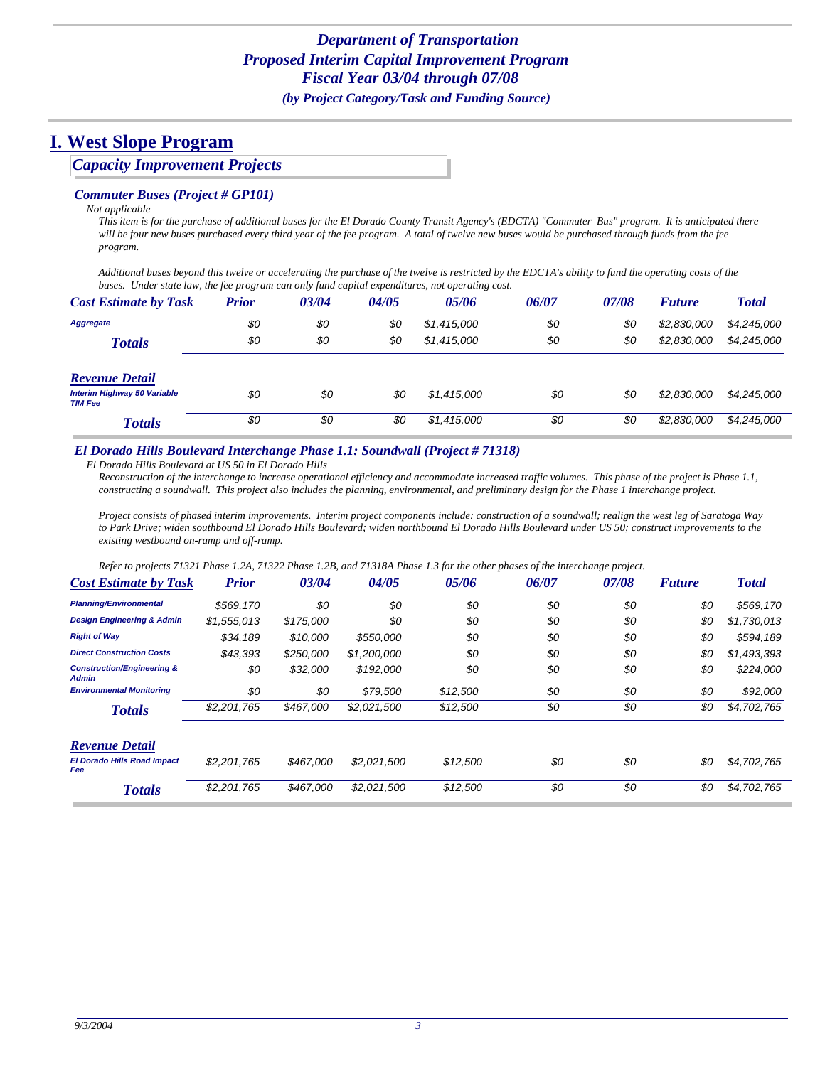### *Capacity Improvement Projects*

#### *Commuter Buses (Project # GP101)*

#### *Not applicable*

*This item is for the purchase of additional buses for the El Dorado County Transit Agency's (EDCTA) "Commuter Bus" program. It is anticipated there will be four new buses purchased every third year of the fee program. A total of twelve new buses would be purchased through funds from the fee program.*

*Additional buses beyond this twelve or accelerating the purchase of the twelve is restricted by the EDCTA's ability to fund the operating costs of the buses. Under state law, the fee program can only fund capital expenditures, not operating cost.*

| <b>Cost Estimate by Task</b>                         | Prior | 03/04 | 04/05 | 05/06       | 06/07 | 07/08 | <b>Future</b> | <b>Total</b> |
|------------------------------------------------------|-------|-------|-------|-------------|-------|-------|---------------|--------------|
| Aggregate                                            | \$0   | \$0   | \$0   | \$1,415,000 | \$0   | \$0   | \$2,830,000   | \$4,245,000  |
| <b>Totals</b>                                        | \$0   | \$0   | \$0   | \$1,415,000 | \$0   | \$0   | \$2,830,000   | \$4,245,000  |
| <b>Revenue Detail</b>                                |       |       |       |             |       |       |               |              |
| <b>Interim Highway 50 Variable</b><br><b>TIM Fee</b> | \$0   | \$0   | \$0   | \$1,415,000 | \$0   | \$0   | \$2,830,000   | \$4,245,000  |
| <b>Totals</b>                                        | \$0   | \$0   | \$0   | \$1,415,000 | \$0   | \$0   | \$2,830,000   | \$4,245,000  |

#### *El Dorado Hills Boulevard Interchange Phase 1.1: Soundwall (Project # 71318)*

*El Dorado Hills Boulevard at US 50 in El Dorado Hills*

*Reconstruction of the interchange to increase operational efficiency and accommodate increased traffic volumes. This phase of the project is Phase 1.1, constructing a soundwall. This project also includes the planning, environmental, and preliminary design for the Phase 1 interchange project.*

*Project consists of phased interim improvements. Interim project components include: construction of a soundwall; realign the west leg of Saratoga Way to Park Drive; widen southbound El Dorado Hills Boulevard; widen northbound El Dorado Hills Boulevard under US 50; construct improvements to the existing westbound on-ramp and off-ramp.*

*Refer to projects 71321 Phase 1.2A, 71322 Phase 1.2B, and 71318A Phase 1.3 for the other phases of the interchange project.*

| <b>Cost Estimate by Task</b>                          | <b>Prior</b> | 03/04     | 04/05       | 05/06    | 06/07 | 07/08 | <b>Future</b> | <b>Total</b> |
|-------------------------------------------------------|--------------|-----------|-------------|----------|-------|-------|---------------|--------------|
| <b>Planning/Environmental</b>                         | \$569.170    | \$0       | \$0         | \$0      | \$0   | \$0   | \$0           | \$569,170    |
| <b>Design Engineering &amp; Admin</b>                 | \$1,555,013  | \$175,000 | \$0         | \$0      | \$0   | \$0   | \$0           | \$1,730,013  |
| <b>Right of Way</b>                                   | \$34,189     | \$10.000  | \$550,000   | \$0      | \$0   | \$0   | \$0           | \$594,189    |
| <b>Direct Construction Costs</b>                      | \$43,393     | \$250,000 | \$1,200,000 | \$0      | \$0   | \$0   | \$0           | \$1,493,393  |
| <b>Construction/Engineering &amp;</b><br><b>Admin</b> | \$0          | \$32,000  | \$192,000   | \$0      | \$0   | \$0   | \$0           | \$224,000    |
| <b>Environmental Monitoring</b>                       | \$0          | \$0       | \$79.500    | \$12,500 | \$0   | \$0   | \$0           | \$92,000     |
| <b>Totals</b>                                         | \$2,201,765  | \$467,000 | \$2,021,500 | \$12,500 | \$0   | \$0   | \$0           | \$4,702,765  |
| <b>Revenue Detail</b>                                 |              |           |             |          |       |       |               |              |
| <b>El Dorado Hills Road Impact</b><br><b>Fee</b>      | \$2.201.765  | \$467,000 | \$2.021.500 | \$12,500 | \$0   | \$0   | \$0           | \$4,702,765  |
| <b>Totals</b>                                         | \$2,201,765  | \$467,000 | \$2,021,500 | \$12,500 | \$0   | \$0   | \$0           | \$4,702,765  |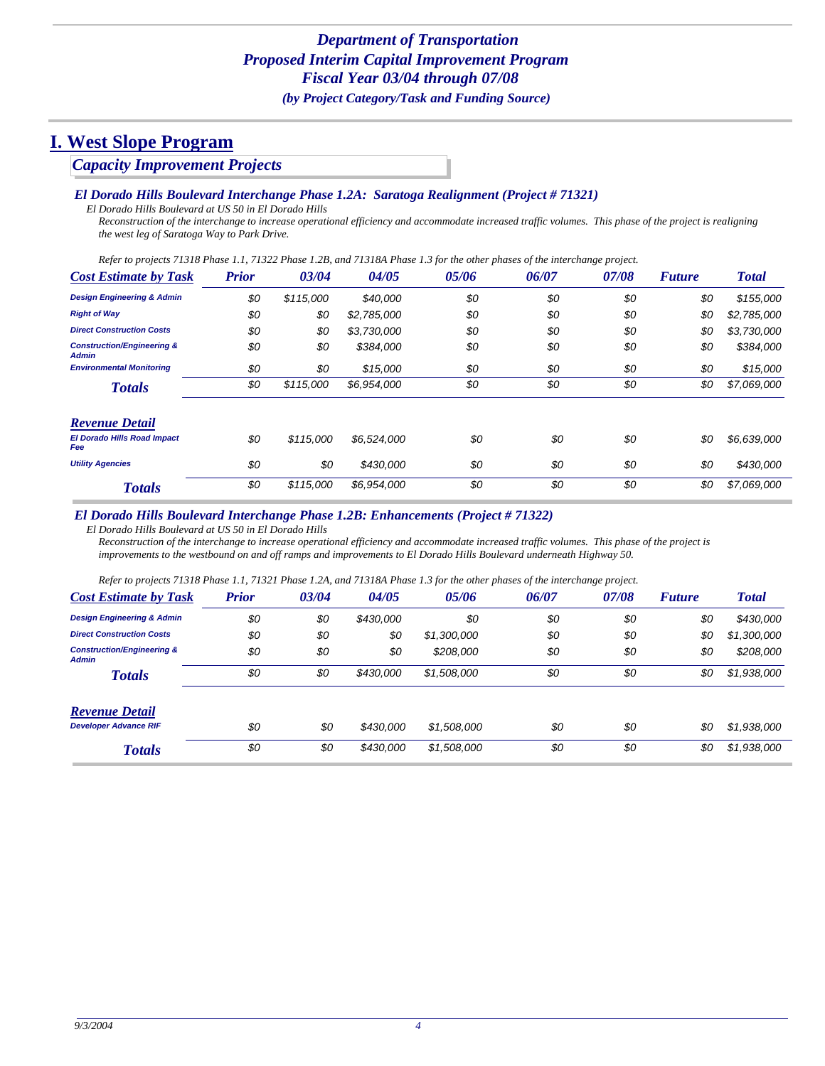### *Capacity Improvement Projects*

#### *El Dorado Hills Boulevard Interchange Phase 1.2A: Saratoga Realignment (Project # 71321)*

*El Dorado Hills Boulevard at US 50 in El Dorado Hills*

*Reconstruction of the interchange to increase operational efficiency and accommodate increased traffic volumes. This phase of the project is realigning the west leg of Saratoga Way to Park Drive.*

*Refer to projects 71318 Phase 1.1, 71322 Phase 1.2B, and 71318A Phase 1.3 for the other phases of the interchange project.*

| <b>Cost Estimate by Task</b>                          | <b>Prior</b> | 03/04     | 04/05       | 05/06 | 06/07 | 07/08 | <b>Future</b> | <b>Total</b> |
|-------------------------------------------------------|--------------|-----------|-------------|-------|-------|-------|---------------|--------------|
| <b>Design Engineering &amp; Admin</b>                 | \$0          | \$115,000 | \$40,000    | \$0   | \$0   | \$0   | \$0           | \$155,000    |
| <b>Right of Way</b>                                   | \$0          | \$0       | \$2,785,000 | \$0   | \$0   | \$0   | \$0           | \$2,785,000  |
| <b>Direct Construction Costs</b>                      | \$0          | \$0       | \$3,730,000 | \$0   | \$0   | \$0   | \$0           | \$3,730,000  |
| <b>Construction/Engineering &amp;</b><br><b>Admin</b> | \$0          | \$0       | \$384,000   | \$0   | \$0   | \$0   | \$0           | \$384,000    |
| <b>Environmental Monitoring</b>                       | \$0          | \$0       | \$15,000    | \$0   | \$0   | \$0   | \$0           | \$15,000     |
| <b>Totals</b>                                         | \$0          | \$115,000 | \$6.954.000 | \$0   | \$0   | \$0   | \$0           | \$7,069,000  |
| <b>Revenue Detail</b>                                 |              |           |             |       |       |       |               |              |
| <b>El Dorado Hills Road Impact</b><br>Fee             | \$0          | \$115,000 | \$6,524,000 | \$0   | \$0   | \$0   | \$0           | \$6,639,000  |
| <b>Utility Agencies</b>                               | \$0          | \$0       | \$430,000   | \$0   | \$0   | \$0   | \$0           | \$430,000    |
| <b>Totals</b>                                         | \$0          | \$115,000 | \$6,954,000 | \$0   | \$0   | \$0   | \$0           | \$7,069,000  |

#### *El Dorado Hills Boulevard Interchange Phase 1.2B: Enhancements (Project # 71322)*

*El Dorado Hills Boulevard at US 50 in El Dorado Hills*

*Reconstruction of the interchange to increase operational efficiency and accommodate increased traffic volumes. This phase of the project is improvements to the westbound on and off ramps and improvements to El Dorado Hills Boulevard underneath Highway 50.* 

*Refer to projects 71318 Phase 1.1, 71321 Phase 1.2A, and 71318A Phase 1.3 for the other phases of the interchange project.*

| <b>Cost Estimate by Task</b>                          | <b>Prior</b> | 03/04 | 04/05     | 05/06       | 06/07 | 07/08 | <b>Future</b> | <b>Total</b> |
|-------------------------------------------------------|--------------|-------|-----------|-------------|-------|-------|---------------|--------------|
| <b>Design Engineering &amp; Admin</b>                 | \$0          | \$0   | \$430,000 | \$0         | \$0   | \$0   | \$0           | \$430,000    |
| <b>Direct Construction Costs</b>                      | \$0          | \$0   | \$0       | \$1,300,000 | \$0   | \$0   | \$0           | \$1,300,000  |
| <b>Construction/Engineering &amp;</b><br><b>Admin</b> | \$0          | \$0   | \$0       | \$208,000   | \$0   | \$0   | \$0           | \$208,000    |
| <b>Totals</b>                                         | \$0          | \$0   | \$430,000 | \$1,508,000 | \$0   | \$0   | \$0           | \$1,938,000  |
| <b>Revenue Detail</b>                                 |              |       |           |             |       |       |               |              |
| <b>Developer Advance RIF</b>                          | \$0          | \$0   | \$430,000 | \$1,508,000 | \$0   | \$0   | \$0           | \$1,938,000  |
| <b>Totals</b>                                         | \$0          | \$0   | \$430,000 | \$1,508,000 | \$0   | \$0   | \$0           | \$1,938,000  |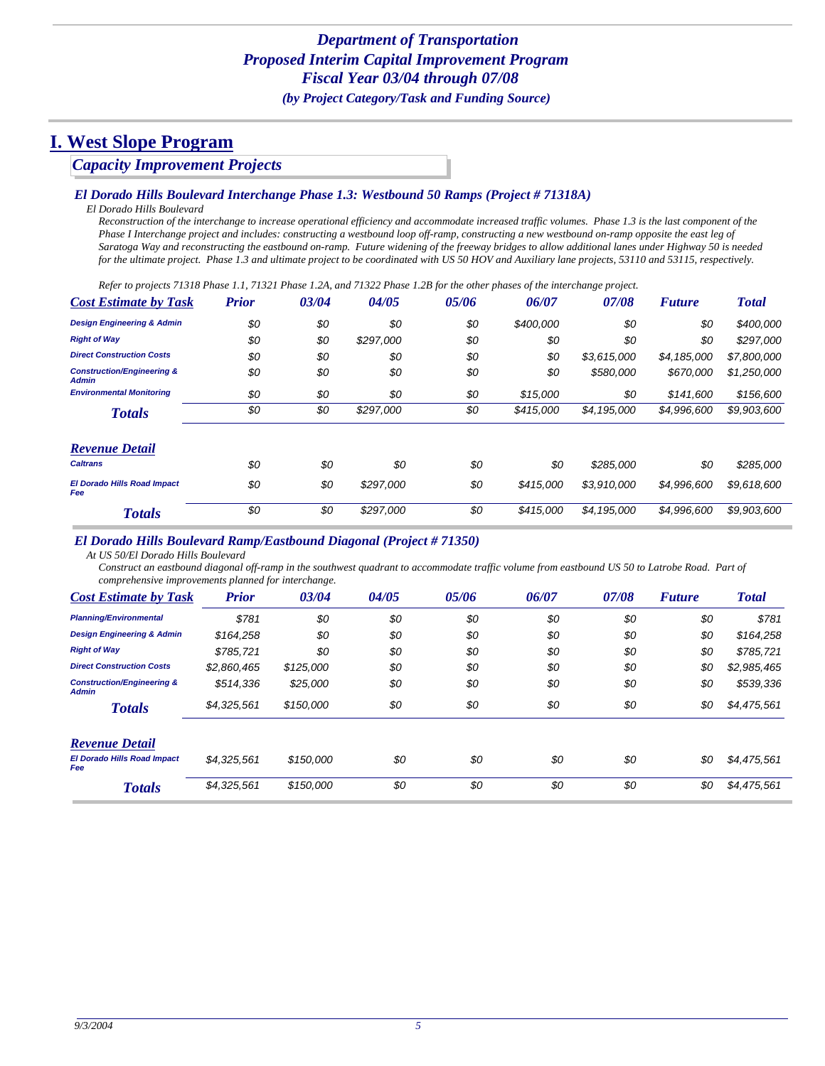### *Capacity Improvement Projects*

#### *El Dorado Hills Boulevard Interchange Phase 1.3: Westbound 50 Ramps (Project # 71318A)*

*El Dorado Hills Boulevard*

*Reconstruction of the interchange to increase operational efficiency and accommodate increased traffic volumes. Phase 1.3 is the last component of the Phase I Interchange project and includes: constructing a westbound loop off-ramp, constructing a new westbound on-ramp opposite the east leg of Saratoga Way and reconstructing the eastbound on-ramp. Future widening of the freeway bridges to allow additional lanes under Highway 50 is needed for the ultimate project. Phase 1.3 and ultimate project to be coordinated with US 50 HOV and Auxiliary lane projects, 53110 and 53115, respectively.*

*Refer to projects 71318 Phase 1.1, 71321 Phase 1.2A, and 71322 Phase 1.2B for the other phases of the interchange project.*

| <b>Cost Estimate by Task</b>                          | <b>Prior</b> | 03/04 | 04/05     | 05/06 | 06/07     | 07/08       | <b>Future</b> | <b>Total</b> |
|-------------------------------------------------------|--------------|-------|-----------|-------|-----------|-------------|---------------|--------------|
| <b>Design Engineering &amp; Admin</b>                 | \$0          | \$0   | \$0       | \$0   | \$400,000 | \$0         | \$0           | \$400,000    |
| <b>Right of Way</b>                                   | \$0          | \$0   | \$297,000 | \$0   | \$0       | \$0         | \$0           | \$297,000    |
| <b>Direct Construction Costs</b>                      | \$0          | \$0   | \$0       | \$0   | \$0       | \$3,615,000 | \$4,185,000   | \$7,800,000  |
| <b>Construction/Engineering &amp;</b><br><b>Admin</b> | \$0          | \$0   | \$0       | \$0   | \$0       | \$580,000   | \$670,000     | \$1,250,000  |
| <b>Environmental Monitoring</b>                       | \$0          | \$0   | \$0       | \$0   | \$15,000  | \$0         | \$141.600     | \$156,600    |
| <b>Totals</b>                                         | \$0          | \$0   | \$297,000 | \$0   | \$415,000 | \$4,195,000 | \$4,996,600   | \$9,903,600  |
| <b>Revenue Detail</b>                                 |              |       |           |       |           |             |               |              |
| <b>Caltrans</b>                                       | \$0          | \$0   | \$0       | \$0   | \$0       | \$285,000   | \$0           | \$285,000    |
| <b>El Dorado Hills Road Impact</b><br>Fee             | \$0          | \$0   | \$297.000 | \$0   | \$415,000 | \$3.910.000 | \$4,996,600   | \$9,618,600  |
| <b>Totals</b>                                         | \$0          | \$0   | \$297,000 | \$0   | \$415,000 | \$4,195,000 | \$4,996,600   | \$9,903,600  |

#### *El Dorado Hills Boulevard Ramp/Eastbound Diagonal (Project # 71350)*

*At US 50/El Dorado Hills Boulevard*

*Construct an eastbound diagonal off-ramp in the southwest quadrant to accommodate traffic volume from eastbound US 50 to Latrobe Road. Part of comprehensive improvements planned for interchange.*

| <b>Cost Estimate by Task</b>                          | <b>Prior</b> | 03/04     | 04/05 | 05/06 | 06/07 | 07/08 | <b>Future</b> | <b>Total</b> |
|-------------------------------------------------------|--------------|-----------|-------|-------|-------|-------|---------------|--------------|
| <b>Planning/Environmental</b>                         | \$781        | \$0       | \$0   | \$0   | \$0   | \$0   | \$0           | \$781        |
| <b>Design Engineering &amp; Admin</b>                 | \$164.258    | \$0       | \$0   | \$0   | \$0   | \$0   | \$0           | \$164,258    |
| <b>Right of Way</b>                                   | \$785.721    | \$0       | \$0   | \$0   | \$0   | \$0   | \$0           | \$785,721    |
| <b>Direct Construction Costs</b>                      | \$2,860,465  | \$125,000 | \$0   | \$0   | \$0   | \$0   | \$0           | \$2,985,465  |
| <b>Construction/Engineering &amp;</b><br><b>Admin</b> | \$514.336    | \$25,000  | \$0   | \$0   | \$0   | \$0   | \$0           | \$539,336    |
| <b>Totals</b>                                         | \$4,325,561  | \$150,000 | \$0   | \$0   | \$0   | \$0   | \$0           | \$4,475,561  |
| <b>Revenue Detail</b>                                 |              |           |       |       |       |       |               |              |
| <b>El Dorado Hills Road Impact</b><br><b>Fee</b>      | \$4,325,561  | \$150,000 | \$0   | \$0   | \$0   | \$0   | \$0           | \$4,475,561  |
| <b>Totals</b>                                         | \$4,325,561  | \$150,000 | \$0   | \$0   | \$0   | \$0   | \$0           | \$4,475,561  |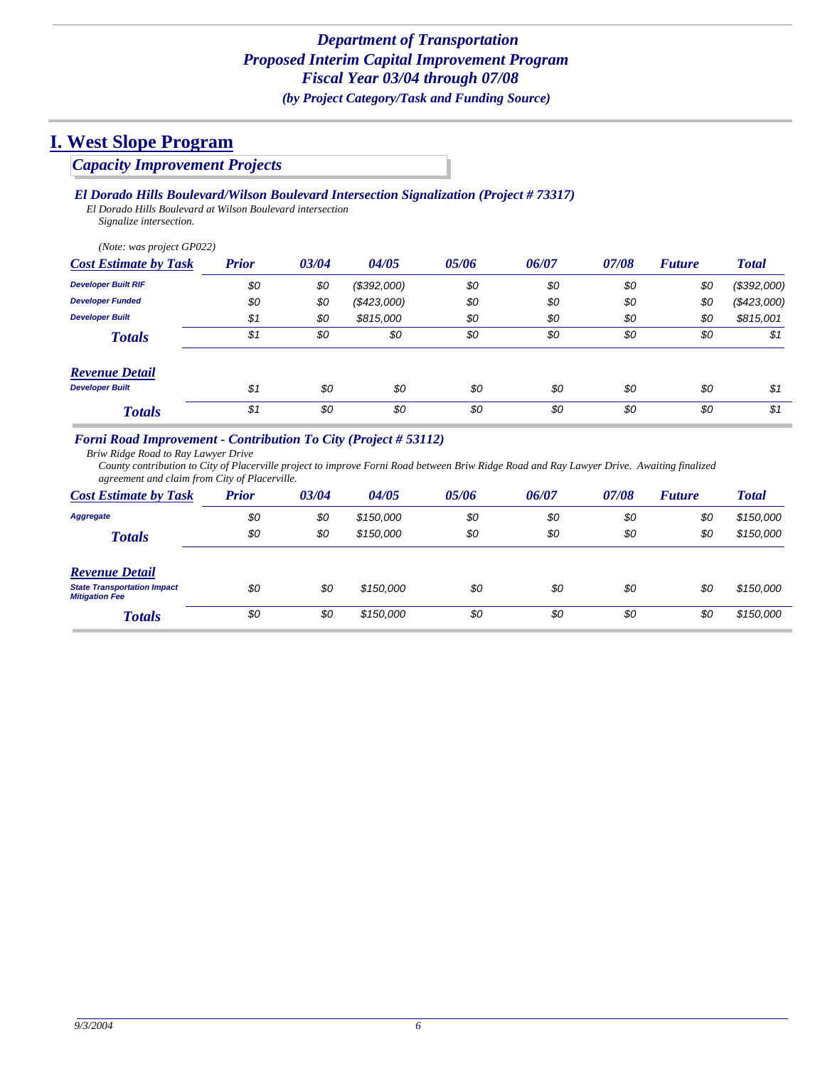## *Capacity Improvement Projects*

### *El Dorado Hills Boulevard/Wilson Boulevard Intersection Signalization (Project # 73317)*

*El Dorado Hills Boulevard at Wilson Boulevard intersection Signalize intersection.*

*(Note: was project GP022)*

| <b>Cost Estimate by Task</b> | <b>Prior</b> | 03/04 | 04/05         | 05/06 | 06/07 | 07/08 | <b>Future</b> | <b>Total</b> |
|------------------------------|--------------|-------|---------------|-------|-------|-------|---------------|--------------|
| <b>Developer Built RIF</b>   | \$0          | \$0   | (\$392,000)   | \$0   | \$0   | \$0   | \$0           | (\$392,000)  |
| <b>Developer Funded</b>      | \$0          | \$0   | $(\$423,000)$ | \$0   | \$0   | \$0   | \$0           | (\$423,000)  |
| <b>Developer Built</b>       | \$1          | \$0   | \$815,000     | \$0   | \$0   | \$0   | \$0           | \$815,001    |
| <b>Totals</b>                | \$1          | \$0   | \$0           | \$0   | \$0   | \$0   | \$0           | \$1          |
| <b>Revenue Detail</b>        |              |       |               |       |       |       |               |              |
| <b>Developer Built</b>       | \$1          | \$0   | \$0           | \$0   | \$0   | \$0   | \$0           | \$1          |
| <b>Totals</b>                | \$1          | \$0   | \$0           | \$0   | \$0   | \$0   | \$0           | \$1          |

### *Forni Road Improvement - Contribution To City (Project # 53112)*

*Briw Ridge Road to Ray Lawyer Drive*

*County contribution to City of Placerville project to improve Forni Road between Briw Ridge Road and Ray Lawyer Drive. Awaiting finalized agreement and claim from City of Placerville.*

| <b>Cost Estimate by Task</b>                                | <b>Prior</b> | 03/04 | 04/05     | 05/06 | 06/07 | 07/08 | <b>Future</b> | <b>Total</b> |
|-------------------------------------------------------------|--------------|-------|-----------|-------|-------|-------|---------------|--------------|
| Aggregate                                                   | \$0          | \$0   | \$150,000 | \$0   | \$0   | \$0   | \$0           | \$150,000    |
| <b>Totals</b>                                               | \$0          | \$0   | \$150,000 | \$0   | \$0   | \$0   | \$0           | \$150,000    |
| <b>Revenue Detail</b>                                       |              |       |           |       |       |       |               |              |
| <b>State Transportation Impact</b><br><b>Mitigation Fee</b> | \$0          | \$0   | \$150,000 | \$0   | \$0   | \$0   | \$0           | \$150,000    |
| <b>Totals</b>                                               | \$0          | \$0   | \$150,000 | \$0   | \$0   | \$0   | \$0           | \$150,000    |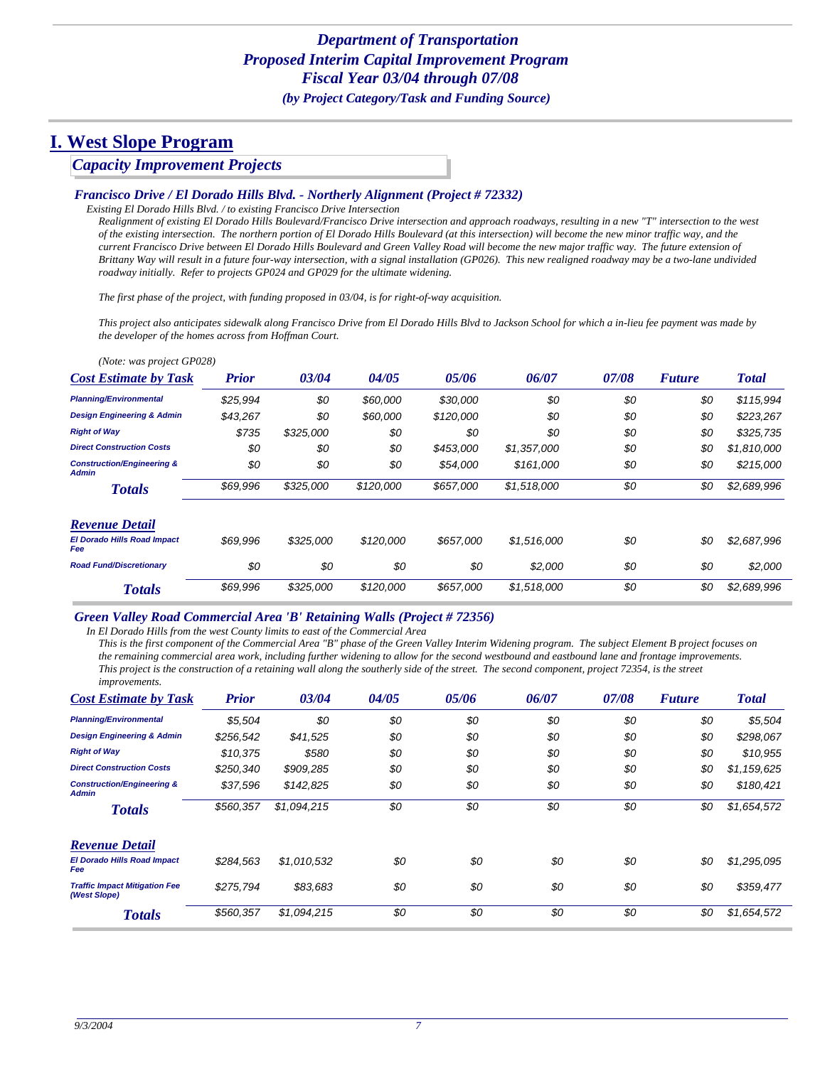### *Capacity Improvement Projects*

#### *Francisco Drive / El Dorado Hills Blvd. - Northerly Alignment (Project # 72332)*

*Existing El Dorado Hills Blvd. / to existing Francisco Drive Intersection Realignment of existing El Dorado Hills Boulevard/Francisco Drive intersection and approach roadways, resulting in a new "T" intersection to the west of the existing intersection. The northern portion of El Dorado Hills Boulevard (at this intersection) will become the new minor traffic way, and the current Francisco Drive between El Dorado Hills Boulevard and Green Valley Road will become the new major traffic way. The future extension of Brittany Way will result in a future four-way intersection, with a signal installation (GP026). This new realigned roadway may be a two-lane undivided roadway initially. Refer to projects GP024 and GP029 for the ultimate widening.*

*The first phase of the project, with funding proposed in 03/04, is for right-of-way acquisition.*

*This project also anticipates sidewalk along Francisco Drive from El Dorado Hills Blvd to Jackson School for which a in-lieu fee payment was made by the developer of the homes across from Hoffman Court.*

| (Note: was project GP028)                             |              |           |           |           |             |       |               |              |
|-------------------------------------------------------|--------------|-----------|-----------|-----------|-------------|-------|---------------|--------------|
| <b>Cost Estimate by Task</b>                          | <b>Prior</b> | 03/04     | 04/05     | 05/06     | 06/07       | 07/08 | <b>Future</b> | <b>Total</b> |
| <b>Planning/Environmental</b>                         | \$25.994     | \$0       | \$60,000  | \$30,000  | \$0         | \$0   | \$0           | \$115,994    |
| <b>Design Engineering &amp; Admin</b>                 | \$43,267     | \$0       | \$60,000  | \$120,000 | \$0         | \$0   | \$0           | \$223,267    |
| <b>Right of Way</b>                                   | \$735        | \$325,000 | \$0       | \$0       | \$0         | \$0   | \$0           | \$325,735    |
| <b>Direct Construction Costs</b>                      | \$0          | \$0       | \$0       | \$453,000 | \$1,357,000 | \$0   | \$0           | \$1,810,000  |
| <b>Construction/Engineering &amp;</b><br><b>Admin</b> | \$0          | \$0       | \$0       | \$54,000  | \$161,000   | \$0   | \$0           | \$215,000    |
| <b>Totals</b>                                         | \$69,996     | \$325,000 | \$120,000 | \$657,000 | \$1,518,000 | \$0   | \$0           | \$2,689,996  |
| <b>Revenue Detail</b>                                 |              |           |           |           |             |       |               |              |
| <b>El Dorado Hills Road Impact</b><br>Fee             | \$69.996     | \$325,000 | \$120,000 | \$657,000 | \$1,516,000 | \$0   | \$0           | \$2,687,996  |
| <b>Road Fund/Discretionary</b>                        | \$0          | \$0       | \$0       | \$0       | \$2.000     | \$0   | \$0           | \$2,000      |
| <b>Totals</b>                                         | \$69,996     | \$325,000 | \$120,000 | \$657,000 | \$1,518,000 | \$0   | \$0           | \$2,689,996  |

#### *Green Valley Road Commercial Area 'B' Retaining Walls (Project # 72356)*

*In El Dorado Hills from the west County limits to east of the Commercial Area*

*This is the first component of the Commercial Area "B" phase of the Green Valley Interim Widening program. The subject Element B project focuses on the remaining commercial area work, including further widening to allow for the second westbound and eastbound lane and frontage improvements. This project is the construction of a retaining wall along the southerly side of the street. The second component, project 72354, is the street improvements.*

| $m_{\nu}$ , $\sigma$ , $\sigma$ , $\sigma$ , $\sigma$ , $\sigma$ , $\sigma$ , $\sigma$ , $\sigma$ , $\sigma$ , $\sigma$ , $\sigma$ , $\sigma$ , $\sigma$ , $\sigma$ , $\sigma$ , $\sigma$ , $\sigma$ , $\sigma$ , $\sigma$ , $\sigma$ , $\sigma$ , $\sigma$ , $\sigma$ , $\sigma$ , $\sigma$ , $\sigma$ , $\sigma$ , $\sigma$ , $\sigma$ , $\sigma$ , $\sigma$ , $\sigma$ , $\sigma$ , $\sigma$ , $\sigma$ , |              |             |       |       |       |       |               |              |
|--------------------------------------------------------------------------------------------------------------------------------------------------------------------------------------------------------------------------------------------------------------------------------------------------------------------------------------------------------------------------------------------------------------|--------------|-------------|-------|-------|-------|-------|---------------|--------------|
| <b>Cost Estimate by Task</b>                                                                                                                                                                                                                                                                                                                                                                                 | <b>Prior</b> | 03/04       | 04/05 | 05/06 | 06/07 | 07/08 | <b>Future</b> | <b>Total</b> |
| <b>Planning/Environmental</b>                                                                                                                                                                                                                                                                                                                                                                                | \$5,504      | \$0         | \$0   | \$0   | \$0   | \$0   | \$0           | \$5,504      |
| <b>Design Engineering &amp; Admin</b>                                                                                                                                                                                                                                                                                                                                                                        | \$256,542    | \$41,525    | \$0   | \$0   | \$0   | \$0   | \$0           | \$298,067    |
| <b>Right of Way</b>                                                                                                                                                                                                                                                                                                                                                                                          | \$10,375     | \$580       | \$0   | \$0   | \$0   | \$0   | \$0           | \$10,955     |
| <b>Direct Construction Costs</b>                                                                                                                                                                                                                                                                                                                                                                             | \$250.340    | \$909,285   | \$0   | \$0   | \$0   | \$0   | \$0           | \$1,159,625  |
| <b>Construction/Engineering &amp;</b><br><b>Admin</b>                                                                                                                                                                                                                                                                                                                                                        | \$37,596     | \$142,825   | \$0   | \$0   | \$0   | \$0   | \$0           | \$180,421    |
| <b>Totals</b>                                                                                                                                                                                                                                                                                                                                                                                                | \$560,357    | \$1,094,215 | \$0   | \$0   | \$0   | \$0   | \$0           | \$1,654,572  |
| <b>Revenue Detail</b>                                                                                                                                                                                                                                                                                                                                                                                        |              |             |       |       |       |       |               |              |
| <b>El Dorado Hills Road Impact</b><br>Fee                                                                                                                                                                                                                                                                                                                                                                    | \$284,563    | \$1,010,532 | \$0   | \$0   | \$0   | \$0   | \$0           | \$1,295,095  |
| <b>Traffic Impact Mitigation Fee</b><br>(West Slope)                                                                                                                                                                                                                                                                                                                                                         | \$275.794    | \$83,683    | \$0   | \$0   | \$0   | \$0   | \$0           | \$359,477    |
| <b>Totals</b>                                                                                                                                                                                                                                                                                                                                                                                                | \$560,357    | \$1,094,215 | \$0   | \$0   | \$0   | \$0   | \$0           | \$1,654,572  |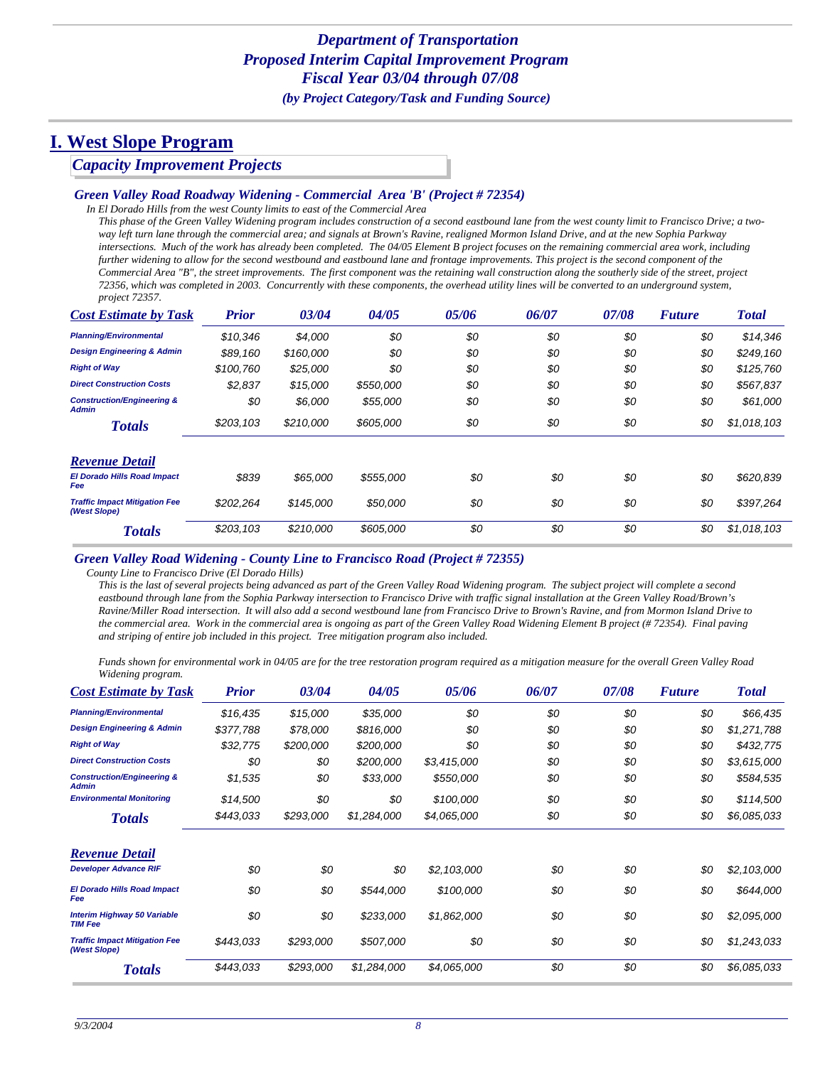### *Capacity Improvement Projects*

#### *Green Valley Road Roadway Widening - Commercial Area 'B' (Project # 72354)*

*In El Dorado Hills from the west County limits to east of the Commercial Area*

*This phase of the Green Valley Widening program includes construction of a second eastbound lane from the west county limit to Francisco Drive; a twoway left turn lane through the commercial area; and signals at Brown's Ravine, realigned Mormon Island Drive, and at the new Sophia Parkway intersections. Much of the work has already been completed. The 04/05 Element B project focuses on the remaining commercial area work, including further widening to allow for the second westbound and eastbound lane and frontage improvements. This project is the second component of the Commercial Area "B", the street improvements. The first component was the retaining wall construction along the southerly side of the street, project 72356, which was completed in 2003. Concurrently with these components, the overhead utility lines will be converted to an underground system, project 72357.*

| <b>Cost Estimate by Task</b>                          | <b>Prior</b> | 03/04     | 04/05     | 05/06 | 06/07 | 07/08 | <b>Future</b> | <b>Total</b> |
|-------------------------------------------------------|--------------|-----------|-----------|-------|-------|-------|---------------|--------------|
| <b>Planning/Environmental</b>                         | \$10,346     | \$4,000   | \$0       | \$0   | \$0   | \$0   | \$0           | \$14,346     |
| <b>Design Engineering &amp; Admin</b>                 | \$89,160     | \$160,000 | \$0       | \$0   | \$0   | \$0   | \$0           | \$249,160    |
| <b>Right of Way</b>                                   | \$100,760    | \$25,000  | \$0       | \$0   | \$0   | \$0   | \$0           | \$125,760    |
| <b>Direct Construction Costs</b>                      | \$2,837      | \$15,000  | \$550,000 | \$0   | \$0   | \$0   | \$0           | \$567,837    |
| <b>Construction/Engineering &amp;</b><br><b>Admin</b> | \$0          | \$6,000   | \$55,000  | \$0   | \$0   | \$0   | \$0           | \$61,000     |
| <b>Totals</b>                                         | \$203,103    | \$210,000 | \$605,000 | \$0   | \$0   | \$0   | \$0           | \$1,018,103  |
| <b>Revenue Detail</b>                                 |              |           |           |       |       |       |               |              |
| <b>El Dorado Hills Road Impact</b><br><b>Fee</b>      | \$839        | \$65,000  | \$555,000 | \$0   | \$0   | \$0   | \$0           | \$620,839    |
| <b>Traffic Impact Mitigation Fee</b><br>(West Slope)  | \$202,264    | \$145,000 | \$50,000  | \$0   | \$0   | \$0   | \$0           | \$397,264    |
| <b>Totals</b>                                         | \$203,103    | \$210,000 | \$605,000 | \$0   | \$0   | \$0   | \$0           | \$1,018,103  |

#### *Green Valley Road Widening - County Line to Francisco Road (Project # 72355)*

*County Line to Francisco Drive (El Dorado Hills)*

*This is the last of several projects being advanced as part of the Green Valley Road Widening program. The subject project will complete a second eastbound through lane from the Sophia Parkway intersection to Francisco Drive with traffic signal installation at the Green Valley Road/Brown's Ravine/Miller Road intersection. It will also add a second westbound lane from Francisco Drive to Brown's Ravine, and from Mormon Island Drive to the commercial area. Work in the commercial area is ongoing as part of the Green Valley Road Widening Element B project (# 72354). Final paving and striping of entire job included in this project. Tree mitigation program also included.*

*Funds shown for environmental work in 04/05 are for the tree restoration program required as a mitigation measure for the overall Green Valley Road Widening program.*

| <b>Cost Estimate by Task</b>                          | <b>Prior</b> | 03/04     | 04/05       | 05/06       | 06/07 | 07/08 | <b>Future</b> | <b>Total</b> |
|-------------------------------------------------------|--------------|-----------|-------------|-------------|-------|-------|---------------|--------------|
| <b>Planning/Environmental</b>                         | \$16,435     | \$15,000  | \$35,000    | \$0         | \$0   | \$0   | \$0           | \$66,435     |
| <b>Design Engineering &amp; Admin</b>                 | \$377,788    | \$78,000  | \$816,000   | \$0         | \$0   | \$0   | \$0           | \$1,271,788  |
| <b>Right of Way</b>                                   | \$32,775     | \$200,000 | \$200,000   | \$0         | \$0   | \$0   | \$0           | \$432,775    |
| <b>Direct Construction Costs</b>                      | \$0          | \$0       | \$200,000   | \$3,415,000 | \$0   | \$0   | \$0           | \$3,615,000  |
| <b>Construction/Engineering &amp;</b><br><b>Admin</b> | \$1,535      | \$0       | \$33,000    | \$550,000   | \$0   | \$0   | \$0           | \$584,535    |
| <b>Environmental Monitoring</b>                       | \$14,500     | \$0       | \$0         | \$100,000   | \$0   | \$0   | \$0           | \$114,500    |
| <b>Totals</b>                                         | \$443,033    | \$293,000 | \$1,284,000 | \$4,065,000 | \$0   | \$0   | \$0           | \$6,085,033  |
| <b>Revenue Detail</b>                                 |              |           |             |             |       |       |               |              |
| <b>Developer Advance RIF</b>                          | \$0          | \$0       | \$0         | \$2,103,000 | \$0   | \$0   | \$0           | \$2,103,000  |
| <b>El Dorado Hills Road Impact</b><br>Fee             | \$0          | \$0       | \$544,000   | \$100,000   | \$0   | \$0   | \$0           | \$644,000    |
| <b>Interim Highway 50 Variable</b><br><b>TIM Fee</b>  | \$0          | \$0       | \$233,000   | \$1,862,000 | \$0   | \$0   | \$0           | \$2,095,000  |
| <b>Traffic Impact Mitigation Fee</b><br>(West Slope)  | \$443,033    | \$293,000 | \$507,000   | \$0         | \$0   | \$0   | \$0           | \$1,243,033  |
| <b>Totals</b>                                         | \$443,033    | \$293,000 | \$1,284,000 | \$4,065,000 | \$0   | \$0   | \$0           | \$6,085,033  |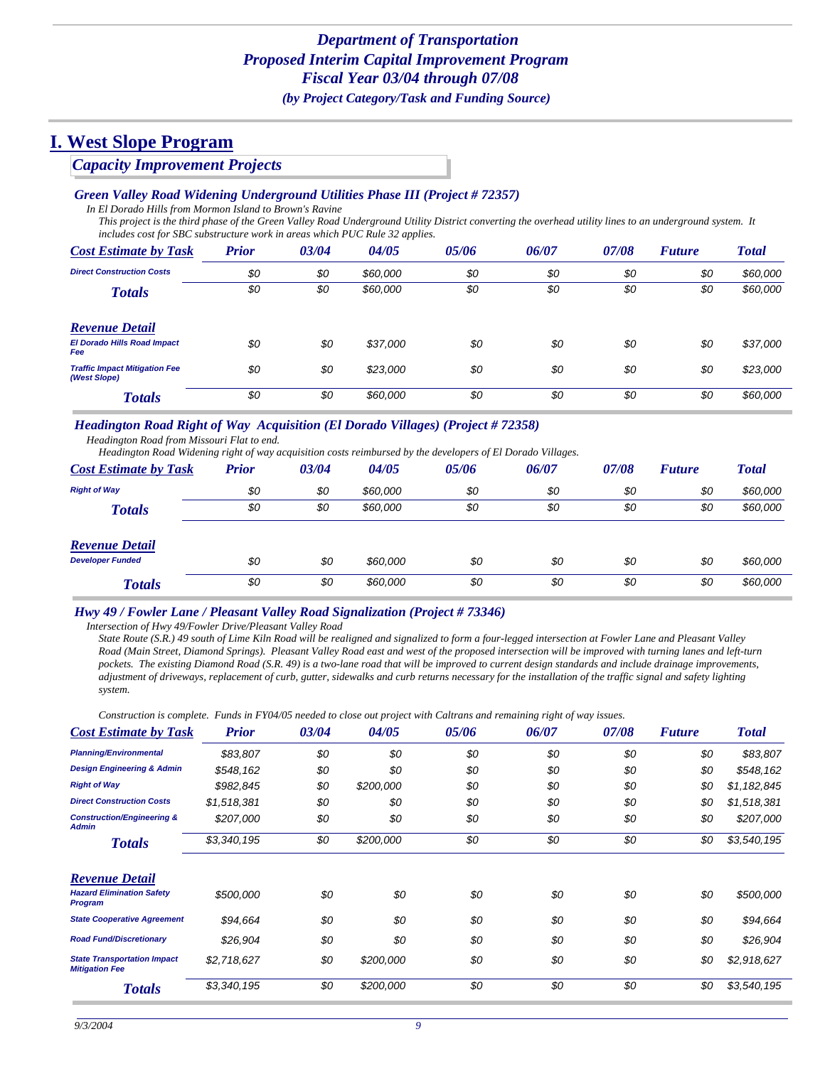### *Capacity Improvement Projects*

#### *Green Valley Road Widening Underground Utilities Phase III (Project # 72357)*

*In El Dorado Hills from Mormon Island to Brown's Ravine*

*This project is the third phase of the Green Valley Road Underground Utility District converting the overhead utility lines to an underground system. It includes cost for SBC substructure work in areas which PUC Rule 32 applies.*

| <b>Cost Estimate by Task</b>                         | <b>Prior</b> | 03/04 | 04/05    | 05/06 | 06/07 | 07/08 | <b>Future</b> | <b>Total</b> |
|------------------------------------------------------|--------------|-------|----------|-------|-------|-------|---------------|--------------|
| <b>Direct Construction Costs</b>                     | \$0          | \$0   | \$60,000 | \$0   | \$0   | \$0   | \$0           | \$60,000     |
| <b>Totals</b>                                        | \$0          | \$0   | \$60,000 | \$0   | \$0   | \$0   | \$0           | \$60,000     |
| <b>Revenue Detail</b>                                |              |       |          |       |       |       |               |              |
| <b>El Dorado Hills Road Impact</b><br><b>Fee</b>     | \$0          | \$0   | \$37,000 | \$0   | \$0   | \$0   | \$0           | \$37,000     |
| <b>Traffic Impact Mitigation Fee</b><br>(West Slope) | \$0          | \$0   | \$23,000 | \$0   | \$0   | \$0   | \$0           | \$23,000     |
| <b>Totals</b>                                        | \$0          | \$0   | \$60,000 | \$0   | \$0   | \$0   | \$0           | \$60,000     |

### *Headington Road Right of Way Acquisition (El Dorado Villages) (Project # 72358)*

*Headington Road from Missouri Flat to end.*

*Headington Road Widening right of way acquisition costs reimbursed by the developers of El Dorado Villages.*

| <b>Cost Estimate by Task</b> | <b>Prior</b> | 03/04 | 04/05    | 05/06 | 06/07 | 07/08 | <b>Future</b> | <b>Total</b> |
|------------------------------|--------------|-------|----------|-------|-------|-------|---------------|--------------|
| <b>Right of Way</b>          | \$0          | \$0   | \$60,000 | \$0   | \$0   | \$0   | \$0           | \$60,000     |
| <b>Totals</b>                | \$0          | \$0   | \$60,000 | \$0   | \$0   | \$0   | \$0           | \$60,000     |
| <b>Revenue Detail</b>        |              |       |          |       |       |       |               |              |
| <b>Developer Funded</b>      | \$0          | \$0   | \$60,000 | \$0   | \$0   | \$0   | \$0           | \$60,000     |
| <b>Totals</b>                | \$0          | \$0   | \$60,000 | \$0   | \$0   | \$0   | \$0           | \$60,000     |

#### *Hwy 49 / Fowler Lane / Pleasant Valley Road Signalization (Project # 73346)*

*Intersection of Hwy 49/Fowler Drive/Pleasant Valley Road*

*State Route (S.R.) 49 south of Lime Kiln Road will be realigned and signalized to form a four-legged intersection at Fowler Lane and Pleasant Valley Road (Main Street, Diamond Springs). Pleasant Valley Road east and west of the proposed intersection will be improved with turning lanes and left-turn pockets. The existing Diamond Road (S.R. 49) is a two-lane road that will be improved to current design standards and include drainage improvements, adjustment of driveways, replacement of curb, gutter, sidewalks and curb returns necessary for the installation of the traffic signal and safety lighting system.*

*Construction is complete. Funds in FY04/05 needed to close out project with Caltrans and remaining right of way issues.*

| <b>Cost Estimate by Task</b>                                | <b>Prior</b> | 03/04 | 04/05     | 05/06 | 06/07 | 07/08 | <b>Future</b> | <b>Total</b> |
|-------------------------------------------------------------|--------------|-------|-----------|-------|-------|-------|---------------|--------------|
| <b>Planning/Environmental</b>                               | \$83,807     | \$0   | \$0       | \$0   | \$0   | \$0   | \$0           | \$83,807     |
| <b>Design Engineering &amp; Admin</b>                       | \$548,162    | \$0   | \$0       | \$0   | \$0   | \$0   | \$0           | \$548,162    |
| <b>Right of Way</b>                                         | \$982,845    | \$0   | \$200,000 | \$0   | \$0   | \$0   | \$0           | \$1,182,845  |
| <b>Direct Construction Costs</b>                            | \$1,518,381  | \$0   | \$0       | \$0   | \$0   | \$0   | \$0           | \$1,518,381  |
| <b>Construction/Engineering &amp;</b><br><b>Admin</b>       | \$207,000    | \$0   | \$0       | \$0   | \$0   | \$0   | \$0           | \$207,000    |
| <b>Totals</b>                                               | \$3,340,195  | \$0   | \$200,000 | \$0   | \$0   | \$0   | \$0           | \$3,540,195  |
| <b>Revenue Detail</b>                                       |              |       |           |       |       |       |               |              |
| <b>Hazard Elimination Safety</b><br><b>Program</b>          | \$500,000    | \$0   | \$0       | \$0   | \$0   | \$0   | \$0           | \$500,000    |
| <b>State Cooperative Agreement</b>                          | \$94,664     | \$0   | \$0       | \$0   | \$0   | \$0   | \$0           | \$94,664     |
| <b>Road Fund/Discretionary</b>                              | \$26,904     | \$0   | \$0       | \$0   | \$0   | \$0   | \$0           | \$26,904     |
| <b>State Transportation Impact</b><br><b>Mitigation Fee</b> | \$2,718,627  | \$0   | \$200,000 | \$0   | \$0   | \$0   | \$0           | \$2,918,627  |
| <b>Totals</b>                                               | \$3,340,195  | \$0   | \$200,000 | \$0   | \$0   | \$0   | \$0           | \$3,540,195  |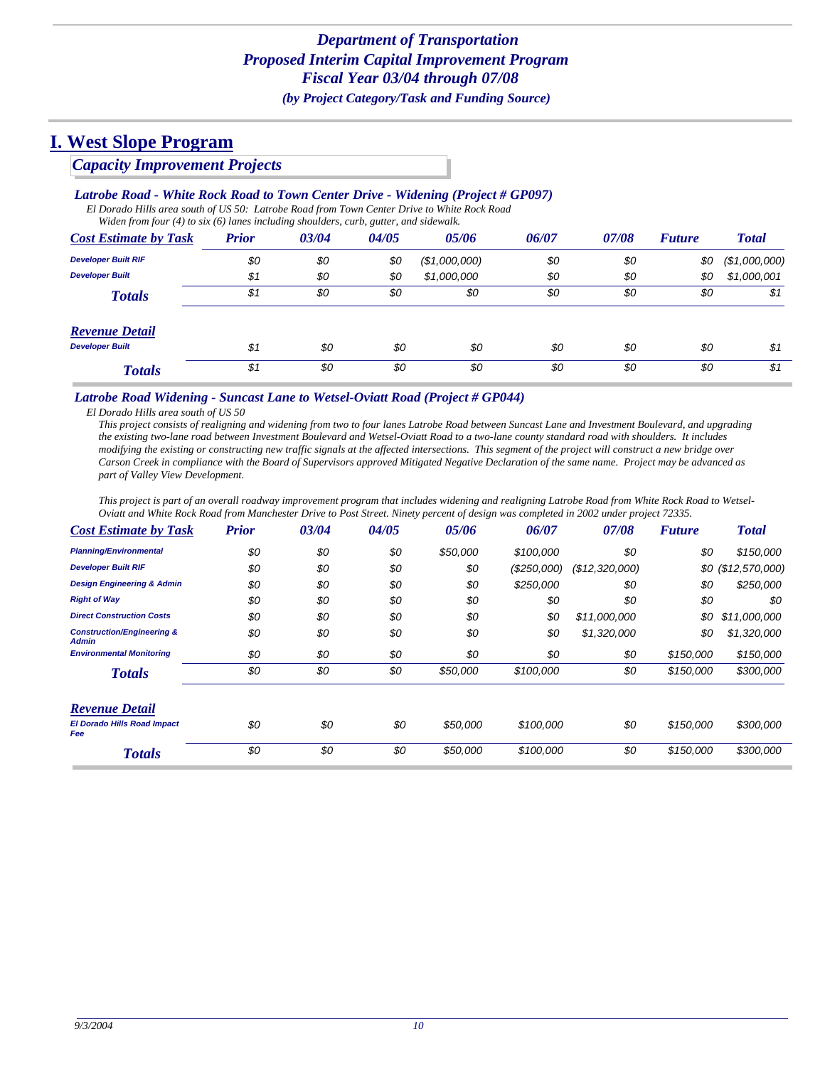### *Capacity Improvement Projects*

### *Latrobe Road - White Rock Road to Town Center Drive - Widening (Project # GP097)*

*El Dorado Hills area south of US 50: Latrobe Road from Town Center Drive to White Rock Road Widen from four (4) to six (6) lanes including shoulders, curb, gutter, and sidewalk.*

| <b>Cost Estimate by Task</b> | <b>Prior</b> | 03/04 | 04/05 | 05/06         | 06/07 | 07/08 | <b>Future</b> | <b>Total</b>  |
|------------------------------|--------------|-------|-------|---------------|-------|-------|---------------|---------------|
| <b>Developer Built RIF</b>   | \$0          | \$0   | \$0   | (\$1,000,000) | \$0   | \$0   | \$0           | (\$1,000,000) |
| <b>Developer Built</b>       | \$1          | \$0   | \$0   | \$1,000,000   | \$0   | \$0   | \$0           | \$1,000,001   |
| <b>Totals</b>                | \$1          | \$0   | \$0   | \$0           | \$0   | \$0   | \$0           | \$1           |
| <b>Revenue Detail</b>        |              |       |       |               |       |       |               |               |
| <b>Developer Built</b>       | \$1          | \$0   | \$0   | \$0           | \$0   | \$0   | \$0           | \$1           |
| <b>Totals</b>                | \$1          | \$0   | \$0   | \$0           | \$0   | \$0   | \$0           | \$1           |

#### *Latrobe Road Widening - Suncast Lane to Wetsel-Oviatt Road (Project # GP044)*

*El Dorado Hills area south of US 50*

*This project consists of realigning and widening from two to four lanes Latrobe Road between Suncast Lane and Investment Boulevard, and upgrading the existing two-lane road between Investment Boulevard and Wetsel-Oviatt Road to a two-lane county standard road with shoulders. It includes modifying the existing or constructing new traffic signals at the affected intersections. This segment of the project will construct a new bridge over Carson Creek in compliance with the Board of Supervisors approved Mitigated Negative Declaration of the same name. Project may be advanced as part of Valley View Development.*

*This project is part of an overall roadway improvement program that includes widening and realigning Latrobe Road from White Rock Road to Wetsel-Oviatt and White Rock Road from Manchester Drive to Post Street. Ninety percent of design was completed in 2002 under project 72335.*

| <b>Cost Estimate by Task</b>                          | <b>Prior</b> | 03/04 | 04/05 | 05/06    | 06/07      | 07/08          | <b>Future</b> | <b>Total</b>        |
|-------------------------------------------------------|--------------|-------|-------|----------|------------|----------------|---------------|---------------------|
| <b>Planning/Environmental</b>                         | \$0          | \$0   | \$0   | \$50,000 | \$100,000  | \$0            | \$0           | \$150,000           |
| <b>Developer Built RIF</b>                            | \$0          | \$0   | \$0   | \$0      | (S250,000) | (\$12,320,000) |               | $$0$ (\$12,570,000) |
| <b>Design Engineering &amp; Admin</b>                 | \$0          | \$0   | \$0   | \$0      | \$250,000  | \$0            | \$0           | \$250,000           |
| <b>Right of Way</b>                                   | \$0          | \$0   | \$0   | \$0      | \$0        | \$0            | \$0           | \$0                 |
| <b>Direct Construction Costs</b>                      | \$0          | \$0   | \$0   | \$0      | \$0        | \$11,000,000   | \$0           | \$11,000,000        |
| <b>Construction/Engineering &amp;</b><br><b>Admin</b> | \$0          | \$0   | \$0   | \$0      | \$0        | \$1,320,000    | \$0           | \$1,320,000         |
| <b>Environmental Monitoring</b>                       | \$0          | \$0   | \$0   | \$0      | \$0        | \$0            | \$150,000     | \$150,000           |
| <b>Totals</b>                                         | \$0          | \$0   | \$0   | \$50,000 | \$100,000  | \$0            | \$150,000     | \$300,000           |
| <b>Revenue Detail</b>                                 |              |       |       |          |            |                |               |                     |
| <b>El Dorado Hills Road Impact</b><br>Fee             | \$0          | \$0   | \$0   | \$50,000 | \$100,000  | \$0            | \$150,000     | \$300,000           |
| <b>Totals</b>                                         | \$0          | \$0   | \$0   | \$50,000 | \$100,000  | \$0            | \$150,000     | \$300,000           |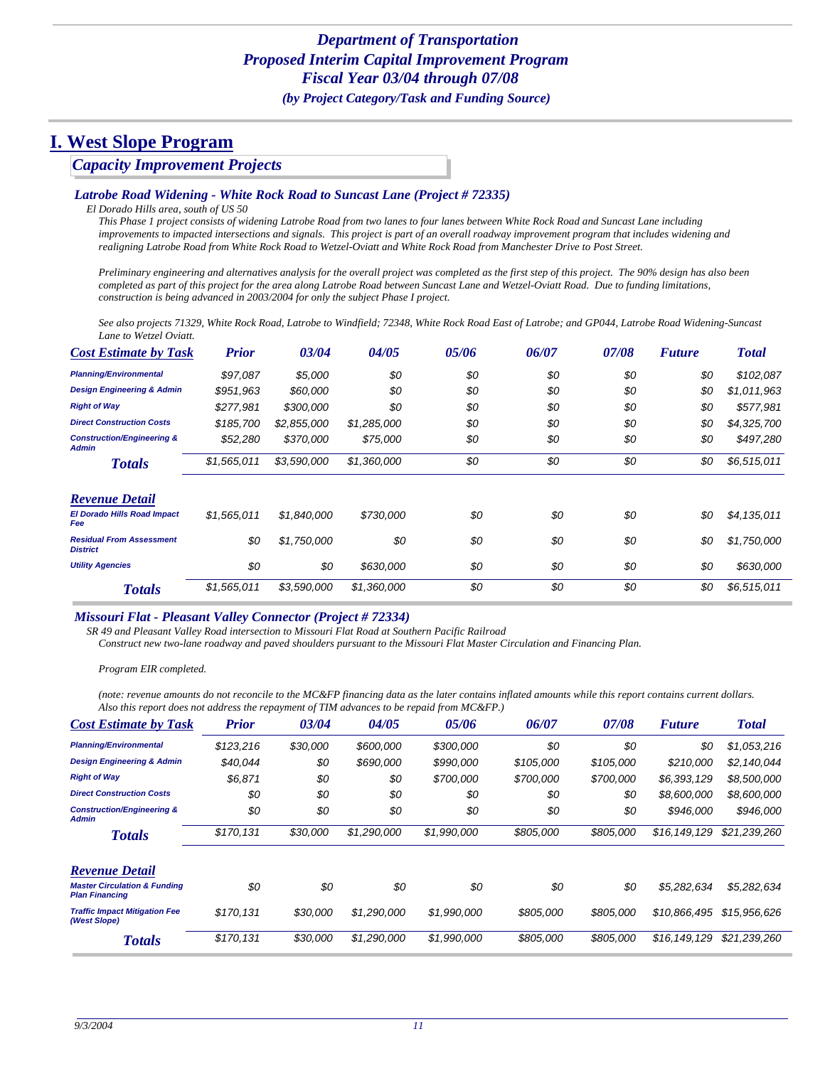### *Capacity Improvement Projects*

#### *Latrobe Road Widening - White Rock Road to Suncast Lane (Project # 72335)*

*El Dorado Hills area, south of US 50*

*This Phase 1 project consists of widening Latrobe Road from two lanes to four lanes between White Rock Road and Suncast Lane including improvements to impacted intersections and signals. This project is part of an overall roadway improvement program that includes widening and realigning Latrobe Road from White Rock Road to Wetzel-Oviatt and White Rock Road from Manchester Drive to Post Street.* 

*Preliminary engineering and alternatives analysis for the overall project was completed as the first step of this project. The 90% design has also been completed as part of this project for the area along Latrobe Road between Suncast Lane and Wetzel-Oviatt Road. Due to funding limitations, construction is being advanced in 2003/2004 for only the subject Phase I project.* 

*See also projects 71329, White Rock Road, Latrobe to Windfield; 72348, White Rock Road East of Latrobe; and GP044, Latrobe Road Widening-Suncast Lane to Wetzel Oviatt.*

| <b>Cost Estimate by Task</b>                          | <b>Prior</b> | 03/04       | 04/05       | 05/06 | 06/07 | 07/08 | <b>Future</b> | <b>Total</b> |
|-------------------------------------------------------|--------------|-------------|-------------|-------|-------|-------|---------------|--------------|
| <b>Planning/Environmental</b>                         | \$97,087     | \$5,000     | \$0         | \$0   | \$0   | \$0   | \$0           | \$102,087    |
| <b>Design Engineering &amp; Admin</b>                 | \$951,963    | \$60,000    | \$0         | \$0   | \$0   | \$0   | \$0           | \$1,011,963  |
| <b>Right of Way</b>                                   | \$277,981    | \$300,000   | \$0         | \$0   | \$0   | \$0   | \$0           | \$577,981    |
| <b>Direct Construction Costs</b>                      | \$185,700    | \$2,855,000 | \$1,285,000 | \$0   | \$0   | \$0   | \$0           | \$4,325,700  |
| <b>Construction/Engineering &amp;</b><br><b>Admin</b> | \$52,280     | \$370,000   | \$75,000    | \$0   | \$0   | \$0   | \$0           | \$497,280    |
| <b>Totals</b>                                         | \$1,565,011  | \$3,590,000 | \$1,360,000 | \$0   | \$0   | \$0   | \$0           | \$6,515,011  |
| <b>Revenue Detail</b>                                 |              |             |             |       |       |       |               |              |
| <b>El Dorado Hills Road Impact</b><br>Fee             | \$1,565,011  | \$1,840,000 | \$730,000   | \$0   | \$0   | \$0   | \$0           | \$4,135,011  |
| <b>Residual From Assessment</b><br><b>District</b>    | \$0          | \$1,750,000 | \$0         | \$0   | \$0   | \$0   | \$0           | \$1,750,000  |
| <b>Utility Agencies</b>                               | \$0          | \$0         | \$630,000   | \$0   | \$0   | \$0   | \$0           | \$630,000    |
| <b>Totals</b>                                         | \$1,565,011  | \$3,590,000 | \$1,360,000 | \$0   | \$0   | \$0   | \$0           | \$6,515,011  |

#### *Missouri Flat - Pleasant Valley Connector (Project # 72334)*

*SR 49 and Pleasant Valley Road intersection to Missouri Flat Road at Southern Pacific Railroad*

*Construct new two-lane roadway and paved shoulders pursuant to the Missouri Flat Master Circulation and Financing Plan.*

*Program EIR completed.*

*(note: revenue amounts do not reconcile to the MC&FP financing data as the later contains inflated amounts while this report contains current dollars. Also this report does not address the repayment of TIM advances to be repaid from MC&FP.)*

| <b>Cost Estimate by Task</b>                                     | <b>Prior</b> | 03/04    | 04/05       | 05/06       | 06/07     | 07/08     | <b>Future</b> | <b>Total</b> |
|------------------------------------------------------------------|--------------|----------|-------------|-------------|-----------|-----------|---------------|--------------|
| <b>Planning/Environmental</b>                                    | \$123,216    | \$30,000 | \$600,000   | \$300,000   | \$0       | \$0       | \$0           | \$1,053,216  |
| <b>Design Engineering &amp; Admin</b>                            | \$40.044     | \$0      | \$690,000   | \$990,000   | \$105,000 | \$105,000 | \$210,000     | \$2,140,044  |
| <b>Right of Way</b>                                              | \$6.871      | \$0      | \$0         | \$700,000   | \$700,000 | \$700,000 | \$6,393,129   | \$8,500,000  |
| <b>Direct Construction Costs</b>                                 | \$0          | \$0      | \$0         | \$0         | \$0       | \$0       | \$8,600,000   | \$8,600,000  |
| <b>Construction/Engineering &amp;</b><br><b>Admin</b>            | \$0          | \$0      | \$0         | \$0         | \$0       | \$0       | \$946,000     | \$946,000    |
| <b>Totals</b>                                                    | \$170,131    | \$30,000 | \$1,290,000 | \$1,990,000 | \$805,000 | \$805,000 | \$16,149,129  | \$21,239,260 |
| <b>Revenue Detail</b>                                            |              |          |             |             |           |           |               |              |
| <b>Master Circulation &amp; Funding</b><br><b>Plan Financing</b> | \$0          | \$0      | \$0         | \$0         | \$0       | \$0       | \$5,282,634   | \$5,282,634  |
| <b>Traffic Impact Mitigation Fee</b><br>(West Slope)             | \$170.131    | \$30,000 | \$1,290,000 | \$1,990,000 | \$805,000 | \$805,000 | \$10,866,495  | \$15,956,626 |
| <b>Totals</b>                                                    | \$170,131    | \$30,000 | \$1,290,000 | \$1,990,000 | \$805,000 | \$805,000 | \$16,149,129  | \$21,239,260 |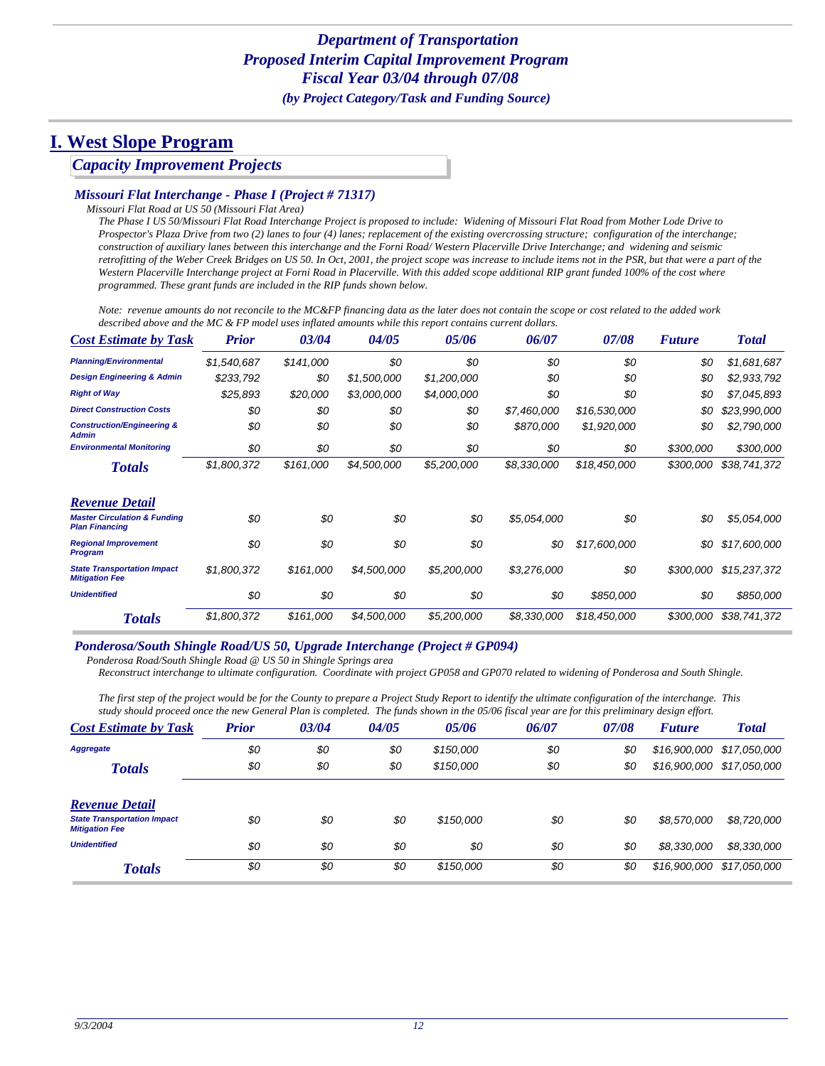### *Capacity Improvement Projects*

#### *Missouri Flat Interchange - Phase I (Project # 71317)*

*Missouri Flat Road at US 50 (Missouri Flat Area)*

*The Phase I US 50/Missouri Flat Road Interchange Project is proposed to include: Widening of Missouri Flat Road from Mother Lode Drive to Prospector's Plaza Drive from two (2) lanes to four (4) lanes; replacement of the existing overcrossing structure; configuration of the interchange; construction of auxiliary lanes between this interchange and the Forni Road/ Western Placerville Drive Interchange; and widening and seismic retrofitting of the Weber Creek Bridges on US 50. In Oct, 2001, the project scope was increase to include items not in the PSR, but that were a part of the Western Placerville Interchange project at Forni Road in Placerville. With this added scope additional RIP grant funded 100% of the cost where programmed. These grant funds are included in the RIP funds shown below.* 

*Note: revenue amounts do not reconcile to the MC&FP financing data as the later does not contain the scope or cost related to the added work described above and the MC & FP model uses inflated amounts while this report contains current dollars.*

| <b>Cost Estimate by Task</b>                                     | <b>Prior</b> | 03/04     | 04/05       | 05/06       | 06/07       | 07/08        | <b>Future</b> | <b>Total</b> |
|------------------------------------------------------------------|--------------|-----------|-------------|-------------|-------------|--------------|---------------|--------------|
| <b>Planning/Environmental</b>                                    | \$1,540,687  | \$141,000 | \$0         | \$0         | \$0         | \$0          | \$0           | \$1,681,687  |
| <b>Design Engineering &amp; Admin</b>                            | \$233,792    | \$0       | \$1,500,000 | \$1,200,000 | \$0         | \$0          | \$0           | \$2,933,792  |
| <b>Right of Way</b>                                              | \$25,893     | \$20,000  | \$3,000,000 | \$4,000,000 | \$0         | \$0          | \$0           | \$7,045,893  |
| <b>Direct Construction Costs</b>                                 | \$0          | \$0       | \$0         | \$0         | \$7,460,000 | \$16,530,000 | \$0           | \$23,990,000 |
| <b>Construction/Engineering &amp;</b><br><b>Admin</b>            | \$0          | \$0       | \$0         | \$0         | \$870,000   | \$1,920,000  | \$0           | \$2,790,000  |
| <b>Environmental Monitoring</b>                                  | \$0          | \$0       | \$0         | \$0         | \$0         | \$0          | \$300,000     | \$300,000    |
| <b>Totals</b>                                                    | \$1,800,372  | \$161,000 | \$4,500,000 | \$5,200,000 | \$8,330,000 | \$18,450,000 | \$300,000     | \$38,741,372 |
| <b>Revenue Detail</b>                                            |              |           |             |             |             |              |               |              |
| <b>Master Circulation &amp; Funding</b><br><b>Plan Financing</b> | \$0          | \$0       | \$0         | \$0         | \$5,054,000 | \$0          | \$0           | \$5,054,000  |
| <b>Regional Improvement</b><br><b>Program</b>                    | \$0          | \$0       | \$0         | \$0         | \$0         | \$17,600,000 | \$0           | \$17,600,000 |
| <b>State Transportation Impact</b><br><b>Mitigation Fee</b>      | \$1,800,372  | \$161,000 | \$4,500,000 | \$5,200,000 | \$3,276,000 | \$0          | \$300,000     | \$15,237,372 |
| <b>Unidentified</b>                                              | \$0          | \$0       | \$0         | \$0         | \$0         | \$850,000    | \$0           | \$850,000    |
| <b>Totals</b>                                                    | \$1,800,372  | \$161,000 | \$4,500,000 | \$5,200,000 | \$8,330,000 | \$18,450,000 | \$300,000     | \$38,741,372 |

#### *Ponderosa/South Shingle Road/US 50, Upgrade Interchange (Project # GP094)*

*Ponderosa Road/South Shingle Road @ US 50 in Shingle Springs area*

*Reconstruct interchange to ultimate configuration. Coordinate with project GP058 and GP070 related to widening of Ponderosa and South Shingle.*

*The first step of the project would be for the County to prepare a Project Study Report to identify the ultimate configuration of the interchange. This study should proceed once the new General Plan is completed. The funds shown in the 05/06 fiscal year are for this preliminary design effort.*

| <b>Cost Estimate by Task</b>                                | <b>Prior</b> | 03/04 | 04/05 | 05/06     | 06/07 | 07/08 | <b>Future</b> | <b>Total</b>              |
|-------------------------------------------------------------|--------------|-------|-------|-----------|-------|-------|---------------|---------------------------|
| <b>Aggregate</b>                                            | \$0          | \$0   | \$0   | \$150,000 | \$0   | \$0   | \$16,900,000  | \$17,050,000              |
| <b>Totals</b>                                               | \$0          | \$0   | \$0   | \$150,000 | \$0   | \$0   |               | \$16,900,000 \$17,050,000 |
| <b>Revenue Detail</b>                                       |              |       |       |           |       |       |               |                           |
| <b>State Transportation Impact</b><br><b>Mitigation Fee</b> | \$0          | \$0   | \$0   | \$150,000 | \$0   | \$0   | \$8,570,000   | \$8,720,000               |
| <b>Unidentified</b>                                         | \$0          | \$0   | \$0   | \$0       | \$0   | \$0   | \$8,330,000   | \$8,330,000               |
| <b>Totals</b>                                               | \$0          | \$0   | \$0   | \$150,000 | \$0   | \$0   | \$16,900,000  | \$17,050,000              |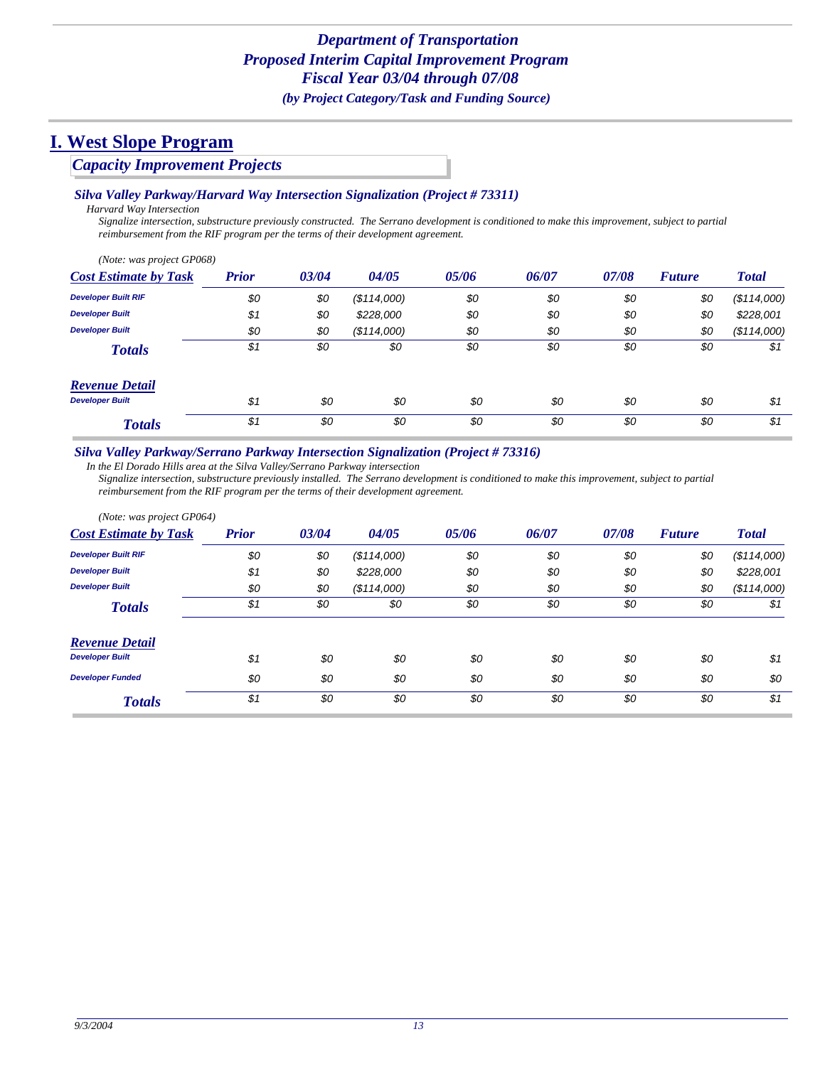### *Capacity Improvement Projects*

#### *Silva Valley Parkway/Harvard Way Intersection Signalization (Project # 73311)*

*Harvard Way Intersection*

*Signalize intersection, substructure previously constructed. The Serrano development is conditioned to make this improvement, subject to partial reimbursement from the RIF program per the terms of their development agreement.*

| (Note: was project GP068)    |              |       |             |       |       |       |               |              |
|------------------------------|--------------|-------|-------------|-------|-------|-------|---------------|--------------|
| <b>Cost Estimate by Task</b> | <b>Prior</b> | 03/04 | 04/05       | 05/06 | 06/07 | 07/08 | <b>Future</b> | <b>Total</b> |
| <b>Developer Built RIF</b>   | \$0          | \$0   | (\$114,000) | \$0   | \$0   | \$0   | \$0           | (\$114,000)  |
| <b>Developer Built</b>       | \$1          | \$0   | \$228,000   | \$0   | \$0   | \$0   | \$0           | \$228,001    |
| <b>Developer Built</b>       | \$0          | \$0   | (S114,000)  | \$0   | \$0   | \$0   | \$0           | (\$114,000)  |
| <b>Totals</b>                | \$1          | \$0   | \$0         | \$0   | \$0   | \$0   | \$0           | \$1          |
| <b>Revenue Detail</b>        |              |       |             |       |       |       |               |              |
| <b>Developer Built</b>       | \$1          | \$0   | \$0         | \$0   | \$0   | \$0   | \$0           | \$1          |
| <b>Totals</b>                | \$1          | \$0   | \$0         | \$0   | \$0   | \$0   | \$0           | \$1          |

#### *Silva Valley Parkway/Serrano Parkway Intersection Signalization (Project # 73316)*

*In the El Dorado Hills area at the Silva Valley/Serrano Parkway intersection*

*Signalize intersection, substructure previously installed. The Serrano development is conditioned to make this improvement, subject to partial reimbursement from the RIF program per the terms of their development agreement.*

| (Note: was project GP064)    |              |       |             |       |       |       |               |              |
|------------------------------|--------------|-------|-------------|-------|-------|-------|---------------|--------------|
| <b>Cost Estimate by Task</b> | <b>Prior</b> | 03/04 | 04/05       | 05/06 | 06/07 | 07/08 | <b>Future</b> | <b>Total</b> |
| <b>Developer Built RIF</b>   | \$0          | \$0   | (\$114,000) | \$0   | \$0   | \$0   | \$0           | (\$114,000)  |
| <b>Developer Built</b>       | \$1          | \$0   | \$228,000   | \$0   | \$0   | \$0   | \$0           | \$228,001    |
| <b>Developer Built</b>       | \$0          | \$0   | (\$114,000) | \$0   | \$0   | \$0   | \$0           | (\$114,000)  |
| <b>Totals</b>                | \$1          | \$0   | \$0         | \$0   | \$0   | \$0   | \$0           | \$1          |
| <b>Revenue Detail</b>        |              |       |             |       |       |       |               |              |
| <b>Developer Built</b>       | \$1          | \$0   | \$0         | \$0   | \$0   | \$0   | \$0           | \$1          |
| <b>Developer Funded</b>      | \$0          | \$0   | \$0         | \$0   | \$0   | \$0   | \$0           | \$0          |
| <b>Totals</b>                | \$1          | \$0   | \$0         | \$0   | \$0   | \$0   | \$0           | \$1          |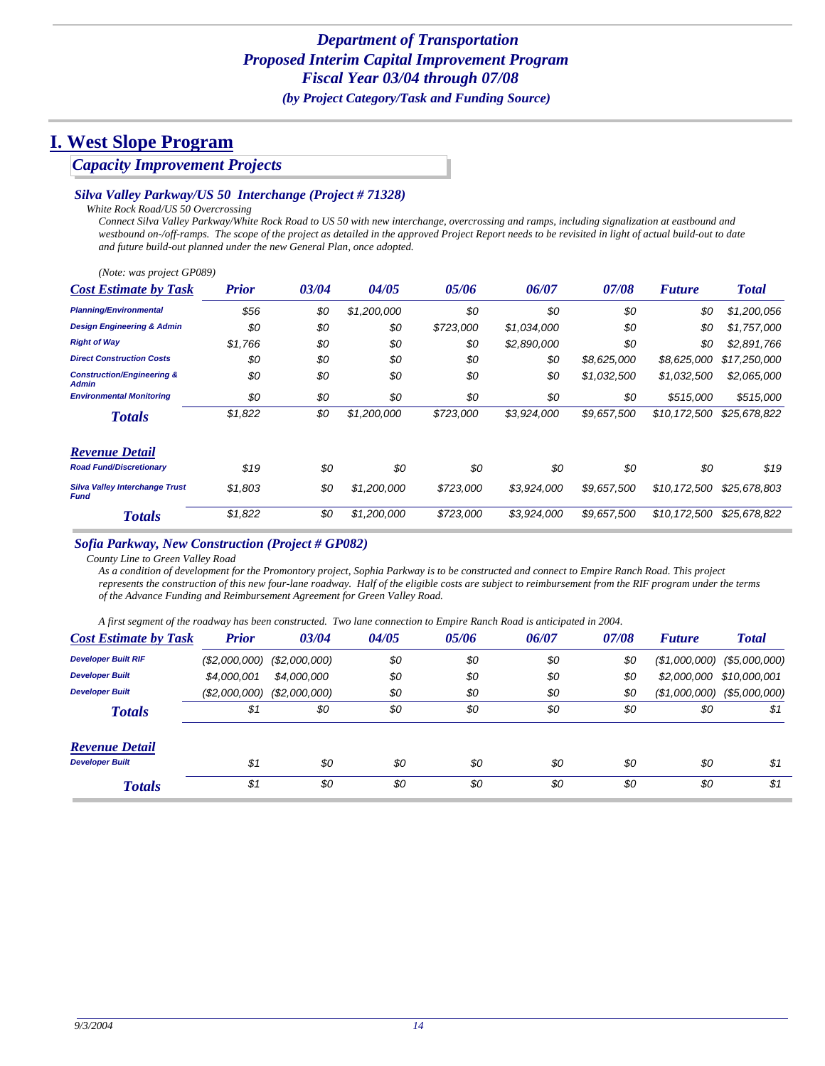### *Capacity Improvement Projects*

#### *Silva Valley Parkway/US 50 Interchange (Project # 71328)*

*White Rock Road/US 50 Overcrossing*

*Connect Silva Valley Parkway/White Rock Road to US 50 with new interchange, overcrossing and ramps, including signalization at eastbound and westbound on-/off-ramps. The scope of the project as detailed in the approved Project Report needs to be revisited in light of actual build-out to date and future build-out planned under the new General Plan, once adopted.*

| (Note: was project GP089)                             |              |       |             |           |             |             |               |              |
|-------------------------------------------------------|--------------|-------|-------------|-----------|-------------|-------------|---------------|--------------|
| <b>Cost Estimate by Task</b>                          | <b>Prior</b> | 03/04 | 04/05       | 05/06     | 06/07       | 07/08       | <b>Future</b> | <b>Total</b> |
| <b>Planning/Environmental</b>                         | \$56         | \$0   | \$1,200,000 | \$0       | \$0         | \$0         | \$0           | \$1,200,056  |
| <b>Design Engineering &amp; Admin</b>                 | \$0          | \$0   | \$0         | \$723,000 | \$1,034,000 | \$0         | \$0           | \$1,757,000  |
| <b>Right of Way</b>                                   | \$1,766      | \$0   | \$0         | \$0       | \$2,890,000 | \$0         | \$0           | \$2,891,766  |
| <b>Direct Construction Costs</b>                      | \$0          | \$0   | \$0         | \$0       | \$0         | \$8,625,000 | \$8,625,000   | \$17,250,000 |
| <b>Construction/Engineering &amp;</b><br><b>Admin</b> | \$0          | \$0   | \$0         | \$0       | \$0         | \$1,032,500 | \$1,032,500   | \$2,065,000  |
| <b>Environmental Monitoring</b>                       | \$0          | \$0   | \$0         | \$0       | \$0         | \$0         | \$515,000     | \$515,000    |
| <b>Totals</b>                                         | \$1,822      | \$0   | \$1,200,000 | \$723,000 | \$3,924,000 | \$9,657,500 | \$10,172,500  | \$25,678,822 |
| <b>Revenue Detail</b>                                 |              |       |             |           |             |             |               |              |
| <b>Road Fund/Discretionary</b>                        | \$19         | \$0   | \$0         | \$0       | \$0         | \$0         | \$0           | \$19         |
| <b>Silva Valley Interchange Trust</b><br><b>Fund</b>  | \$1,803      | \$0   | \$1,200,000 | \$723,000 | \$3,924,000 | \$9,657,500 | \$10,172,500  | \$25,678,803 |
| <b>Totals</b>                                         | \$1,822      | \$0   | \$1,200,000 | \$723,000 | \$3,924,000 | \$9.657.500 | \$10.172.500  | \$25,678,822 |

#### *Sofia Parkway, New Construction (Project # GP082)*

*County Line to Green Valley Road*

*As a condition of development for the Promontory project, Sophia Parkway is to be constructed and connect to Empire Ranch Road. This project represents the construction of this new four-lane roadway. Half of the eligible costs are subject to reimbursement from the RIF program under the terms of the Advance Funding and Reimbursement Agreement for Green Valley Road.* 

*A first segment of the roadway has been constructed. Two lane connection to Empire Ranch Road is anticipated in 2004.*

| <b>Cost Estimate by Task</b> | <b>Prior</b> | 03/04         | 04/05 | 05/06 | 06/07 | 07/08 | <b>Future</b> | <b>Total</b>                  |
|------------------------------|--------------|---------------|-------|-------|-------|-------|---------------|-------------------------------|
| <b>Developer Built RIF</b>   | (S2,000,000) | (\$2,000,000) | \$0   | \$0   | \$0   | \$0   |               | $($1,000,000)$ $($5,000,000)$ |
| <b>Developer Built</b>       | \$4,000,001  | \$4,000,000   | \$0   | \$0   | \$0   | \$0   |               | \$2,000,000 \$10,000,001      |
| <b>Developer Built</b>       | (S2,000,000) | (S2,000,000)  | \$0   | \$0   | \$0   | \$0   | (\$1,000,000) | (\$5,000,000)                 |
| <b>Totals</b>                | \$1          | \$0           | \$0   | \$0   | \$0   | \$0   | \$0           | \$1                           |
| <b>Revenue Detail</b>        |              |               |       |       |       |       |               |                               |
| <b>Developer Built</b>       | \$1          | \$0           | \$0   | \$0   | \$0   | \$0   | \$0           | \$1                           |
| <b>Totals</b>                | \$1          | \$0           | \$0   | \$0   | \$0   | \$0   | \$0           | \$1                           |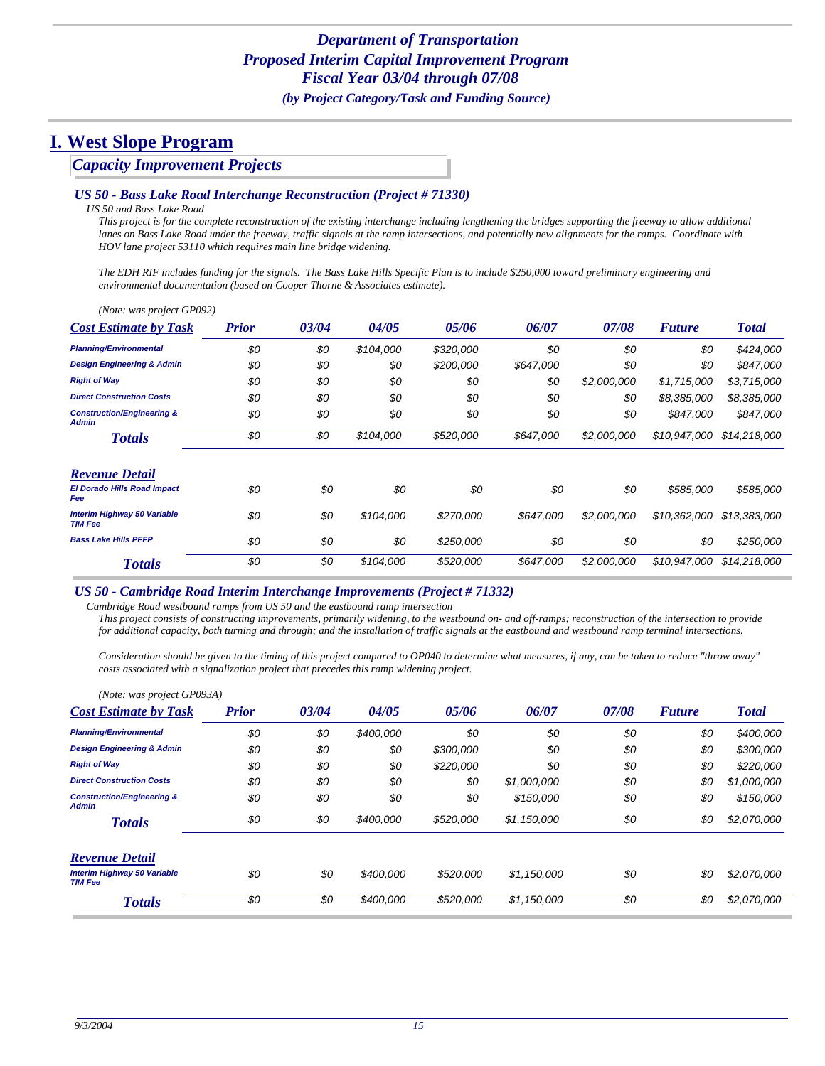### *Capacity Improvement Projects*

#### *US 50 - Bass Lake Road Interchange Reconstruction (Project # 71330)*

*US 50 and Bass Lake Road*

*This project is for the complete reconstruction of the existing interchange including lengthening the bridges supporting the freeway to allow additional lanes on Bass Lake Road under the freeway, traffic signals at the ramp intersections, and potentially new alignments for the ramps. Coordinate with HOV lane project 53110 which requires main line bridge widening.*

*The EDH RIF includes funding for the signals. The Bass Lake Hills Specific Plan is to include \$250,000 toward preliminary engineering and environmental documentation (based on Cooper Thorne & Associates estimate).*

| (Note: was project GP092)                             |              |       |           |           |           |             |               |              |
|-------------------------------------------------------|--------------|-------|-----------|-----------|-----------|-------------|---------------|--------------|
| <b>Cost Estimate by Task</b>                          | <b>Prior</b> | 03/04 | 04/05     | 05/06     | 06/07     | 07/08       | <b>Future</b> | <b>Total</b> |
| <b>Planning/Environmental</b>                         | \$0          | \$0   | \$104,000 | \$320,000 | \$0       | \$0         | \$0           | \$424,000    |
| <b>Design Engineering &amp; Admin</b>                 | \$0          | \$0   | \$0       | \$200,000 | \$647,000 | \$0         | \$0           | \$847,000    |
| <b>Right of Way</b>                                   | \$0          | \$0   | \$0       | \$0       | \$0       | \$2,000,000 | \$1,715,000   | \$3,715,000  |
| <b>Direct Construction Costs</b>                      | \$0          | \$0   | \$0       | \$0       | \$0       | \$0         | \$8,385,000   | \$8,385,000  |
| <b>Construction/Engineering &amp;</b><br><b>Admin</b> | \$0          | \$0   | \$0       | \$0       | \$0       | \$0         | \$847.000     | \$847,000    |
| <b>Totals</b>                                         | \$0          | \$0   | \$104,000 | \$520,000 | \$647,000 | \$2,000,000 | \$10.947.000  | \$14,218,000 |
| <b>Revenue Detail</b>                                 |              |       |           |           |           |             |               |              |
| <b>El Dorado Hills Road Impact</b><br>Fee             | \$0          | \$0   | \$0       | \$0       | \$0       | \$0         | \$585,000     | \$585,000    |
| <b>Interim Highway 50 Variable</b><br><b>TIM Fee</b>  | \$0          | \$0   | \$104,000 | \$270,000 | \$647,000 | \$2,000,000 | \$10,362,000  | \$13,383,000 |
| <b>Bass Lake Hills PFFP</b>                           | \$0          | \$0   | \$0       | \$250,000 | \$0       | \$0         | \$0           | \$250,000    |
| <b>Totals</b>                                         | \$0          | \$0   | \$104,000 | \$520,000 | \$647,000 | \$2,000,000 | \$10,947,000  | \$14,218,000 |

#### *US 50 - Cambridge Road Interim Interchange Improvements (Project # 71332)*

*Cambridge Road westbound ramps from US 50 and the eastbound ramp intersection*

*This project consists of constructing improvements, primarily widening, to the westbound on- and off-ramps; reconstruction of the intersection to provide for additional capacity, both turning and through; and the installation of traffic signals at the eastbound and westbound ramp terminal intersections.* 

*Consideration should be given to the timing of this project compared to OP040 to determine what measures, if any, can be taken to reduce "throw away" costs associated with a signalization project that precedes this ramp widening project.*

| (Note: was project GP093A)                            |              |       |           |           |             |       |               |              |
|-------------------------------------------------------|--------------|-------|-----------|-----------|-------------|-------|---------------|--------------|
| <b>Cost Estimate by Task</b>                          | <b>Prior</b> | 03/04 | 04/05     | 05/06     | 06/07       | 07/08 | <b>Future</b> | <b>Total</b> |
| <b>Planning/Environmental</b>                         | \$0          | \$0   | \$400,000 | \$0       | \$0         | \$0   | \$0           | \$400,000    |
| <b>Design Engineering &amp; Admin</b>                 | \$0          | \$0   | \$0       | \$300,000 | \$0         | \$0   | \$0           | \$300,000    |
| <b>Right of Way</b>                                   | \$0          | \$0   | \$0       | \$220,000 | \$0         | \$0   | \$0           | \$220,000    |
| <b>Direct Construction Costs</b>                      | \$0          | \$0   | \$0       | \$0       | \$1,000,000 | \$0   | \$0           | \$1,000,000  |
| <b>Construction/Engineering &amp;</b><br><b>Admin</b> | \$0          | \$0   | \$0       | \$0       | \$150,000   | \$0   | \$0           | \$150,000    |
| <b>Totals</b>                                         | \$0          | \$0   | \$400,000 | \$520,000 | \$1,150,000 | \$0   | \$0           | \$2,070,000  |
| <b>Revenue Detail</b>                                 |              |       |           |           |             |       |               |              |
| Interim Highway 50 Variable<br><b>TIM Fee</b>         | \$0          | \$0   | \$400,000 | \$520,000 | \$1,150,000 | \$0   | \$0           | \$2,070,000  |
| <b>Totals</b>                                         | \$0          | \$0   | \$400,000 | \$520,000 | \$1,150,000 | \$0   | \$0           | \$2,070,000  |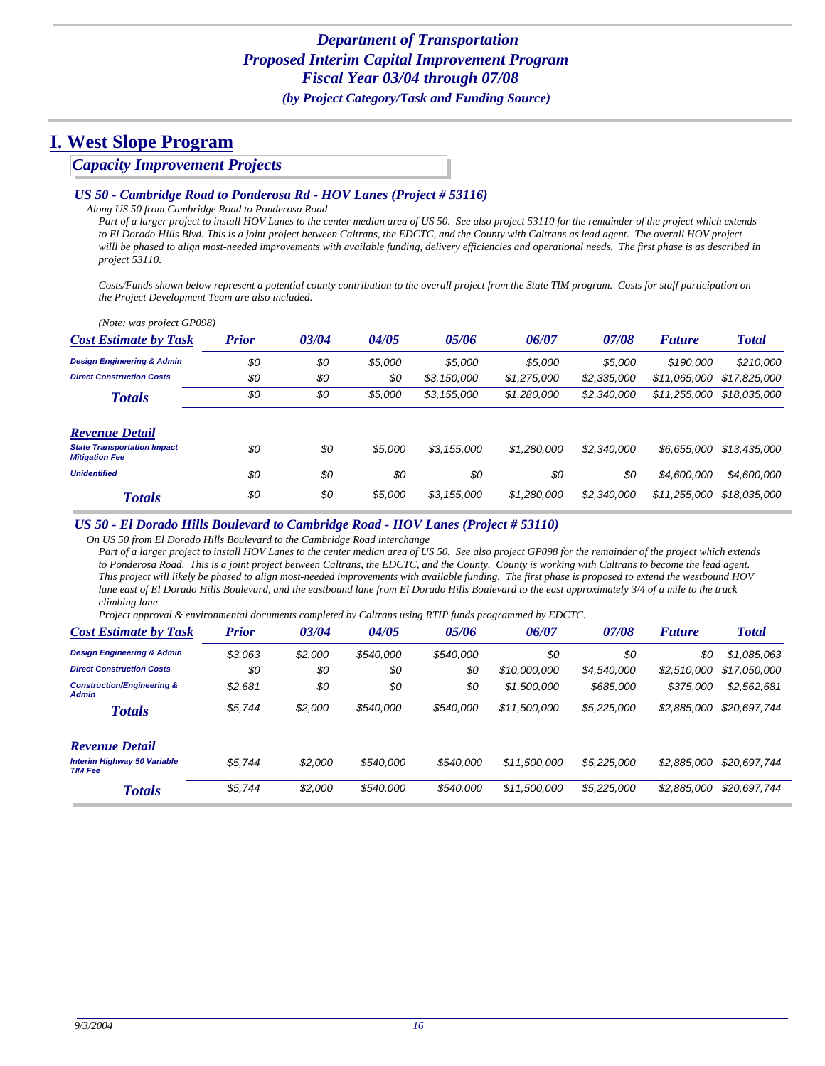### *Capacity Improvement Projects*

#### *US 50 - Cambridge Road to Ponderosa Rd - HOV Lanes (Project # 53116)*

*Along US 50 from Cambridge Road to Ponderosa Road*

*Part of a larger project to install HOV Lanes to the center median area of US 50. See also project 53110 for the remainder of the project which extends to El Dorado Hills Blvd. This is a joint project between Caltrans, the EDCTC, and the County with Caltrans as lead agent. The overall HOV project willl be phased to align most-needed improvements with available funding, delivery efficiencies and operational needs. The first phase is as described in project 53110.*

*Costs/Funds shown below represent a potential county contribution to the overall project from the State TIM program. Costs for staff participation on the Project Development Team are also included.*

| (Note: was project GP098)                                   |              |       |         |             |             |             |               |              |
|-------------------------------------------------------------|--------------|-------|---------|-------------|-------------|-------------|---------------|--------------|
| <b>Cost Estimate by Task</b>                                | <b>Prior</b> | 03/04 | 04/05   | 05/06       | 06/07       | 07/08       | <b>Future</b> | <b>Total</b> |
| <b>Design Engineering &amp; Admin</b>                       | \$0          | \$0   | \$5,000 | \$5,000     | \$5,000     | \$5,000     | \$190,000     | \$210,000    |
| <b>Direct Construction Costs</b>                            | \$0          | \$0   | \$0     | \$3,150,000 | \$1,275,000 | \$2,335,000 | \$11.065.000  | \$17,825,000 |
| <b>Totals</b>                                               | \$0          | \$0   | \$5.000 | \$3,155,000 | \$1,280,000 | \$2,340,000 | \$11.255.000  | \$18.035.000 |
| <b>Revenue Detail</b>                                       |              |       |         |             |             |             |               |              |
| <b>State Transportation Impact</b><br><b>Mitigation Fee</b> | \$0          | \$0   | \$5,000 | \$3,155,000 | \$1,280,000 | \$2,340,000 | \$6.655.000   | \$13,435,000 |
| <b>Unidentified</b>                                         | \$0          | \$0   | \$0     | \$0         | \$0         | \$0         | \$4,600,000   | \$4,600,000  |
| <b>Totals</b>                                               | \$0          | \$0   | \$5,000 | \$3,155,000 | \$1,280,000 | \$2,340,000 | \$11.255.000  | \$18,035,000 |

#### *US 50 - El Dorado Hills Boulevard to Cambridge Road - HOV Lanes (Project # 53110)*

*On US 50 from El Dorado Hills Boulevard to the Cambridge Road interchange*

*Part of a larger project to install HOV Lanes to the center median area of US 50. See also project GP098 for the remainder of the project which extends to Ponderosa Road. This is a joint project between Caltrans, the EDCTC, and the County. County is working with Caltrans to become the lead agent. This project will likely be phased to align most-needed improvements with available funding. The first phase is proposed to extend the westbound HOV lane east of El Dorado Hills Boulevard, and the eastbound lane from El Dorado Hills Boulevard to the east approximately 3/4 of a mile to the truck climbing lane.* 

*Project approval & environmental documents completed by Caltrans using RTIP funds programmed by EDCTC.*

| <b>Cost Estimate by Task</b>                          | <b>Prior</b> | 03/04   | 04/05     | 05/06     | 06/07        | 07/08       | <b>Future</b> | <b>Total</b> |
|-------------------------------------------------------|--------------|---------|-----------|-----------|--------------|-------------|---------------|--------------|
| <b>Design Engineering &amp; Admin</b>                 | \$3,063      | \$2,000 | \$540,000 | \$540,000 | \$0          | \$0         | \$0           | \$1,085,063  |
| <b>Direct Construction Costs</b>                      | \$0          | \$0     | \$0       | \$0       | \$10,000,000 | \$4,540,000 | \$2,510,000   | \$17,050,000 |
| <b>Construction/Engineering &amp;</b><br><b>Admin</b> | \$2,681      | \$0     | \$0       | \$0       | \$1,500,000  | \$685,000   | \$375,000     | \$2,562,681  |
| <b>Totals</b>                                         | \$5,744      | \$2,000 | \$540,000 | \$540,000 | \$11,500,000 | \$5,225,000 | \$2,885,000   | \$20,697,744 |
| <b>Revenue Detail</b>                                 |              |         |           |           |              |             |               |              |
| <b>Interim Highway 50 Variable</b><br><b>TIM Fee</b>  | \$5.744      | \$2,000 | \$540,000 | \$540,000 | \$11,500,000 | \$5,225,000 | \$2,885,000   | \$20,697,744 |
| <b>Totals</b>                                         | \$5,744      | \$2,000 | \$540,000 | \$540,000 | \$11,500,000 | \$5,225,000 | \$2,885,000   | \$20,697,744 |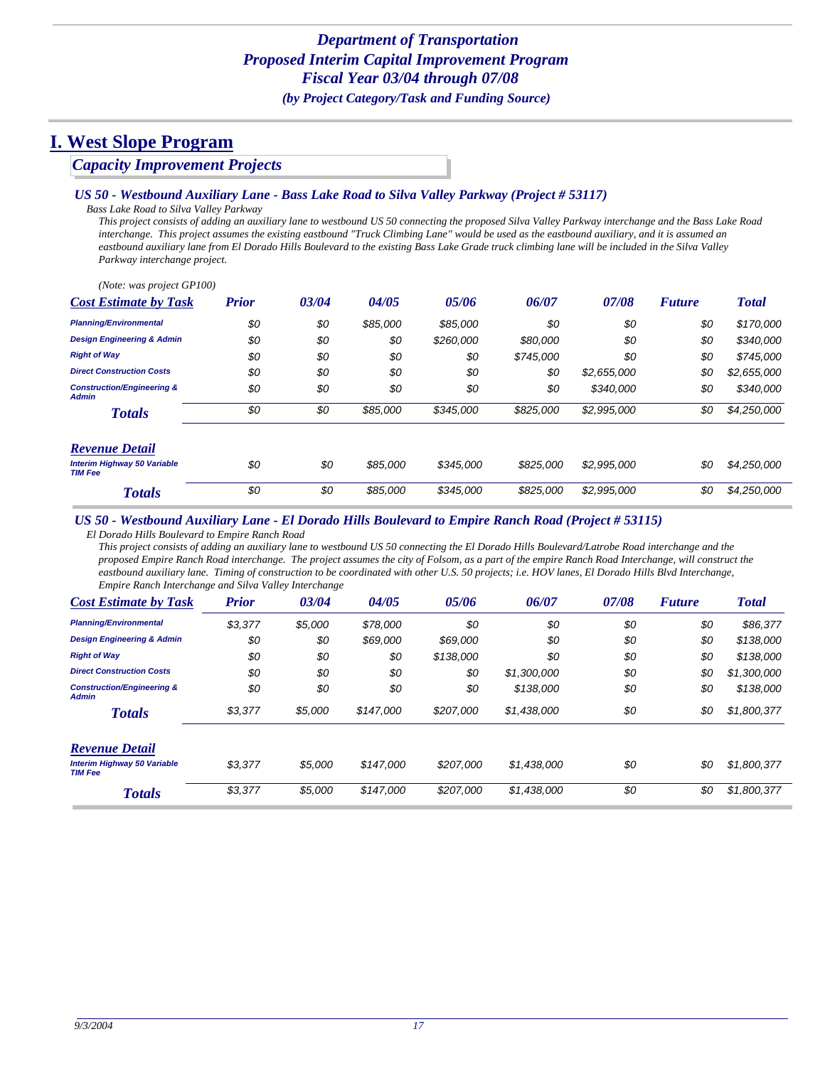### *Capacity Improvement Projects*

#### *US 50 - Westbound Auxiliary Lane - Bass Lake Road to Silva Valley Parkway (Project # 53117)*

*Bass Lake Road to Silva Valley Parkway*

*This project consists of adding an auxiliary lane to westbound US 50 connecting the proposed Silva Valley Parkway interchange and the Bass Lake Road interchange. This project assumes the existing eastbound "Truck Climbing Lane" would be used as the eastbound auxiliary, and it is assumed an eastbound auxiliary lane from El Dorado Hills Boulevard to the existing Bass Lake Grade truck climbing lane will be included in the Silva Valley Parkway interchange project.*

| (Note: was project GP100)                             |              |       |          |           |           |             |               |              |
|-------------------------------------------------------|--------------|-------|----------|-----------|-----------|-------------|---------------|--------------|
| <b>Cost Estimate by Task</b>                          | <b>Prior</b> | 03/04 | 04/05    | 05/06     | 06/07     | 07/08       | <b>Future</b> | <b>Total</b> |
| <b>Planning/Environmental</b>                         | \$0          | \$0   | \$85,000 | \$85,000  | \$0       | \$0         | \$0           | \$170,000    |
| <b>Design Engineering &amp; Admin</b>                 | \$0          | \$0   | \$0      | \$260,000 | \$80,000  | \$0         | \$0           | \$340,000    |
| <b>Right of Way</b>                                   | \$0          | \$0   | \$0      | \$0       | \$745,000 | \$0         | \$0           | \$745,000    |
| <b>Direct Construction Costs</b>                      | \$0          | \$0   | \$0      | \$0       | \$0       | \$2,655,000 | \$0           | \$2,655,000  |
| <b>Construction/Engineering &amp;</b><br><b>Admin</b> | \$0          | \$0   | \$0      | \$0       | \$0       | \$340,000   | \$0           | \$340,000    |
| <b>Totals</b>                                         | \$0          | \$0   | \$85,000 | \$345,000 | \$825,000 | \$2,995,000 | \$0           | \$4,250,000  |
| <b>Revenue Detail</b>                                 |              |       |          |           |           |             |               |              |
| <b>Interim Highway 50 Variable</b><br><b>TIM Fee</b>  | \$0          | \$0   | \$85,000 | \$345,000 | \$825,000 | \$2,995,000 | \$0           | \$4,250,000  |
| <b>Totals</b>                                         | \$0          | \$0   | \$85,000 | \$345,000 | \$825,000 | \$2,995,000 | \$0           | \$4,250,000  |

#### *US 50 - Westbound Auxiliary Lane - El Dorado Hills Boulevard to Empire Ranch Road (Project # 53115)*

*El Dorado Hills Boulevard to Empire Ranch Road*

*This project consists of adding an auxiliary lane to westbound US 50 connecting the El Dorado Hills Boulevard/Latrobe Road interchange and the proposed Empire Ranch Road interchange. The project assumes the city of Folsom, as a part of the empire Ranch Road Interchange, will construct the eastbound auxiliary lane. Timing of construction to be coordinated with other U.S. 50 projects; i.e. HOV lanes, El Dorado Hills Blvd Interchange, Empire Ranch Interchange and Silva Valley Interchange*

| <b>Cost Estimate by Task</b>                          | <b>Prior</b> | 03/04   | 04/05     | 05/06     | 06/07       | 07/08 | <b>Future</b> | <b>Total</b> |
|-------------------------------------------------------|--------------|---------|-----------|-----------|-------------|-------|---------------|--------------|
| <b>Planning/Environmental</b>                         | \$3,377      | \$5,000 | \$78,000  | \$0       | \$0         | \$0   | \$0           | \$86,377     |
| <b>Design Engineering &amp; Admin</b>                 | \$0          | \$0     | \$69,000  | \$69,000  | \$0         | \$0   | \$0           | \$138,000    |
| <b>Right of Way</b>                                   | \$0          | \$0     | \$0       | \$138,000 | \$0         | \$0   | \$0           | \$138,000    |
| <b>Direct Construction Costs</b>                      | \$0          | \$0     | \$0       | \$0       | \$1,300,000 | \$0   | \$0           | \$1,300,000  |
| <b>Construction/Engineering &amp;</b><br><b>Admin</b> | \$0          | \$0     | \$0       | \$0       | \$138,000   | \$0   | \$0           | \$138,000    |
| <b>Totals</b>                                         | \$3,377      | \$5,000 | \$147.000 | \$207.000 | \$1,438,000 | \$0   | \$0           | \$1,800,377  |
| <b>Revenue Detail</b>                                 |              |         |           |           |             |       |               |              |
| <b>Interim Highway 50 Variable</b><br><b>TIM Fee</b>  | \$3,377      | \$5,000 | \$147.000 | \$207,000 | \$1,438,000 | \$0   | \$0           | \$1,800,377  |
| <b>Totals</b>                                         | \$3,377      | \$5,000 | \$147,000 | \$207.000 | \$1,438,000 | \$0   | \$0           | \$1,800,377  |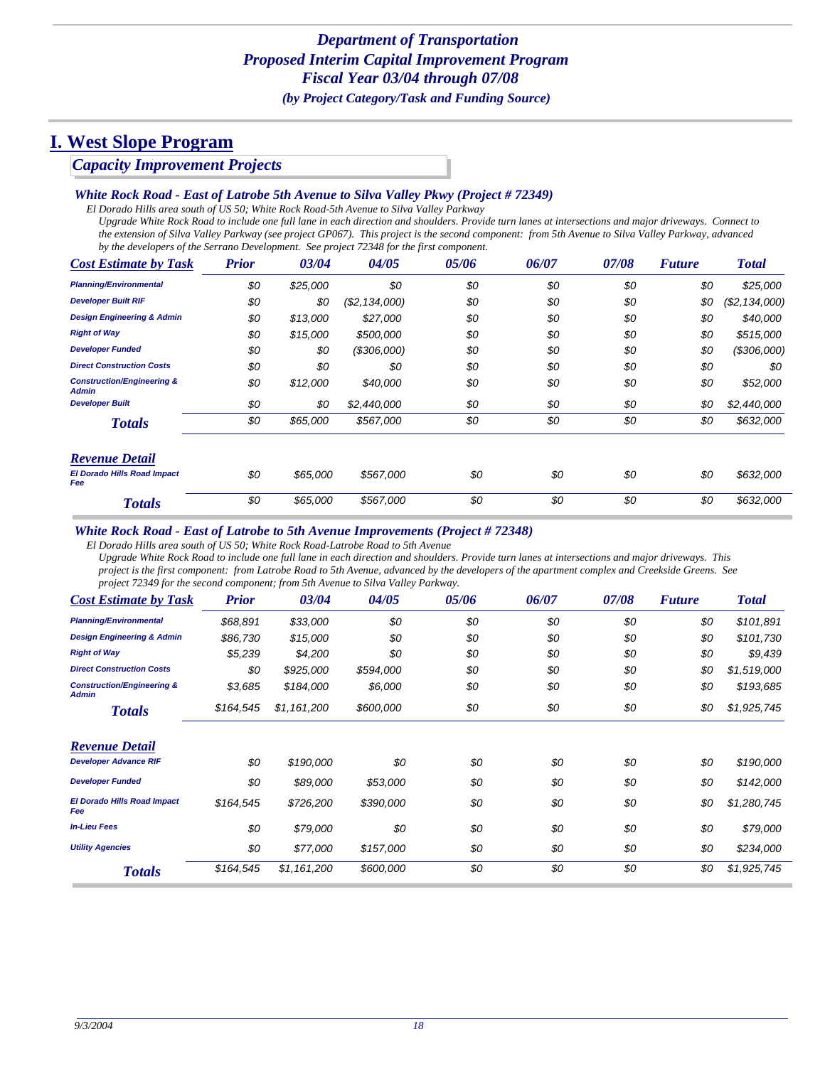### *Capacity Improvement Projects*

#### *White Rock Road - East of Latrobe 5th Avenue to Silva Valley Pkwy (Project # 72349)*

*El Dorado Hills area south of US 50; White Rock Road-5th Avenue to Silva Valley Parkway*

*Upgrade White Rock Road to include one full lane in each direction and shoulders. Provide turn lanes at intersections and major driveways. Connect to the extension of Silva Valley Parkway (see project GP067). This project is the second component: from 5th Avenue to Silva Valley Parkway, advanced by the developers of the Serrano Development. See project 72348 for the first component.*

| <b>Cost Estimate by Task</b>                          | <b>Prior</b> | 03/04    | 04/05          | 05/06 | 06/07 | 07/08 | <b>Future</b> | <b>Total</b>   |
|-------------------------------------------------------|--------------|----------|----------------|-------|-------|-------|---------------|----------------|
| <b>Planning/Environmental</b>                         | \$0          | \$25,000 | \$0            | \$0   | \$0   | \$0   | \$0           | \$25,000       |
| <b>Developer Built RIF</b>                            | \$0          | \$0      | (\$2, 134,000) | \$0   | \$0   | \$0   | \$0           | (S2, 134, 000) |
| <b>Design Engineering &amp; Admin</b>                 | \$0          | \$13,000 | \$27,000       | \$0   | \$0   | \$0   | \$0           | \$40,000       |
| <b>Right of Way</b>                                   | \$0          | \$15,000 | \$500,000      | \$0   | \$0   | \$0   | \$0           | \$515,000      |
| <b>Developer Funded</b>                               | \$0          | \$0      | (S306,000)     | \$0   | \$0   | \$0   | \$0           | (\$306,000)    |
| <b>Direct Construction Costs</b>                      | \$0          | \$0      | \$0            | \$0   | \$0   | \$0   | \$0           | \$0            |
| <b>Construction/Engineering &amp;</b><br><b>Admin</b> | \$0          | \$12,000 | \$40,000       | \$0   | \$0   | \$0   | \$0           | \$52,000       |
| <b>Developer Built</b>                                | \$0          | \$0      | \$2,440,000    | \$0   | \$0   | \$0   | \$0           | \$2,440,000    |
| <b>Totals</b>                                         | \$0          | \$65,000 | \$567,000      | \$0   | \$0   | \$0   | \$0           | \$632,000      |
| <b>Revenue Detail</b>                                 |              |          |                |       |       |       |               |                |
| <b>El Dorado Hills Road Impact</b><br>Fee             | \$0          | \$65,000 | \$567,000      | \$0   | \$0   | \$0   | \$0           | \$632,000      |
| <b>Totals</b>                                         | \$0          | \$65,000 | \$567,000      | \$0   | \$0   | \$0   | \$0           | \$632,000      |

#### *White Rock Road - East of Latrobe to 5th Avenue Improvements (Project # 72348)*

*El Dorado Hills area south of US 50; White Rock Road-Latrobe Road to 5th Avenue*

*Upgrade White Rock Road to include one full lane in each direction and shoulders. Provide turn lanes at intersections and major driveways. This project is the first component: from Latrobe Road to 5th Avenue, advanced by the developers of the apartment complex and Creekside Greens. See project 72349 for the second component; from 5th Avenue to Silva Valley Parkway.*

| <b>Cost Estimate by Task</b>                          | <b>Prior</b> | 03/04       | 04/05     | 05/06 | 06/07 | 07/08 | <b>Future</b> | <b>Total</b> |
|-------------------------------------------------------|--------------|-------------|-----------|-------|-------|-------|---------------|--------------|
| <b>Planning/Environmental</b>                         | \$68,891     | \$33,000    | \$0       | \$0   | \$0   | \$0   | \$0           | \$101,891    |
| <b>Design Engineering &amp; Admin</b>                 | \$86,730     | \$15,000    | \$0       | \$0   | \$0   | \$0   | \$0           | \$101,730    |
| <b>Right of Way</b>                                   | \$5,239      | \$4,200     | \$0       | \$0   | \$0   | \$0   | \$0           | \$9,439      |
| <b>Direct Construction Costs</b>                      | \$0          | \$925,000   | \$594,000 | \$0   | \$0   | \$0   | \$0           | \$1,519,000  |
| <b>Construction/Engineering &amp;</b><br><b>Admin</b> | \$3,685      | \$184,000   | \$6,000   | \$0   | \$0   | \$0   | \$0           | \$193,685    |
| <b>Totals</b>                                         | \$164,545    | \$1,161,200 | \$600,000 | \$0   | \$0   | \$0   | \$0           | \$1,925,745  |
| <b>Revenue Detail</b>                                 |              |             |           |       |       |       |               |              |
| <b>Developer Advance RIF</b>                          | \$0          | \$190,000   | \$0       | \$0   | \$0   | \$0   | \$0           | \$190,000    |
| <b>Developer Funded</b>                               | \$0          | \$89,000    | \$53,000  | \$0   | \$0   | \$0   | \$0           | \$142,000    |
| <b>El Dorado Hills Road Impact</b><br>Fee             | \$164,545    | \$726,200   | \$390,000 | \$0   | \$0   | \$0   | \$0           | \$1,280,745  |
| <b>In-Lieu Fees</b>                                   | \$0          | \$79,000    | \$0       | \$0   | \$0   | \$0   | \$0           | \$79,000     |
| <b>Utility Agencies</b>                               | \$0          | \$77,000    | \$157,000 | \$0   | \$0   | \$0   | \$0           | \$234,000    |
| <b>Totals</b>                                         | \$164,545    | \$1,161,200 | \$600,000 | \$0   | \$0   | \$0   | \$0           | \$1,925,745  |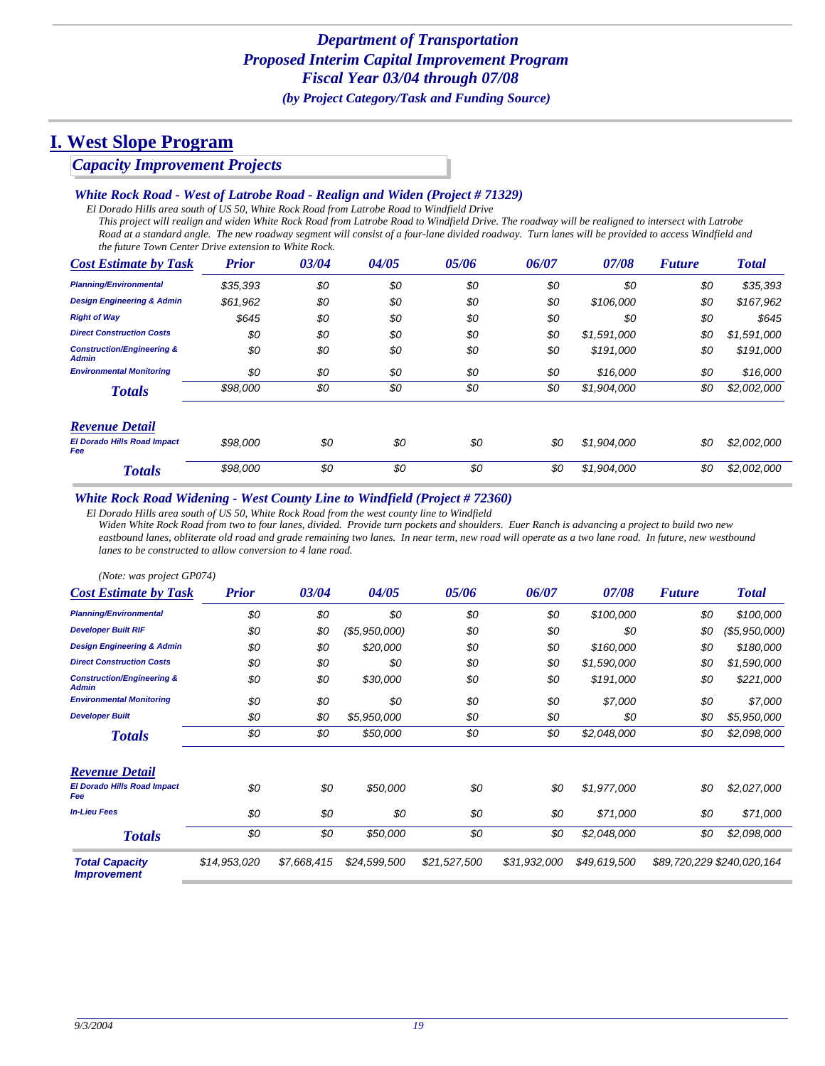### *Capacity Improvement Projects*

#### *White Rock Road - West of Latrobe Road - Realign and Widen (Project # 71329)*

*El Dorado Hills area south of US 50, White Rock Road from Latrobe Road to Windfield Drive*

*This project will realign and widen White Rock Road from Latrobe Road to Windfield Drive. The roadway will be realigned to intersect with Latrobe*  Road at a standard angle. The new roadway segment will consist of a four-lane divided roadway. Turn lanes will be provided to access Windfield and *the future Town Center Drive extension to White Rock.*

| <b>Cost Estimate by Task</b>                   | <b>Prior</b> | 03/04 | 04/05 | 05/06 | 06/07 | 07/08       | <b>Future</b> | <b>Total</b> |
|------------------------------------------------|--------------|-------|-------|-------|-------|-------------|---------------|--------------|
| <b>Planning/Environmental</b>                  | \$35,393     | \$0   | \$0   | \$0   | \$0   | \$0         | \$0           | \$35,393     |
| <b>Design Engineering &amp; Admin</b>          | \$61,962     | \$0   | \$0   | \$0   | \$0   | \$106,000   | \$0           | \$167,962    |
| <b>Right of Way</b>                            | \$645        | \$0   | \$0   | \$0   | \$0   | \$0         | \$0           | \$645        |
| <b>Direct Construction Costs</b>               | \$0          | \$0   | \$0   | \$0   | \$0   | \$1,591,000 | \$0           | \$1,591,000  |
| <b>Construction/Engineering &amp;</b><br>Admin | \$0          | \$0   | \$0   | \$0   | \$0   | \$191,000   | \$0           | \$191,000    |
| <b>Environmental Monitoring</b>                | \$0          | \$0   | \$0   | \$0   | \$0   | \$16,000    | \$0           | \$16,000     |
| <b>Totals</b>                                  | \$98,000     | \$0   | \$0   | \$0   | \$0   | \$1,904,000 | \$0           | \$2,002,000  |
| <b>Revenue Detail</b>                          |              |       |       |       |       |             |               |              |
| <b>El Dorado Hills Road Impact</b><br>Fee      | \$98,000     | \$0   | \$0   | \$0   | \$0   | \$1,904,000 | \$0           | \$2,002,000  |
| <b>Totals</b>                                  | \$98,000     | \$0   | \$0   | \$0   | \$0   | \$1,904,000 | \$0           | \$2,002,000  |

#### *White Rock Road Widening - West County Line to Windfield (Project # 72360)*

*El Dorado Hills area south of US 50, White Rock Road from the west county line to Windfield*

*Widen White Rock Road from two to four lanes, divided. Provide turn pockets and shoulders. Euer Ranch is advancing a project to build two new*  eastbound lanes, obliterate old road and grade remaining two lanes. In near term, new road will operate as a two lane road. In future, new westbound *lanes to be constructed to allow conversion to 4 lane road.*

| (Note: was project GP074)                             |              |             |               |              |              |              |               |                            |
|-------------------------------------------------------|--------------|-------------|---------------|--------------|--------------|--------------|---------------|----------------------------|
| <b>Cost Estimate by Task</b>                          | <b>Prior</b> | 03/04       | 04/05         | 05/06        | 06/07        | 07/08        | <b>Future</b> | <b>Total</b>               |
| <b>Planning/Environmental</b>                         | \$0          | \$0         | \$0           | \$0          | \$0          | \$100,000    | \$0           | \$100,000                  |
| <b>Developer Built RIF</b>                            | \$0          | \$0         | (\$5,950,000) | \$0          | \$0          | \$0          | \$0           | (\$5,950,000)              |
| <b>Design Engineering &amp; Admin</b>                 | \$0          | \$0         | \$20,000      | \$0          | \$0          | \$160,000    | \$0           | \$180,000                  |
| <b>Direct Construction Costs</b>                      | \$0          | \$0         | \$0           | \$0          | \$0          | \$1,590,000  | \$0           | \$1,590,000                |
| <b>Construction/Engineering &amp;</b><br><b>Admin</b> | \$0          | \$0         | \$30,000      | \$0          | \$0          | \$191,000    | \$0           | \$221,000                  |
| <b>Environmental Monitoring</b>                       | \$0          | \$0         | \$0           | \$0          | \$0          | \$7,000      | \$0           | \$7,000                    |
| <b>Developer Built</b>                                | \$0          | \$0         | \$5,950,000   | \$0          | \$0          | \$0          | \$0           | \$5,950,000                |
| <b>Totals</b>                                         | \$0          | \$0         | \$50,000      | \$0          | \$0          | \$2,048,000  | \$0           | \$2,098,000                |
| <b>Revenue Detail</b>                                 |              |             |               |              |              |              |               |                            |
| <b>El Dorado Hills Road Impact</b><br>Fee             | \$0          | \$0         | \$50,000      | \$0          | \$0          | \$1,977,000  | \$0           | \$2,027,000                |
| <b>In-Lieu Fees</b>                                   | \$0          | \$0         | \$0           | \$0          | \$0          | \$71,000     | \$0           | \$71,000                   |
| <b>Totals</b>                                         | \$0          | \$0         | \$50,000      | \$0          | \$0          | \$2,048,000  | \$0           | \$2,098,000                |
| <b>Total Capacity</b><br><i><b>Improvement</b></i>    | \$14,953,020 | \$7,668,415 | \$24,599,500  | \$21,527,500 | \$31,932,000 | \$49,619,500 |               | \$89,720,229 \$240,020,164 |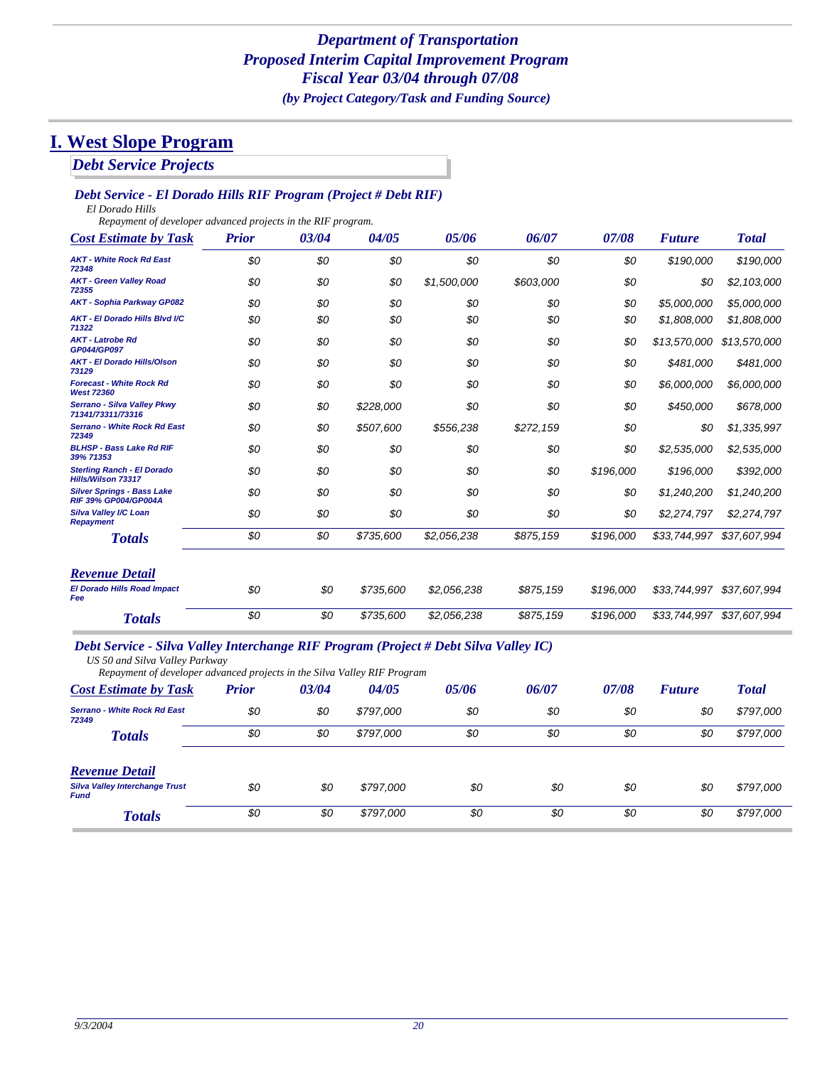*Debt Service Projects*

### *Debt Service - El Dorado Hills RIF Program (Project # Debt RIF)*

*El Dorado Hills*

*Repayment of developer advanced projects in the RIF program.*

| <b>Cost Estimate by Task</b>                                     | <b>Prior</b> | 03/04 | 04/05     | 05/06       | 06/07     | 07/08     | <b>Future</b> | <b>Total</b> |
|------------------------------------------------------------------|--------------|-------|-----------|-------------|-----------|-----------|---------------|--------------|
| <b>AKT - White Rock Rd East</b><br>72348                         | \$0          | \$0   | \$0       | \$0         | \$0       | \$0       | \$190,000     | \$190,000    |
| <b>AKT - Green Valley Road</b><br>72355                          | \$0          | \$0   | \$0       | \$1,500,000 | \$603,000 | \$0       | \$0           | \$2,103,000  |
| <b>AKT - Sophia Parkway GP082</b>                                | \$0          | \$0   | \$0       | \$0         | \$0       | \$0       | \$5,000,000   | \$5,000,000  |
| <b>AKT - El Dorado Hills Blvd I/C</b><br>71322                   | \$0          | \$0   | \$0       | \$0         | \$0       | \$0       | \$1,808,000   | \$1,808,000  |
| <b>AKT - Latrobe Rd</b><br>GP044/GP097                           | \$0          | \$0   | \$0       | \$0         | \$0       | \$0       | \$13,570,000  | \$13,570,000 |
| <b>AKT - El Dorado Hills/Olson</b><br>73129                      | \$0          | \$0   | \$0       | \$0         | \$0       | \$0       | \$481,000     | \$481,000    |
| <b>Forecast - White Rock Rd</b><br><b>West 72360</b>             | \$0          | \$0   | \$0       | \$0         | \$0       | \$0       | \$6,000,000   | \$6,000,000  |
| Serrano - Silva Valley Pkwy<br>71341/73311/73316                 | \$0          | \$0   | \$228,000 | \$0         | \$0       | \$0       | \$450,000     | \$678,000    |
| <b>Serrano - White Rock Rd East</b><br>72349                     | \$0          | \$0   | \$507,600 | \$556,238   | \$272,159 | \$0       | \$0           | \$1,335,997  |
| <b>BLHSP - Bass Lake Rd RIF</b><br>39% 71353                     | \$0          | \$0   | \$0       | \$0         | \$0       | \$0       | \$2,535,000   | \$2,535,000  |
| <b>Sterling Ranch - El Dorado</b><br>Hills/Wilson 73317          | \$0          | \$0   | \$0       | \$0         | \$0       | \$196,000 | \$196,000     | \$392,000    |
| <b>Silver Springs - Bass Lake</b><br><b>RIF 39% GP004/GP004A</b> | \$0          | \$0   | \$0       | \$0         | \$0       | \$0       | \$1,240,200   | \$1,240,200  |
| Silva Valley I/C Loan<br><b>Repayment</b>                        | \$0          | \$0   | \$0       | \$0         | \$0       | \$0       | \$2,274,797   | \$2,274,797  |
| <b>Totals</b>                                                    | \$0          | \$0   | \$735,600 | \$2,056,238 | \$875,159 | \$196,000 | \$33,744,997  | \$37,607,994 |
| <b>Revenue Detail</b>                                            |              |       |           |             |           |           |               |              |
| <b>El Dorado Hills Road Impact</b><br>Fee                        | \$0          | \$0   | \$735,600 | \$2,056,238 | \$875,159 | \$196,000 | \$33,744,997  | \$37,607,994 |

#### *Debt Service - Silva Valley Interchange RIF Program (Project # Debt Silva Valley IC)*

*US 50 and Silva Valley Parkway*

| Repayment of developer advanced projects in the Silva Valley RIF Program |              |       |           |       |       |       |               |              |
|--------------------------------------------------------------------------|--------------|-------|-----------|-------|-------|-------|---------------|--------------|
| <b>Cost Estimate by Task</b>                                             | <b>Prior</b> | 03/04 | 04/05     | 05/06 | 06/07 | 07/08 | <b>Future</b> | <b>Total</b> |
| <b>Serrano - White Rock Rd East</b><br>72349                             | \$0          | \$0   | \$797,000 | \$0   | \$0   | \$0   | \$0           | \$797,000    |
| <b>Totals</b>                                                            | \$0          | \$0   | \$797.000 | \$0   | \$0   | \$0   | \$0           | \$797,000    |
| <b>Revenue Detail</b>                                                    |              |       |           |       |       |       |               |              |
| <b>Silva Valley Interchange Trust</b><br><b>Fund</b>                     | \$0          | \$0   | \$797.000 | \$0   | \$0   | \$0   | \$0           | \$797,000    |
| <b>Totals</b>                                                            | \$0          | \$0   | \$797,000 | \$0   | \$0   | \$0   | \$0           | \$797,000    |

*Totals \$0 \$0 \$735,600 \$2,056,238 \$875,159 \$196,000 \$33,744,997 \$37,607,994*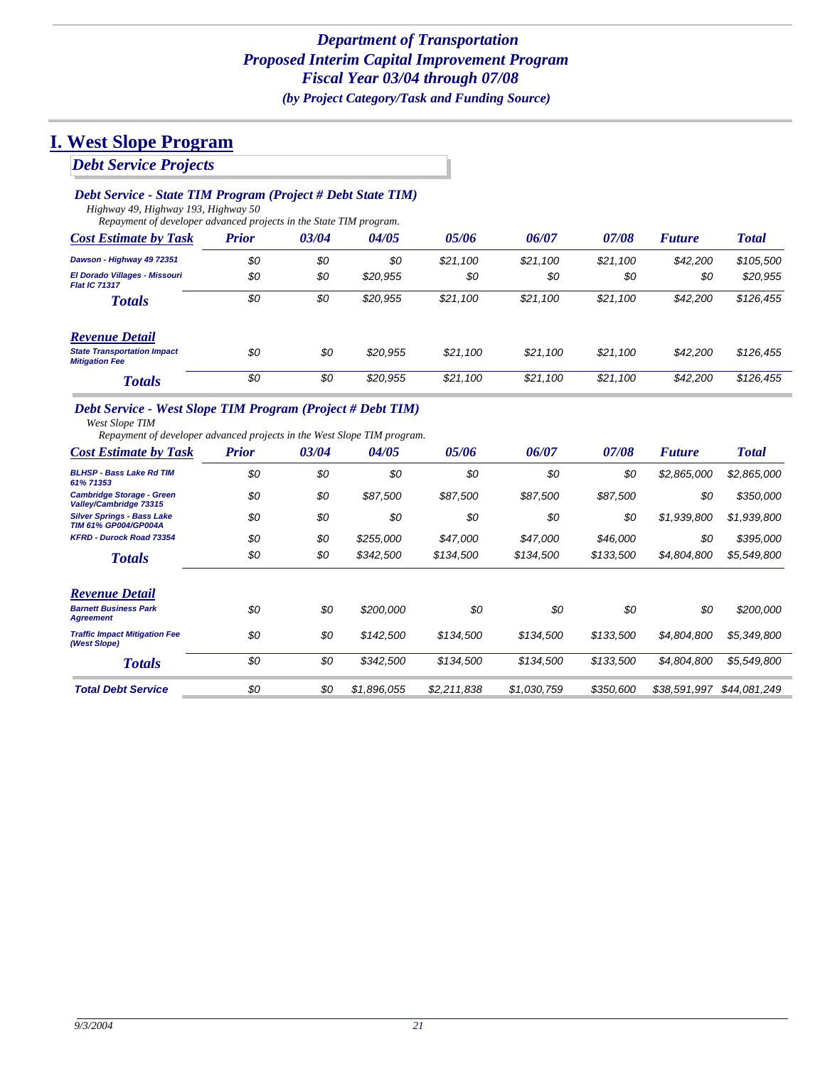### *Debt Service - State TIM Program (Project # Debt State TIM)*

*Highway 49, Highway 193, Highway 50 Repayment of developer advanced projects in the State TIM program.*

| <b>Cost Estimate by Task</b>                                | <b>Prior</b> | 03/04 | 04/05    | 05/06    | 06/07    | 07/08    | <b>Future</b> | <b>Total</b> |
|-------------------------------------------------------------|--------------|-------|----------|----------|----------|----------|---------------|--------------|
| Dawson - Highway 49 72351                                   | \$0          | \$0   | \$0      | \$21,100 | \$21.100 | \$21.100 | \$42,200      | \$105,500    |
| El Dorado Villages - Missouri<br><b>Flat IC 71317</b>       | \$0          | \$0   | \$20,955 | \$0      | \$0      | \$0      | \$0           | \$20,955     |
| <b>Totals</b>                                               | \$0          | \$0   | \$20,955 | \$21,100 | \$21,100 | \$21,100 | \$42,200      | \$126,455    |
| <b>Revenue Detail</b>                                       |              |       |          |          |          |          |               |              |
| <b>State Transportation Impact</b><br><b>Mitigation Fee</b> | \$0          | \$0   | \$20,955 | \$21,100 | \$21,100 | \$21,100 | \$42,200      | \$126,455    |
| <b>Totals</b>                                               | \$0          | \$0   | \$20,955 | \$21,100 | \$21.100 | \$21.100 | \$42,200      | \$126,455    |

### *Debt Service - West Slope TIM Program (Project # Debt TIM)*

*West Slope TIM*

*Repayment of developer advanced projects in the West Slope TIM program.*

| <b>Cost Estimate by Task</b>                                     | <b>Prior</b> | 03/04 | 04/05       | 05/06       | 06/07       | 07/08     | <b>Future</b> | <b>Total</b> |
|------------------------------------------------------------------|--------------|-------|-------------|-------------|-------------|-----------|---------------|--------------|
| <b>BLHSP - Bass Lake Rd TIM</b><br>61% 71353                     | \$0          | \$0   | \$0         | \$0         | \$0         | \$0       | \$2,865,000   | \$2,865,000  |
| <b>Cambridge Storage - Green</b><br>Valley/Cambridge 73315       | \$0          | \$0   | \$87,500    | \$87,500    | \$87.500    | \$87,500  | \$0           | \$350,000    |
| <b>Silver Springs - Bass Lake</b><br><b>TIM 61% GP004/GP004A</b> | \$0          | \$0   | \$0         | \$0         | \$0         | \$0       | \$1,939,800   | \$1,939,800  |
| <b>KFRD - Durock Road 73354</b>                                  | \$0          | \$0   | \$255,000   | \$47,000    | \$47.000    | \$46,000  | \$0           | \$395,000    |
| <b>Totals</b>                                                    | \$0          | \$0   | \$342,500   | \$134,500   | \$134,500   | \$133,500 | \$4,804,800   | \$5,549,800  |
| <b>Revenue Detail</b>                                            |              |       |             |             |             |           |               |              |
| <b>Barnett Business Park</b><br><b>Agreement</b>                 | \$0          | \$0   | \$200,000   | \$0         | \$0         | \$0       | \$0           | \$200,000    |
| <b>Traffic Impact Mitigation Fee</b><br>(West Slope)             | \$0          | \$0   | \$142,500   | \$134,500   | \$134,500   | \$133,500 | \$4,804,800   | \$5,349,800  |
| <b>Totals</b>                                                    | \$0          | \$0   | \$342,500   | \$134.500   | \$134,500   | \$133.500 | \$4.804.800   | \$5,549,800  |
| <b>Total Debt Service</b>                                        | \$0          | \$0   | \$1,896,055 | \$2,211,838 | \$1,030,759 | \$350,600 | \$38,591,997  | \$44,081,249 |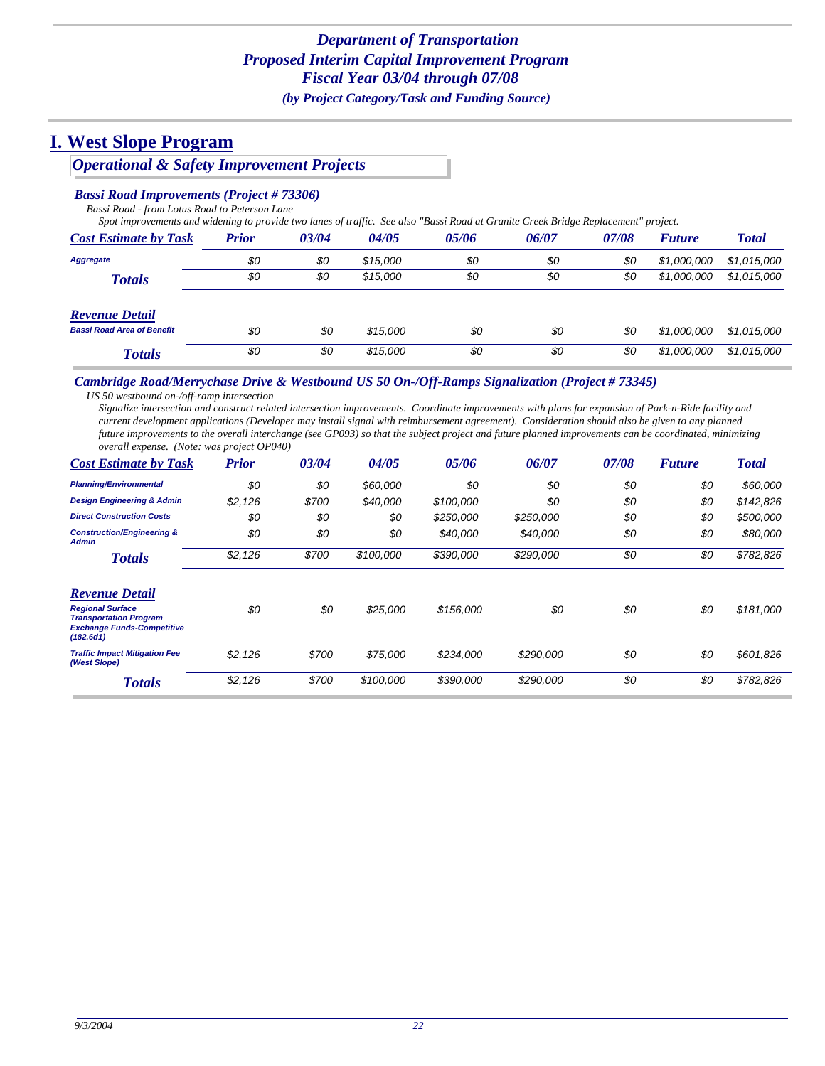## *Operational & Safety Improvement Projects*

#### *Bassi Road Improvements (Project # 73306)*

*Bassi Road - from Lotus Road to Peterson Lane*

*Spot improvements and widening to provide two lanes of traffic. See also "Bassi Road at Granite Creek Bridge Replacement" project.*

| <b>Cost Estimate by Task</b>      | Prior | 03/04 | 04/05    | 05/06 | 06/07 | 07/08 | <b>Future</b> | <b>Total</b> |
|-----------------------------------|-------|-------|----------|-------|-------|-------|---------------|--------------|
| Aggregate                         | \$0   | \$0   | \$15,000 | \$0   | \$0   | \$0   | \$1,000,000   | \$1,015,000  |
| <b>Totals</b>                     | \$0   | \$0   | \$15,000 | \$0   | \$0   | \$0   | \$1,000,000   | \$1,015,000  |
| <b>Revenue Detail</b>             |       |       |          |       |       |       |               |              |
| <b>Bassi Road Area of Benefit</b> | \$0   | \$0   | \$15,000 | \$0   | \$0   | \$0   | \$1,000,000   | \$1,015,000  |
| <b>Totals</b>                     | \$0   | \$0   | \$15,000 | \$0   | \$0   | \$0   | \$1,000,000   | \$1,015,000  |

#### *Cambridge Road/Merrychase Drive & Westbound US 50 On-/Off-Ramps Signalization (Project # 73345)*

*US 50 westbound on-/off-ramp intersection*

*Signalize intersection and construct related intersection improvements. Coordinate improvements with plans for expansion of Park-n-Ride facility and current development applications (Developer may install signal with reimbursement agreement). Consideration should also be given to any planned future improvements to the overall interchange (see GP093) so that the subject project and future planned improvements can be coordinated, minimizing overall expense. (Note: was project OP040)*

| <b>Cost Estimate by Task</b>                                                                               | <b>Prior</b> | 03/04 | 04/05     | 05/06     | 06/07     | 07/08 | <b>Future</b> | <b>Total</b> |
|------------------------------------------------------------------------------------------------------------|--------------|-------|-----------|-----------|-----------|-------|---------------|--------------|
| <b>Planning/Environmental</b>                                                                              | \$0          | \$0   | \$60,000  | \$0       | \$0       | \$0   | \$0           | \$60,000     |
| <b>Design Engineering &amp; Admin</b>                                                                      | \$2,126      | \$700 | \$40,000  | \$100,000 | \$0       | \$0   | \$0           | \$142,826    |
| <b>Direct Construction Costs</b>                                                                           | \$0          | \$0   | \$0       | \$250,000 | \$250,000 | \$0   | \$0           | \$500,000    |
| <b>Construction/Engineering &amp;</b><br><b>Admin</b>                                                      | \$0          | \$0   | \$0       | \$40,000  | \$40,000  | \$0   | \$0           | \$80,000     |
| <b>Totals</b>                                                                                              | \$2,126      | \$700 | \$100,000 | \$390,000 | \$290,000 | \$0   | \$0           | \$782,826    |
| <b>Revenue Detail</b>                                                                                      |              |       |           |           |           |       |               |              |
| <b>Regional Surface</b><br><b>Transportation Program</b><br><b>Exchange Funds-Competitive</b><br>(182.6d1) | \$0          | \$0   | \$25,000  | \$156,000 | \$0       | \$0   | \$0           | \$181,000    |
| <b>Traffic Impact Mitigation Fee</b><br>(West Slope)                                                       | \$2,126      | \$700 | \$75,000  | \$234,000 | \$290,000 | \$0   | \$0           | \$601,826    |
| <b>Totals</b>                                                                                              | \$2,126      | \$700 | \$100,000 | \$390,000 | \$290,000 | \$0   | \$0           | \$782,826    |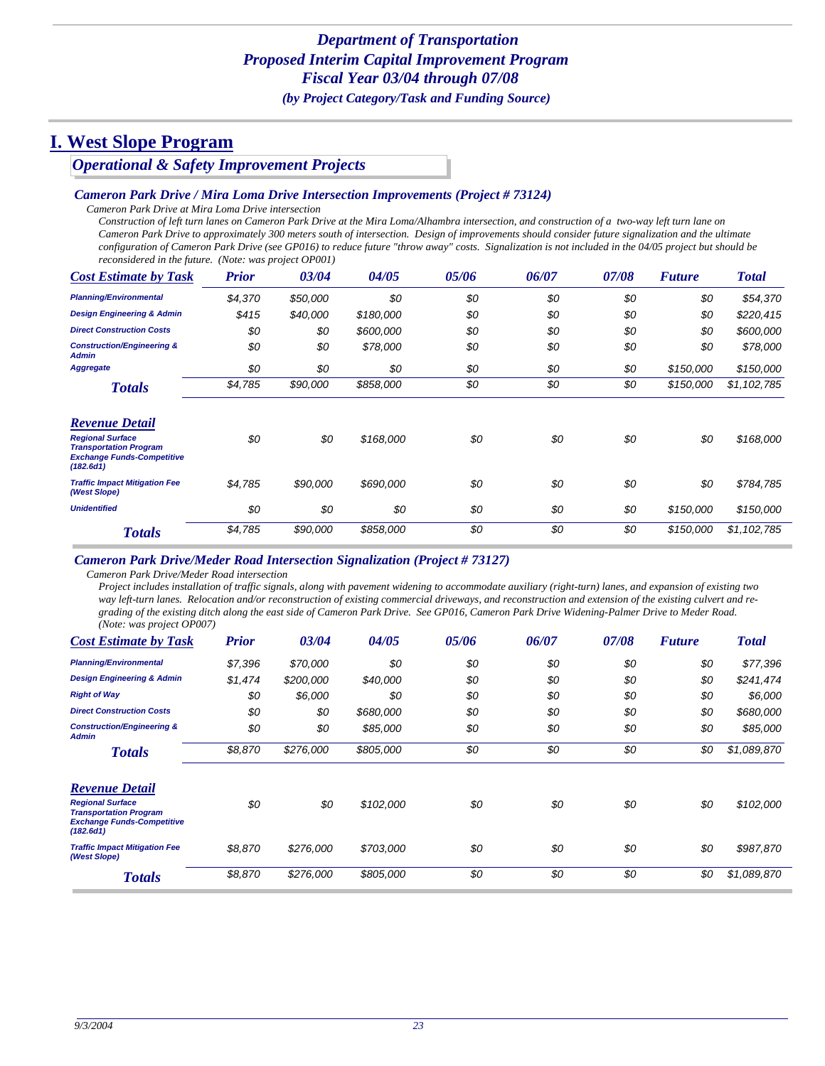*Operational & Safety Improvement Projects*

#### *Cameron Park Drive / Mira Loma Drive Intersection Improvements (Project # 73124)*

*Cameron Park Drive at Mira Loma Drive intersection*

*Construction of left turn lanes on Cameron Park Drive at the Mira Loma/Alhambra intersection, and construction of a two-way left turn lane on Cameron Park Drive to approximately 300 meters south of intersection. Design of improvements should consider future signalization and the ultimate configuration of Cameron Park Drive (see GP016) to reduce future "throw away" costs. Signalization is not included in the 04/05 project but should be reconsidered in the future. (Note: was project OP001)*

| <b>Cost Estimate by Task</b>                                                                               | <b>Prior</b> | 03/04    | 04/05     | 05/06 | 06/07 | 07/08 | <b>Future</b> | <b>Total</b> |
|------------------------------------------------------------------------------------------------------------|--------------|----------|-----------|-------|-------|-------|---------------|--------------|
| <b>Planning/Environmental</b>                                                                              | \$4,370      | \$50,000 | \$0       | \$0   | \$0   | \$0   | \$0           | \$54,370     |
| <b>Design Engineering &amp; Admin</b>                                                                      | \$415        | \$40,000 | \$180,000 | \$0   | \$0   | \$0   | \$0           | \$220,415    |
| <b>Direct Construction Costs</b>                                                                           | \$0          | \$0      | \$600,000 | \$0   | \$0   | \$0   | \$0           | \$600,000    |
| <b>Construction/Engineering &amp;</b><br>Admin                                                             | \$0          | \$0      | \$78,000  | \$0   | \$0   | \$0   | \$0           | \$78,000     |
| <b>Aggregate</b>                                                                                           | \$0          | \$0      | \$0       | \$0   | \$0   | \$0   | \$150,000     | \$150,000    |
| <b>Totals</b>                                                                                              | \$4,785      | \$90,000 | \$858,000 | \$0   | \$0   | \$0   | \$150,000     | \$1,102,785  |
| Revenue Detail                                                                                             |              |          |           |       |       |       |               |              |
| <b>Regional Surface</b><br><b>Transportation Program</b><br><b>Exchange Funds-Competitive</b><br>(182.6d1) | \$0          | \$0      | \$168,000 | \$0   | \$0   | \$0   | \$0           | \$168,000    |
| <b>Traffic Impact Mitigation Fee</b><br>(West Slope)                                                       | \$4,785      | \$90,000 | \$690,000 | \$0   | \$0   | \$0   | \$0           | \$784,785    |
| <b>Unidentified</b>                                                                                        | \$0          | \$0      | \$0       | \$0   | \$0   | \$0   | \$150,000     | \$150,000    |
| <b>Totals</b>                                                                                              | \$4,785      | \$90,000 | \$858,000 | \$0   | \$0   | \$0   | \$150,000     | \$1,102,785  |

#### *Cameron Park Drive/Meder Road Intersection Signalization (Project # 73127)*

*Cameron Park Drive/Meder Road intersection*

*Project includes installation of traffic signals, along with pavement widening to accommodate auxiliary (right-turn) lanes, and expansion of existing two*  way left-turn lanes. Relocation and/or reconstruction of existing commercial driveways, and reconstruction and extension of the existing culvert and re*grading of the existing ditch along the east side of Cameron Park Drive. See GP016, Cameron Park Drive Widening-Palmer Drive to Meder Road. (Note: was project OP007)*

| <b>Cost Estimate by Task</b>                                                                               | <b>Prior</b> | 03/04     | 04/05     | 05/06 | 06/07 | 07/08 | <b>Future</b> | <b>Total</b> |
|------------------------------------------------------------------------------------------------------------|--------------|-----------|-----------|-------|-------|-------|---------------|--------------|
| <b>Planning/Environmental</b>                                                                              | \$7,396      | \$70,000  | \$0       | \$0   | \$0   | \$0   | \$0           | \$77,396     |
| <b>Design Engineering &amp; Admin</b>                                                                      | \$1,474      | \$200,000 | \$40,000  | \$0   | \$0   | \$0   | \$0           | \$241,474    |
| <b>Right of Way</b>                                                                                        | \$0          | \$6,000   | \$0       | \$0   | \$0   | \$0   | \$0           | \$6,000      |
| <b>Direct Construction Costs</b>                                                                           | \$0          | \$0       | \$680,000 | \$0   | \$0   | \$0   | \$0           | \$680,000    |
| <b>Construction/Engineering &amp;</b><br><b>Admin</b>                                                      | \$0          | \$0       | \$85,000  | \$0   | \$0   | \$0   | \$0           | \$85,000     |
| <b>Totals</b>                                                                                              | \$8,870      | \$276,000 | \$805,000 | \$0   | \$0   | \$0   | \$0           | \$1,089,870  |
| <b>Revenue Detail</b>                                                                                      |              |           |           |       |       |       |               |              |
| <b>Regional Surface</b><br><b>Transportation Program</b><br><b>Exchange Funds-Competitive</b><br>(182.6d1) | \$0          | \$0       | \$102,000 | \$0   | \$0   | \$0   | \$0           | \$102,000    |
| <b>Traffic Impact Mitigation Fee</b><br>(West Slope)                                                       | \$8,870      | \$276,000 | \$703,000 | \$0   | \$0   | \$0   | \$0           | \$987,870    |
| <b>Totals</b>                                                                                              | \$8,870      | \$276,000 | \$805,000 | \$0   | \$0   | \$0   | \$0           | \$1,089,870  |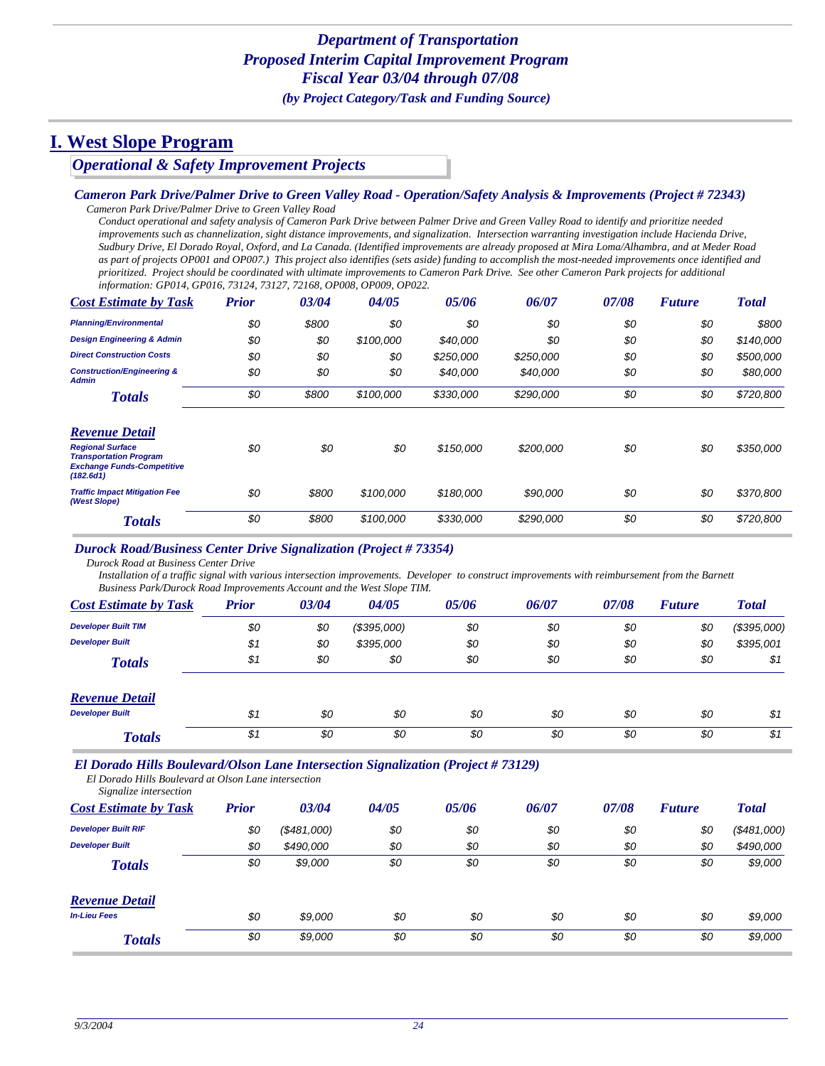*Operational & Safety Improvement Projects*

#### *Cameron Park Drive/Palmer Drive to Green Valley Road - Operation/Safety Analysis & Improvements (Project # 72343)*

*Cameron Park Drive/Palmer Drive to Green Valley Road Conduct operational and safety analysis of Cameron Park Drive between Palmer Drive and Green Valley Road to identify and prioritize needed improvements such as channelization, sight distance improvements, and signalization. Intersection warranting investigation include Hacienda Drive, Sudbury Drive, El Dorado Royal, Oxford, and La Canada. (Identified improvements are already proposed at Mira Loma/Alhambra, and at Meder Road as part of projects OP001 and OP007.) This project also identifies (sets aside) funding to accomplish the most-needed improvements once identified and prioritized. Project should be coordinated with ultimate improvements to Cameron Park Drive. See other Cameron Park projects for additional information: GP014, GP016, 73124, 73127, 72168, OP008, OP009, OP022.*

| <b>Cost Estimate by Task</b>                                                                               | <b>Prior</b> | 03/04 | 04/05     | 05/06     | 06/07     | 07/08 | <b>Future</b> | <b>Total</b> |
|------------------------------------------------------------------------------------------------------------|--------------|-------|-----------|-----------|-----------|-------|---------------|--------------|
| <b>Planning/Environmental</b>                                                                              | \$0          | \$800 | \$0       | \$0       | \$0       | \$0   | \$0           | \$800        |
| <b>Design Engineering &amp; Admin</b>                                                                      | \$0          | \$0   | \$100,000 | \$40,000  | \$0       | \$0   | \$0           | \$140,000    |
| <b>Direct Construction Costs</b>                                                                           | \$0          | \$0   | \$0       | \$250,000 | \$250,000 | \$0   | \$0           | \$500,000    |
| <b>Construction/Engineering &amp;</b><br><b>Admin</b>                                                      | \$0          | \$0   | \$0       | \$40,000  | \$40,000  | \$0   | \$0           | \$80,000     |
| <b>Totals</b>                                                                                              | \$0          | \$800 | \$100,000 | \$330,000 | \$290,000 | \$0   | \$0           | \$720,800    |
| <b>Revenue Detail</b>                                                                                      |              |       |           |           |           |       |               |              |
| <b>Regional Surface</b><br><b>Transportation Program</b><br><b>Exchange Funds-Competitive</b><br>(182.6d1) | \$0          | \$0   | \$0       | \$150,000 | \$200,000 | \$0   | \$0           | \$350,000    |
| <b>Traffic Impact Mitigation Fee</b><br>(West Slope)                                                       | \$0          | \$800 | \$100,000 | \$180,000 | \$90,000  | \$0   | \$0           | \$370,800    |
| <b>Totals</b>                                                                                              | \$0          | \$800 | \$100,000 | \$330,000 | \$290,000 | \$0   | \$0           | \$720,800    |

#### *Durock Road/Business Center Drive Signalization (Project # 73354)*

*Durock Road at Business Center Drive*

*Installation of a traffic signal with various intersection improvements. Developer to construct improvements with reimbursement from the Barnett Business Park/Durock Road Improvements Account and the West Slope TIM.*

| <b>Cost Estimate by Task</b> | <b>Prior</b> | 03/04 | 04/05       | 05/06 | 06/07 | 07/08 | <b>Future</b> | <b>Total</b> |
|------------------------------|--------------|-------|-------------|-------|-------|-------|---------------|--------------|
| <b>Developer Built TIM</b>   | \$0          | \$0   | (\$395,000) | \$0   | \$0   | \$0   | \$0           | (\$395,000)  |
| <b>Developer Built</b>       | \$1          | \$0   | \$395,000   | \$0   | \$0   | \$0   | \$0           | \$395,001    |
| <b>Totals</b>                | \$1          | \$0   | \$0         | \$0   | \$0   | \$0   | \$0           | \$1          |
| <b>Revenue Detail</b>        |              |       |             |       |       |       |               |              |
| <b>Developer Built</b>       | \$1          | \$0   | \$0         | \$0   | \$0   | \$0   | \$0           | \$1          |
| <b>Totals</b>                | \$1          | \$0   | \$0         | \$0   | \$0   | \$0   | \$0           | \$1          |

#### *El Dorado Hills Boulevard/Olson Lane Intersection Signalization (Project # 73129)*

*El Dorado Hills Boulevard at Olson Lane intersection Signalize intersection*

| <b>Cost Estimate by Task</b> | <b>Prior</b> | 03/04       | 04/05 | 05/06 | 06/07 | 07/08 | <b>Future</b> | <b>Total</b> |
|------------------------------|--------------|-------------|-------|-------|-------|-------|---------------|--------------|
| <b>Developer Built RIF</b>   | \$0          | (\$481,000) | \$0   | \$0   | \$0   | \$0   | \$0           | (\$481,000)  |
| <b>Developer Built</b>       | \$0          | \$490,000   | \$0   | \$0   | \$0   | \$0   | \$0           | \$490,000    |
| <b>Totals</b>                | \$0          | \$9,000     | \$0   | \$0   | \$0   | \$0   | \$0           | \$9,000      |
| <b>Revenue Detail</b>        |              |             |       |       |       |       |               |              |
| <b>In-Lieu Fees</b>          | \$0          | \$9,000     | \$0   | \$0   | \$0   | \$0   | \$0           | \$9,000      |
| <b>Totals</b>                | \$0          | \$9,000     | \$0   | \$0   | \$0   | \$0   | \$0           | \$9,000      |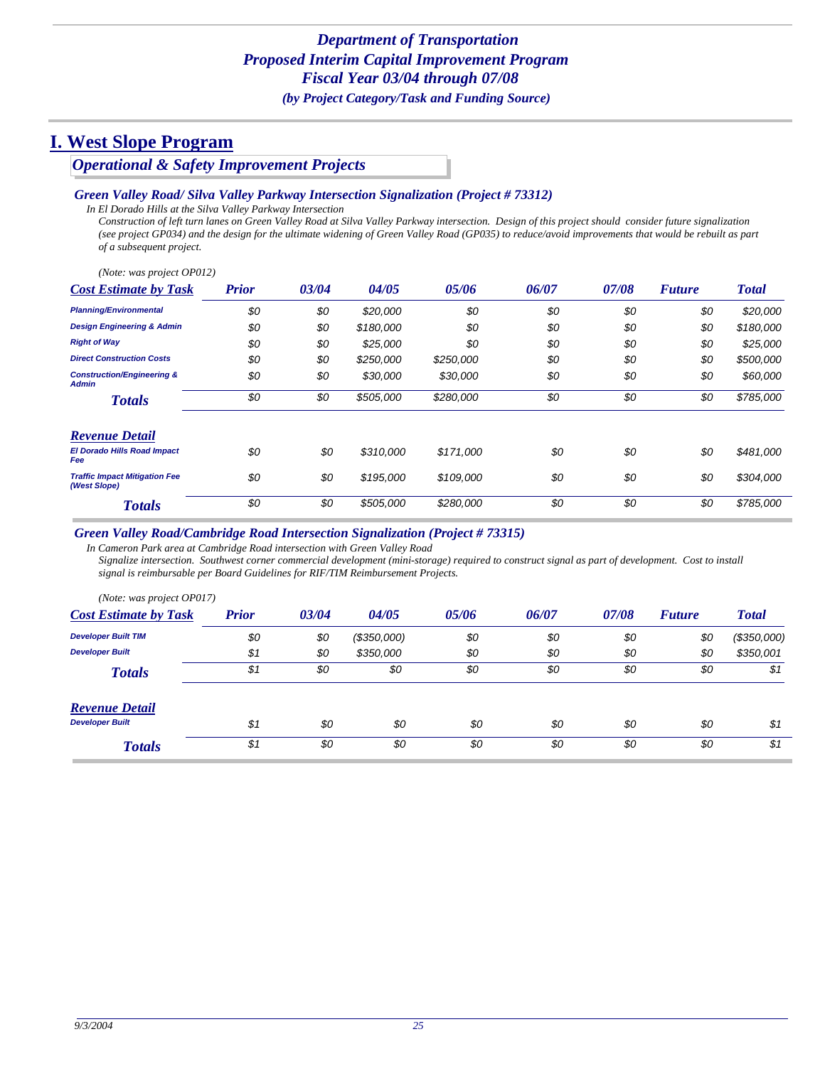*Operational & Safety Improvement Projects*

#### *Green Valley Road/ Silva Valley Parkway Intersection Signalization (Project # 73312)*

*In El Dorado Hills at the Silva Valley Parkway Intersection*

*Construction of left turn lanes on Green Valley Road at Silva Valley Parkway intersection. Design of this project should consider future signalization (see project GP034) and the design for the ultimate widening of Green Valley Road (GP035) to reduce/avoid improvements that would be rebuilt as part of a subsequent project.*

*(Note: was project OP012)*

| <b>Cost Estimate by Task</b>                          | <b>Prior</b> | 03/04 | 04/05     | 05/06     | 06/07 | 07/08 | <b>Future</b> | <b>Total</b> |
|-------------------------------------------------------|--------------|-------|-----------|-----------|-------|-------|---------------|--------------|
| <b>Planning/Environmental</b>                         | \$0          | \$0   | \$20,000  | \$0       | \$0   | \$0   | \$0           | \$20,000     |
| <b>Design Engineering &amp; Admin</b>                 | \$0          | \$0   | \$180,000 | \$0       | \$0   | \$0   | \$0           | \$180,000    |
| <b>Right of Way</b>                                   | \$0          | \$0   | \$25,000  | \$0       | \$0   | \$0   | \$0           | \$25,000     |
| <b>Direct Construction Costs</b>                      | \$0          | \$0   | \$250,000 | \$250,000 | \$0   | \$0   | \$0           | \$500,000    |
| <b>Construction/Engineering &amp;</b><br><b>Admin</b> | \$0          | \$0   | \$30,000  | \$30,000  | \$0   | \$0   | \$0           | \$60,000     |
| <b>Totals</b>                                         | \$0          | \$0   | \$505,000 | \$280,000 | \$0   | \$0   | \$0           | \$785,000    |
| <b>Revenue Detail</b>                                 |              |       |           |           |       |       |               |              |
| <b>El Dorado Hills Road Impact</b><br>Fee             | \$0          | \$0   | \$310,000 | \$171,000 | \$0   | \$0   | \$0           | \$481,000    |
| <b>Traffic Impact Mitigation Fee</b><br>(West Slope)  | \$0          | \$0   | \$195,000 | \$109,000 | \$0   | \$0   | \$0           | \$304,000    |
| <b>Totals</b>                                         | \$0          | \$0   | \$505,000 | \$280,000 | \$0   | \$0   | \$0           | \$785,000    |

#### *Green Valley Road/Cambridge Road Intersection Signalization (Project # 73315)*

*In Cameron Park area at Cambridge Road intersection with Green Valley Road Signalize intersection. Southwest corner commercial development (mini-storage) required to construct signal as part of development. Cost to install signal is reimbursable per Board Guidelines for RIF/TIM Reimbursement Projects.*

| (Note: was project OP017)    |              |       |             |       |       |       |               |              |
|------------------------------|--------------|-------|-------------|-------|-------|-------|---------------|--------------|
| <b>Cost Estimate by Task</b> | <b>Prior</b> | 03/04 | 04/05       | 05/06 | 06/07 | 07/08 | <b>Future</b> | <b>Total</b> |
| <b>Developer Built TIM</b>   | \$0          | \$0   | (\$350,000) | \$0   | \$0   | \$0   | \$0           | (\$350,000)  |
| <b>Developer Built</b>       | \$1          | \$0   | \$350,000   | \$0   | \$0   | \$0   | \$0           | \$350,001    |
| <b>Totals</b>                | \$1          | \$0   | \$0         | \$0   | \$0   | \$0   | \$0           | \$1          |
| <b>Revenue Detail</b>        |              |       |             |       |       |       |               |              |
| <b>Developer Built</b>       | \$1          | \$0   | \$0         | \$0   | \$0   | \$0   | \$0           | \$1          |
| <b>Totals</b>                | \$1          | \$0   | \$0         | \$0   | \$0   | \$0   | \$0           | \$1          |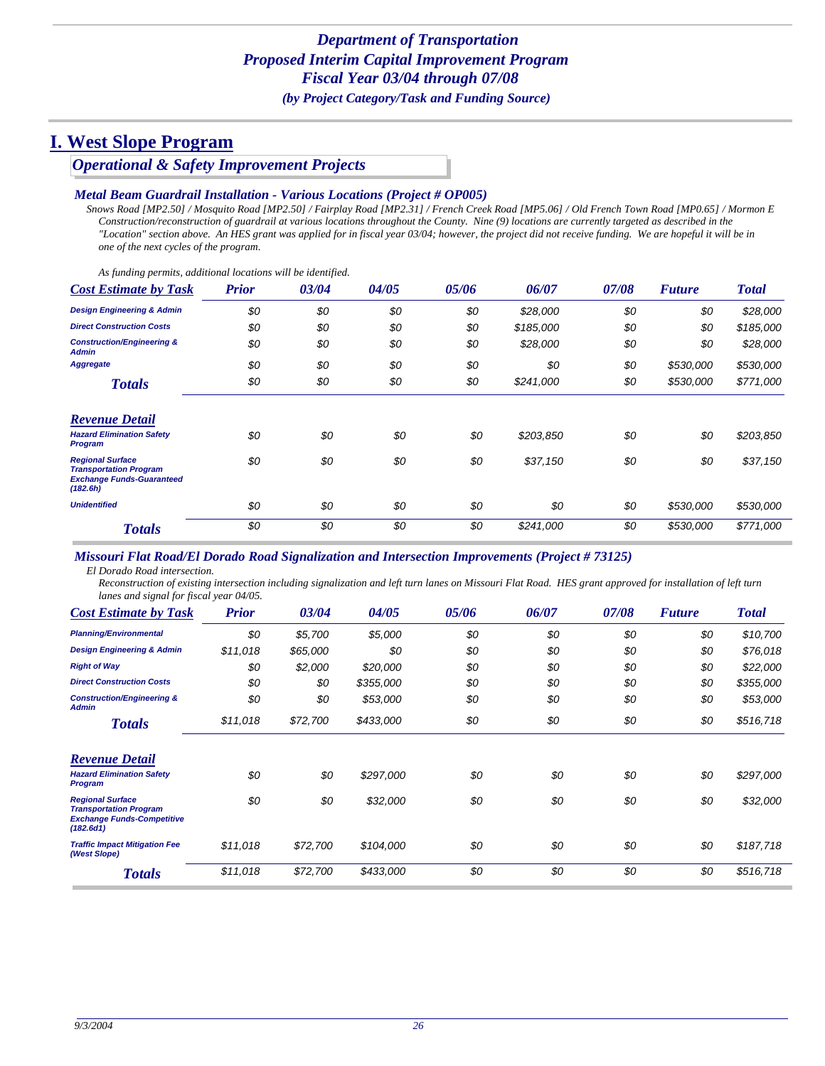*Operational & Safety Improvement Projects*

#### *Metal Beam Guardrail Installation - Various Locations (Project # OP005)*

*Snows Road [MP2.50] / Mosquito Road [MP2.50] / Fairplay Road [MP2.31] / French Creek Road [MP5.06] / Old French Town Road [MP0.65] / Mormon E Construction/reconstruction of guardrail at various locations throughout the County. Nine (9) locations are currently targeted as described in the "Location" section above. An HES grant was applied for in fiscal year 03/04; however, the project did not receive funding. We are hopeful it will be in one of the next cycles of the program.*

*As funding permits, additional locations will be identified.*

| <b>Cost Estimate by Task</b>                                                                             | <b>Prior</b> | 03/04 | 04/05 | 05/06 | 06/07     | 07/08 | <b>Future</b> | <b>Total</b> |
|----------------------------------------------------------------------------------------------------------|--------------|-------|-------|-------|-----------|-------|---------------|--------------|
| <b>Design Engineering &amp; Admin</b>                                                                    | \$0          | \$0   | \$0   | \$0   | \$28,000  | \$0   | \$0           | \$28,000     |
| <b>Direct Construction Costs</b>                                                                         | \$0          | \$0   | \$0   | \$0   | \$185,000 | \$0   | \$0           | \$185,000    |
| <b>Construction/Engineering &amp;</b><br>Admin                                                           | \$0          | \$0   | \$0   | \$0   | \$28,000  | \$0   | \$0           | \$28,000     |
| <b>Aggregate</b>                                                                                         | \$0          | \$0   | \$0   | \$0   | \$0       | \$0   | \$530,000     | \$530,000    |
| <b>Totals</b>                                                                                            | \$0          | \$0   | \$0   | \$0   | \$241,000 | \$0   | \$530,000     | \$771,000    |
| <b>Revenue Detail</b>                                                                                    |              |       |       |       |           |       |               |              |
| <b>Hazard Elimination Safety</b><br>Program                                                              | \$0          | \$0   | \$0   | \$0   | \$203,850 | \$0   | \$0           | \$203,850    |
| <b>Regional Surface</b><br><b>Transportation Program</b><br><b>Exchange Funds-Guaranteed</b><br>(182.6h) | \$0          | \$0   | \$0   | \$0   | \$37,150  | \$0   | \$0           | \$37,150     |
| <b>Unidentified</b>                                                                                      | \$0          | \$0   | \$0   | \$0   | \$0       | \$0   | \$530,000     | \$530,000    |
| <b>Totals</b>                                                                                            | \$0          | \$0   | \$0   | \$0   | \$241,000 | \$0   | \$530,000     | \$771,000    |

*Missouri Flat Road/El Dorado Road Signalization and Intersection Improvements (Project # 73125)*

*El Dorado Road intersection.*

*Reconstruction of existing intersection including signalization and left turn lanes on Missouri Flat Road. HES grant approved for installation of left turn lanes and signal for fiscal year 04/05.*

| <b>Cost Estimate by Task</b>                                                                               | <b>Prior</b> | 03/04    | 04/05     | 05/06 | 06/07 | 07/08 | <b>Future</b> | <b>Total</b> |
|------------------------------------------------------------------------------------------------------------|--------------|----------|-----------|-------|-------|-------|---------------|--------------|
| <b>Planning/Environmental</b>                                                                              | \$0          | \$5,700  | \$5,000   | \$0   | \$0   | \$0   | \$0           | \$10,700     |
| <b>Design Engineering &amp; Admin</b>                                                                      | \$11,018     | \$65,000 | \$0       | \$0   | \$0   | \$0   | \$0           | \$76,018     |
| <b>Right of Way</b>                                                                                        | \$0          | \$2,000  | \$20,000  | \$0   | \$0   | \$0   | \$0           | \$22,000     |
| <b>Direct Construction Costs</b>                                                                           | \$0          | \$0      | \$355,000 | \$0   | \$0   | \$0   | \$0           | \$355,000    |
| <b>Construction/Engineering &amp;</b><br><b>Admin</b>                                                      | \$0          | \$0      | \$53,000  | \$0   | \$0   | \$0   | \$0           | \$53,000     |
| <b>Totals</b>                                                                                              | \$11,018     | \$72,700 | \$433,000 | \$0   | \$0   | \$0   | \$0           | \$516,718    |
| <b>Revenue Detail</b>                                                                                      |              |          |           |       |       |       |               |              |
| <b>Hazard Elimination Safety</b><br><b>Program</b>                                                         | \$0          | \$0      | \$297,000 | \$0   | \$0   | \$0   | \$0           | \$297,000    |
| <b>Regional Surface</b><br><b>Transportation Program</b><br><b>Exchange Funds-Competitive</b><br>(182.6d1) | \$0          | \$0      | \$32,000  | \$0   | \$0   | \$0   | \$0           | \$32,000     |
| <b>Traffic Impact Mitigation Fee</b><br>(West Slope)                                                       | \$11,018     | \$72,700 | \$104,000 | \$0   | \$0   | \$0   | \$0           | \$187,718    |
| <b>Totals</b>                                                                                              | \$11,018     | \$72,700 | \$433,000 | \$0   | \$0   | \$0   | \$0           | \$516,718    |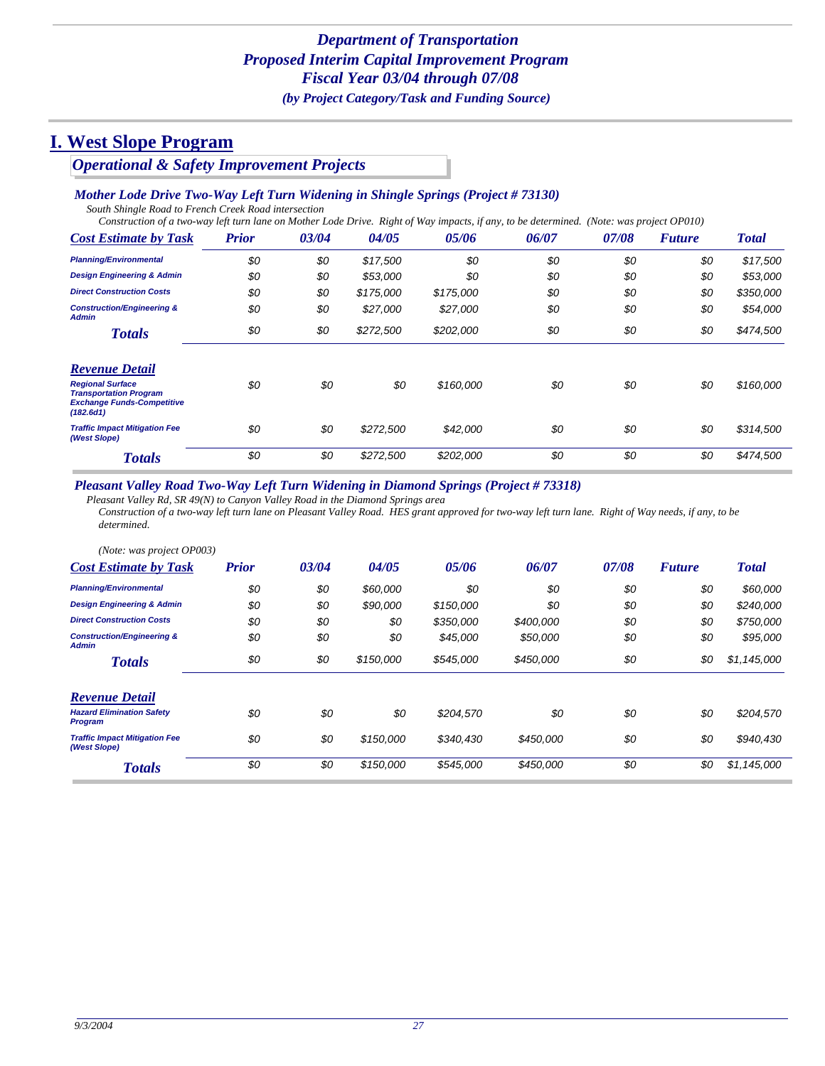# *Operational & Safety Improvement Projects*

### *Mother Lode Drive Two-Way Left Turn Widening in Shingle Springs (Project # 73130)*

*South Shingle Road to French Creek Road intersection*

*Construction of a two-way left turn lane on Mother Lode Drive. Right of Way impacts, if any, to be determined. (Note: was project OP010)*

| <b>Cost Estimate by Task</b>                                                                               | <b>Prior</b> | 03/04 | 04/05     | 05/06     | 06/07 | 07/08 | <b>Future</b> | <b>Total</b> |
|------------------------------------------------------------------------------------------------------------|--------------|-------|-----------|-----------|-------|-------|---------------|--------------|
| <b>Planning/Environmental</b>                                                                              | \$0          | \$0   | \$17,500  | \$0       | \$0   | \$0   | \$0           | \$17,500     |
| <b>Design Engineering &amp; Admin</b>                                                                      | \$0          | \$0   | \$53,000  | \$0       | \$0   | \$0   | \$0           | \$53,000     |
| <b>Direct Construction Costs</b>                                                                           | \$0          | \$0   | \$175,000 | \$175,000 | \$0   | \$0   | \$0           | \$350,000    |
| <b>Construction/Engineering &amp;</b><br><b>Admin</b>                                                      | \$0          | \$0   | \$27,000  | \$27,000  | \$0   | \$0   | \$0           | \$54,000     |
| <b>Totals</b>                                                                                              | \$0          | \$0   | \$272,500 | \$202,000 | \$0   | \$0   | \$0           | \$474,500    |
| <b>Revenue Detail</b>                                                                                      |              |       |           |           |       |       |               |              |
| <b>Regional Surface</b><br><b>Transportation Program</b><br><b>Exchange Funds-Competitive</b><br>(182.6d1) | \$0          | \$0   | \$0       | \$160,000 | \$0   | \$0   | \$0           | \$160,000    |
| <b>Traffic Impact Mitigation Fee</b><br>(West Slope)                                                       | \$0          | \$0   | \$272,500 | \$42,000  | \$0   | \$0   | \$0           | \$314,500    |
| <b>Totals</b>                                                                                              | \$0          | \$0   | \$272,500 | \$202,000 | \$0   | \$0   | \$0           | \$474,500    |

#### *Pleasant Valley Road Two-Way Left Turn Widening in Diamond Springs (Project # 73318)*

*Pleasant Valley Rd, SR 49(N) to Canyon Valley Road in the Diamond Springs area Construction of a two-way left turn lane on Pleasant Valley Road. HES grant approved for two-way left turn lane. Right of Way needs, if any, to be determined.*

| (Note: was project OP003)                             |              |       |           |           |           |       |               |              |
|-------------------------------------------------------|--------------|-------|-----------|-----------|-----------|-------|---------------|--------------|
| <b>Cost Estimate by Task</b>                          | <b>Prior</b> | 03/04 | 04/05     | 05/06     | 06/07     | 07/08 | <b>Future</b> | <b>Total</b> |
| <b>Planning/Environmental</b>                         | \$0          | \$0   | \$60,000  | \$0       | \$0       | \$0   | \$0           | \$60,000     |
| <b>Design Engineering &amp; Admin</b>                 | \$0          | \$0   | \$90,000  | \$150,000 | \$0       | \$0   | \$0           | \$240,000    |
| <b>Direct Construction Costs</b>                      | \$0          | \$0   | \$0       | \$350,000 | \$400,000 | \$0   | \$0           | \$750,000    |
| <b>Construction/Engineering &amp;</b><br><b>Admin</b> | \$0          | \$0   | \$0       | \$45,000  | \$50,000  | \$0   | \$0           | \$95,000     |
| <b>Totals</b>                                         | \$0          | \$0   | \$150,000 | \$545,000 | \$450,000 | \$0   | \$0           | \$1,145,000  |
| <b>Revenue Detail</b>                                 |              |       |           |           |           |       |               |              |
| <b>Hazard Elimination Safety</b><br><b>Program</b>    | \$0          | \$0   | \$0       | \$204,570 | \$0       | \$0   | \$0           | \$204,570    |
| <b>Traffic Impact Mitigation Fee</b><br>(West Slope)  | \$0          | \$0   | \$150,000 | \$340.430 | \$450,000 | \$0   | \$0           | \$940,430    |
| <b>Totals</b>                                         | \$0          | \$0   | \$150,000 | \$545,000 | \$450,000 | \$0   | \$0           | \$1,145,000  |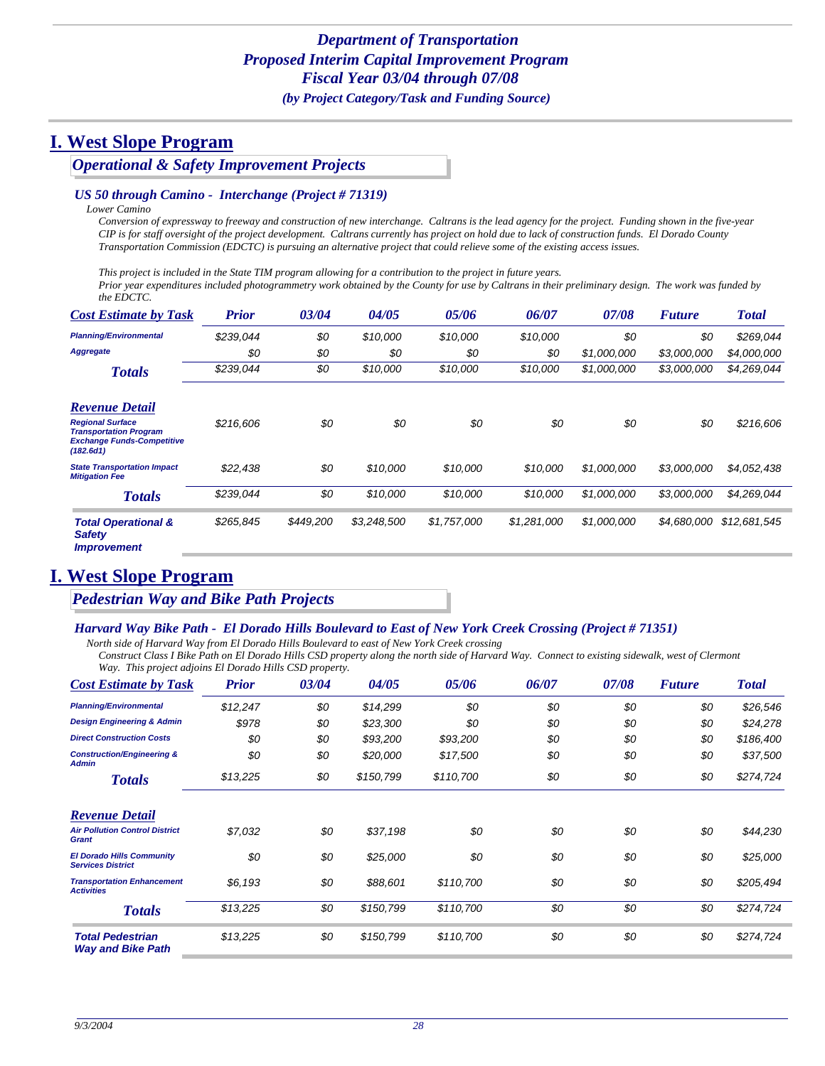*Operational & Safety Improvement Projects*

#### *US 50 through Camino - Interchange (Project # 71319)*

*Lower Camino*

*Conversion of expressway to freeway and construction of new interchange. Caltrans is the lead agency for the project. Funding shown in the five-year CIP is for staff oversight of the project development. Caltrans currently has project on hold due to lack of construction funds. El Dorado County Transportation Commission (EDCTC) is pursuing an alternative project that could relieve some of the existing access issues.*

*This project is included in the State TIM program allowing for a contribution to the project in future years.* 

*Prior year expenditures included photogrammetry work obtained by the County for use by Caltrans in their preliminary design. The work was funded by the EDCTC.*

| <b>Cost Estimate by Task</b>                                                                                                        | <b>Prior</b> | 03/04     | 04/05       | 05/06       | 06/07       | 07/08       | <b>Future</b> | <b>Total</b> |
|-------------------------------------------------------------------------------------------------------------------------------------|--------------|-----------|-------------|-------------|-------------|-------------|---------------|--------------|
| <b>Planning/Environmental</b>                                                                                                       | \$239,044    | \$0       | \$10,000    | \$10,000    | \$10.000    | \$0         | \$0           | \$269,044    |
| <b>Aggregate</b>                                                                                                                    | \$0          | \$0       | \$0         | \$0         | \$0         | \$1,000,000 | \$3,000,000   | \$4,000,000  |
| <b>Totals</b>                                                                                                                       | \$239,044    | \$0       | \$10,000    | \$10,000    | \$10,000    | \$1,000,000 | \$3,000,000   | \$4,269,044  |
| <b>Revenue Detail</b><br><b>Regional Surface</b><br><b>Transportation Program</b><br><b>Exchange Funds-Competitive</b><br>(182.6d1) | \$216,606    | \$0       | \$0         | \$0         | \$0         | \$0         | \$0           | \$216,606    |
| <b>State Transportation Impact</b><br><b>Mitigation Fee</b>                                                                         | \$22,438     | \$0       | \$10,000    | \$10,000    | \$10,000    | \$1,000,000 | \$3,000,000   | \$4,052,438  |
| <b>Totals</b>                                                                                                                       | \$239,044    | \$0       | \$10,000    | \$10,000    | \$10,000    | \$1,000,000 | \$3,000,000   | \$4,269,044  |
| <b>Total Operational &amp;</b><br><b>Safety</b><br><i><b>Improvement</b></i>                                                        | \$265,845    | \$449,200 | \$3,248,500 | \$1,757,000 | \$1,281,000 | \$1,000,000 | \$4,680,000   | \$12,681,545 |

## **I. West Slope Program**

*Pedestrian Way and Bike Path Projects*

#### *Harvard Way Bike Path - El Dorado Hills Boulevard to East of New York Creek Crossing (Project # 71351)*

*North side of Harvard Way from El Dorado Hills Boulevard to east of New York Creek crossing*

*Construct Class I Bike Path on El Dorado Hills CSD property along the north side of Harvard Way. Connect to existing sidewalk, west of Clermont Way. This project adjoins El Dorado Hills CSD property.*

| <b>Cost Estimate by Task</b>                                 | <b>Prior</b> | 03/04 | 04/05     | 05/06     | 06/07 | 07/08 | <b>Future</b> | <b>Total</b> |
|--------------------------------------------------------------|--------------|-------|-----------|-----------|-------|-------|---------------|--------------|
| <b>Planning/Environmental</b>                                | \$12,247     | \$0   | \$14,299  | \$0       | \$0   | \$0   | \$0           | \$26,546     |
| <b>Design Engineering &amp; Admin</b>                        | \$978        | \$0   | \$23,300  | \$0       | \$0   | \$0   | \$0           | \$24,278     |
| <b>Direct Construction Costs</b>                             | \$0          | \$0   | \$93,200  | \$93,200  | \$0   | \$0   | \$0           | \$186,400    |
| <b>Construction/Engineering &amp;</b><br><b>Admin</b>        | \$0          | \$0   | \$20,000  | \$17,500  | \$0   | \$0   | \$0           | \$37,500     |
| <b>Totals</b>                                                | \$13,225     | \$0   | \$150,799 | \$110,700 | \$0   | \$0   | \$0           | \$274,724    |
| <b>Revenue Detail</b>                                        |              |       |           |           |       |       |               |              |
| <b>Air Pollution Control District</b><br><b>Grant</b>        | \$7,032      | \$0   | \$37,198  | \$0       | \$0   | \$0   | \$0           | \$44,230     |
| <b>El Dorado Hills Community</b><br><b>Services District</b> | \$0          | \$0   | \$25,000  | \$0       | \$0   | \$0   | \$0           | \$25,000     |
| <b>Transportation Enhancement</b><br><b>Activities</b>       | \$6,193      | \$0   | \$88,601  | \$110,700 | \$0   | \$0   | \$0           | \$205,494    |
| <b>Totals</b>                                                | \$13,225     | \$0   | \$150,799 | \$110,700 | \$0   | \$0   | \$0           | \$274,724    |
| <b>Total Pedestrian</b><br><b>Way and Bike Path</b>          | \$13,225     | \$0   | \$150,799 | \$110,700 | \$0   | \$0   | \$0           | \$274,724    |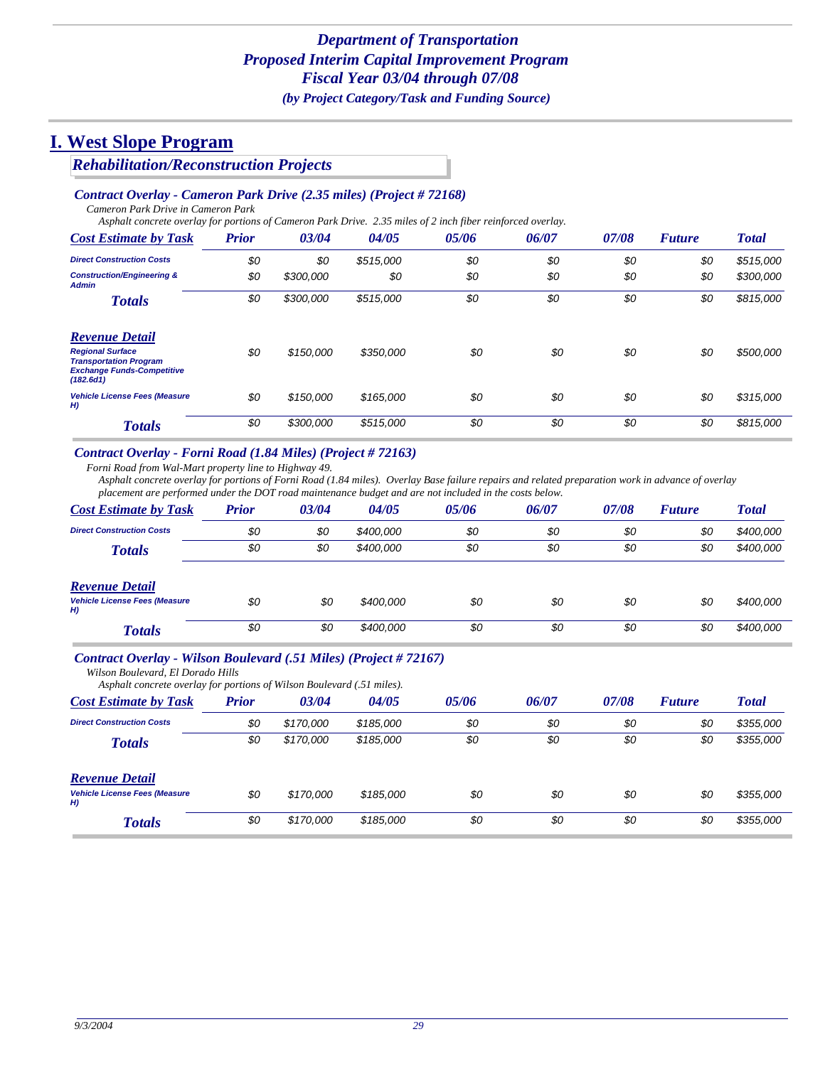### *Rehabilitation/Reconstruction Projects*

#### *Contract Overlay - Cameron Park Drive (2.35 miles) (Project # 72168)*

*Cameron Park Drive in Cameron Park*

*Asphalt concrete overlay for portions of Cameron Park Drive. 2.35 miles of 2 inch fiber reinforced overlay.*

| <b>Cost Estimate by Task</b>                                                                               | <b>Prior</b> | 03/04     | 04/05     | 05/06 | 06/07 | 07/08 | <b>Future</b> | <b>Total</b> |
|------------------------------------------------------------------------------------------------------------|--------------|-----------|-----------|-------|-------|-------|---------------|--------------|
| <b>Direct Construction Costs</b>                                                                           | \$0          | \$0       | \$515,000 | \$0   | \$0   | \$0   | \$0           | \$515,000    |
| <b>Construction/Engineering &amp;</b><br><b>Admin</b>                                                      | \$0          | \$300,000 | \$0       | \$0   | \$0   | \$0   | \$0           | \$300,000    |
| <b>Totals</b>                                                                                              | \$0          | \$300,000 | \$515,000 | \$0   | \$0   | \$0   | \$0           | \$815,000    |
| <b>Revenue Detail</b>                                                                                      |              |           |           |       |       |       |               |              |
| <b>Regional Surface</b><br><b>Transportation Program</b><br><b>Exchange Funds-Competitive</b><br>(182.6d1) | \$0          | \$150,000 | \$350,000 | \$0   | \$0   | \$0   | \$0           | \$500,000    |
| <b>Vehicle License Fees (Measure</b><br>H)                                                                 | \$0          | \$150,000 | \$165,000 | \$0   | \$0   | \$0   | \$0           | \$315,000    |
| <b>Totals</b>                                                                                              | \$0          | \$300,000 | \$515,000 | \$0   | \$0   | \$0   | \$0           | \$815,000    |

#### *Contract Overlay - Forni Road (1.84 Miles) (Project # 72163)*

*Forni Road from Wal-Mart property line to Highway 49.*

*Asphalt concrete overlay for portions of Forni Road (1.84 miles). Overlay Base failure repairs and related preparation work in advance of overlay placement are performed under the DOT road maintenance budget and are not included in the costs below.*

| <b>Cost Estimate by Task</b>               | <b>Prior</b> | 03/04 | 04/05     | 05/06 | 06/07 | 07/08 | <b>Future</b> | <b>Total</b> |
|--------------------------------------------|--------------|-------|-----------|-------|-------|-------|---------------|--------------|
| <b>Direct Construction Costs</b>           | \$0          | \$0   | \$400,000 | \$0   | \$0   | \$0   | \$0           | \$400,000    |
| <b>Totals</b>                              | \$0          | \$0   | \$400,000 | \$0   | \$0   | \$0   | \$0           | \$400,000    |
| <b>Revenue Detail</b>                      |              |       |           |       |       |       |               |              |
| <b>Vehicle License Fees (Measure</b><br>H) | \$0          | \$0   | \$400,000 | \$0   | \$0   | \$0   | \$0           | \$400,000    |
| <b>Totals</b>                              | \$0          | \$0   | \$400,000 | \$0   | \$0   | \$0   | \$0           | \$400,000    |

#### *Contract Overlay - Wilson Boulevard (.51 Miles) (Project # 72167)*

*Wilson Boulevard, El Dorado Hills*

| Asphalt concrete overlay for portions of Wilson Boulevard (.51 miles). |       |           |           |       |       |       |               |              |
|------------------------------------------------------------------------|-------|-----------|-----------|-------|-------|-------|---------------|--------------|
| <b>Cost Estimate by Task</b>                                           | Prior | 03/04     | 04/05     | 05/06 | 06/07 | 07/08 | <b>Future</b> | <b>Total</b> |
| <b>Direct Construction Costs</b>                                       | \$0   | \$170,000 | \$185,000 | \$0   | \$0   | \$0   | \$0           | \$355,000    |
| <b>Totals</b>                                                          | \$0   | \$170,000 | \$185,000 | \$0   | \$0   | \$0   | \$0           | \$355,000    |
| <b>Revenue Detail</b>                                                  |       |           |           |       |       |       |               |              |
| <b>Vehicle License Fees (Measure</b><br>H)                             | \$0   | \$170,000 | \$185,000 | \$0   | \$0   | \$0   | \$0           | \$355,000    |
| <b>Totals</b>                                                          | \$0   | \$170,000 | \$185,000 | \$0   | \$0   | \$0   | \$0           | \$355,000    |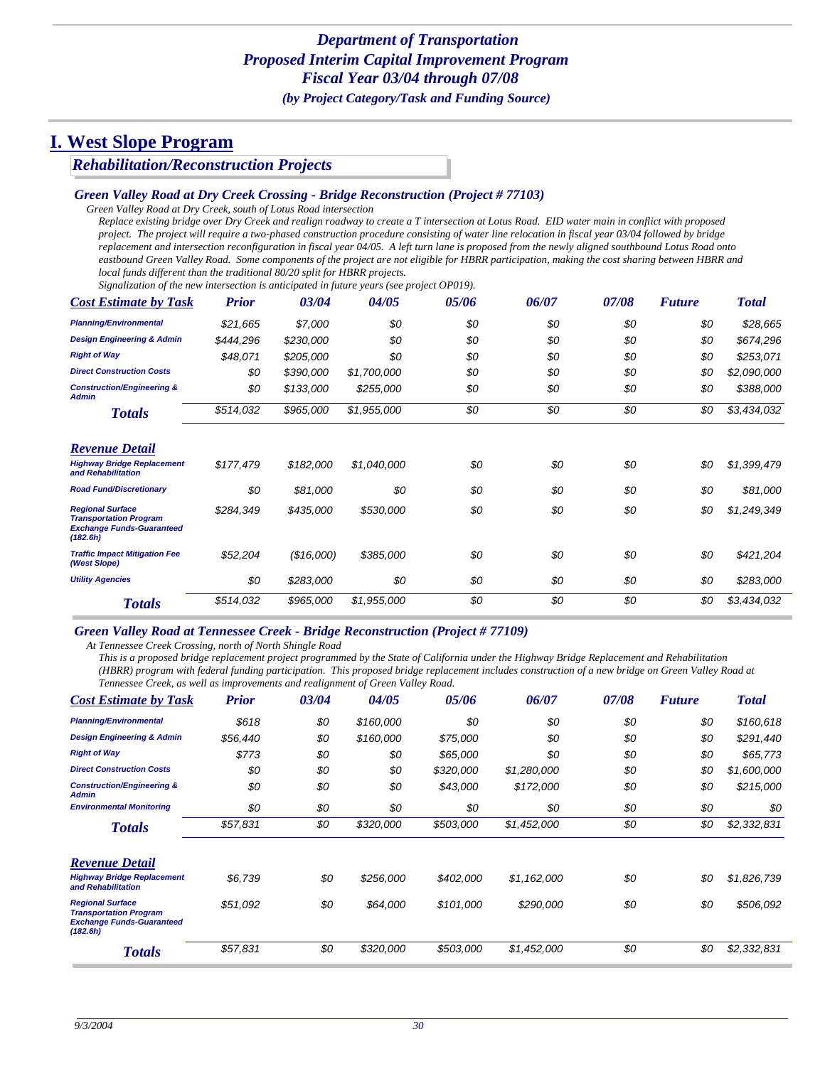### *Rehabilitation/Reconstruction Projects*

#### *Green Valley Road at Dry Creek Crossing - Bridge Reconstruction (Project # 77103)*

*Green Valley Road at Dry Creek, south of Lotus Road intersection*

*Replace existing bridge over Dry Creek and realign roadway to create a T intersection at Lotus Road. EID water main in conflict with proposed project. The project will require a two-phased construction procedure consisting of water line relocation in fiscal year 03/04 followed by bridge replacement and intersection reconfiguration in fiscal year 04/05. A left turn lane is proposed from the newly aligned southbound Lotus Road onto eastbound Green Valley Road. Some components of the project are not eligible for HBRR participation, making the cost sharing between HBRR and local funds different than the traditional 80/20 split for HBRR projects.* 

*Signalization of the new intersection is anticipated in future years (see project OP019).*

| <b>Cost Estimate by Task</b>                                                                             | <b>Prior</b> | 03/04      | 04/05       | 05/06 | 06/07 | 07/08 | <b>Future</b> | <b>Total</b> |
|----------------------------------------------------------------------------------------------------------|--------------|------------|-------------|-------|-------|-------|---------------|--------------|
| <b>Planning/Environmental</b>                                                                            | \$21,665     | \$7,000    | \$0         | \$0   | \$0   | \$0   | \$0           | \$28,665     |
| <b>Design Engineering &amp; Admin</b>                                                                    | \$444,296    | \$230,000  | \$0         | \$0   | \$0   | \$0   | \$0           | \$674,296    |
| <b>Right of Way</b>                                                                                      | \$48,071     | \$205,000  | \$0         | \$0   | \$0   | \$0   | \$0           | \$253,071    |
| <b>Direct Construction Costs</b>                                                                         | \$0          | \$390,000  | \$1,700,000 | \$0   | \$0   | \$0   | \$0           | \$2,090,000  |
| <b>Construction/Engineering &amp;</b><br><b>Admin</b>                                                    | \$0          | \$133,000  | \$255,000   | \$0   | \$0   | \$0   | \$0           | \$388,000    |
| <b>Totals</b>                                                                                            | \$514,032    | \$965,000  | \$1,955,000 | \$0   | \$0   | \$0   | \$0           | \$3,434,032  |
| <b>Revenue Detail</b>                                                                                    |              |            |             |       |       |       |               |              |
| <b>Highway Bridge Replacement</b><br>and Rehabilitation                                                  | \$177,479    | \$182,000  | \$1,040,000 | \$0   | \$0   | \$0   | \$0           | \$1,399,479  |
| <b>Road Fund/Discretionary</b>                                                                           | \$0          | \$81,000   | \$0         | \$0   | \$0   | \$0   | \$0           | \$81,000     |
| <b>Regional Surface</b><br><b>Transportation Program</b><br><b>Exchange Funds-Guaranteed</b><br>(182.6h) | \$284,349    | \$435,000  | \$530,000   | \$0   | \$0   | \$0   | \$0           | \$1,249,349  |
| <b>Traffic Impact Mitigation Fee</b><br>(West Slope)                                                     | \$52,204     | (\$16,000) | \$385,000   | \$0   | \$0   | \$0   | \$0           | \$421,204    |
| <b>Utility Agencies</b>                                                                                  | \$0          | \$283,000  | \$0         | \$0   | \$0   | \$0   | \$0           | \$283,000    |
| <b>Totals</b>                                                                                            | \$514,032    | \$965,000  | \$1,955,000 | \$0   | \$0   | \$0   | \$0           | \$3,434,032  |

#### *Green Valley Road at Tennessee Creek - Bridge Reconstruction (Project # 77109)*

*At Tennessee Creek Crossing, north of North Shingle Road*

*This is a proposed bridge replacement project programmed by the State of California under the Highway Bridge Replacement and Rehabilitation (HBRR) program with federal funding participation. This proposed bridge replacement includes construction of a new bridge on Green Valley Road at Tennessee Creek, as well as improvements and realignment of Green Valley Road.*

| <b>Cost Estimate by Task</b>                                                                             | <b>Prior</b> | 03/04 | 04/05     | 05/06     | 06/07       | 07/08 | <b>Future</b> | <b>Total</b> |
|----------------------------------------------------------------------------------------------------------|--------------|-------|-----------|-----------|-------------|-------|---------------|--------------|
| <b>Planning/Environmental</b>                                                                            | \$618        | \$0   | \$160,000 | \$0       | \$0         | \$0   | \$0           | \$160,618    |
| <b>Design Engineering &amp; Admin</b>                                                                    | \$56,440     | \$0   | \$160,000 | \$75,000  | \$0         | \$0   | \$0           | \$291,440    |
| <b>Right of Way</b>                                                                                      | \$773        | \$0   | \$0       | \$65,000  | \$0         | \$0   | \$0           | \$65,773     |
| <b>Direct Construction Costs</b>                                                                         | \$0          | \$0   | \$0       | \$320,000 | \$1,280,000 | \$0   | \$0           | \$1,600,000  |
| <b>Construction/Engineering &amp;</b><br><b>Admin</b>                                                    | \$0          | \$0   | \$0       | \$43,000  | \$172,000   | \$0   | \$0           | \$215,000    |
| <b>Environmental Monitoring</b>                                                                          | \$0          | \$0   | \$0       | \$0       | \$0         | \$0   | \$0           | \$0          |
| <b>Totals</b>                                                                                            | \$57,831     | \$0   | \$320,000 | \$503,000 | \$1,452,000 | \$0   | \$0           | \$2,332,831  |
| <b>Revenue Detail</b>                                                                                    |              |       |           |           |             |       |               |              |
| <b>Highway Bridge Replacement</b><br>and Rehabilitation                                                  | \$6,739      | \$0   | \$256,000 | \$402,000 | \$1,162,000 | \$0   | \$0           | \$1,826,739  |
| <b>Regional Surface</b><br><b>Transportation Program</b><br><b>Exchange Funds-Guaranteed</b><br>(182.6h) | \$51,092     | \$0   | \$64,000  | \$101,000 | \$290,000   | \$0   | \$0           | \$506,092    |
| <b>Totals</b>                                                                                            | \$57,831     | \$0   | \$320,000 | \$503,000 | \$1,452,000 | \$0   | \$0           | \$2,332,831  |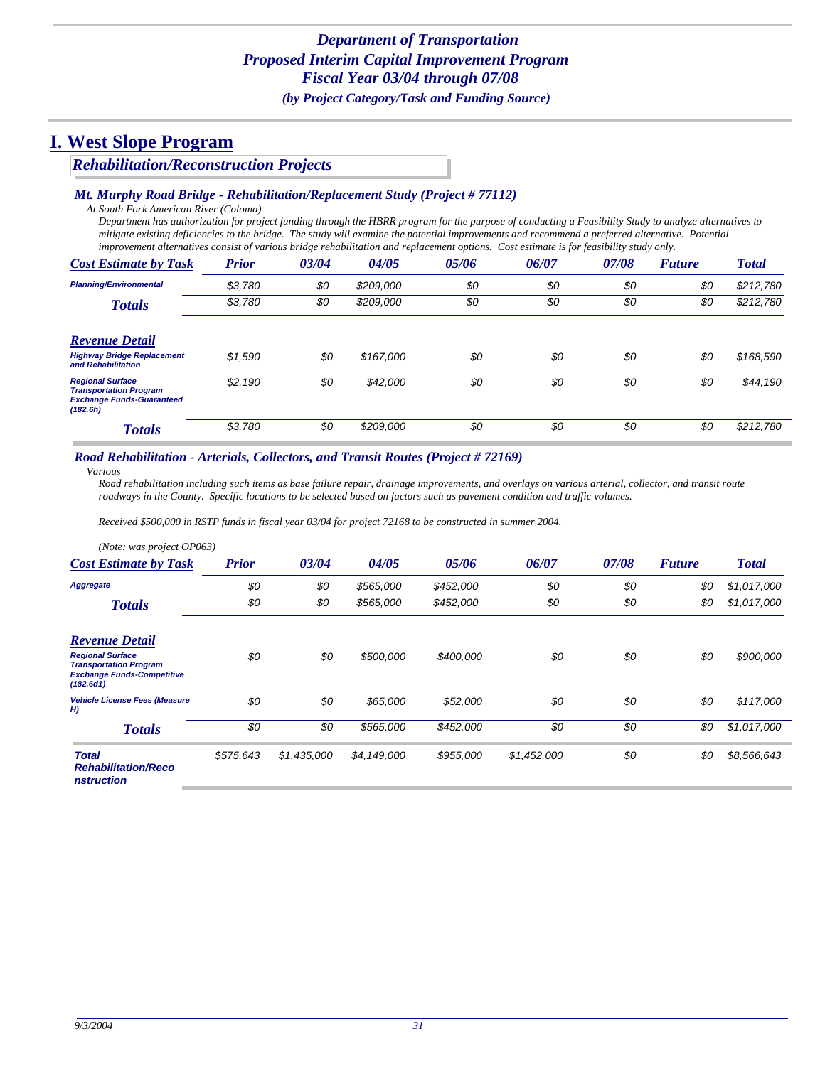### *Rehabilitation/Reconstruction Projects*

#### *Mt. Murphy Road Bridge - Rehabilitation/Replacement Study (Project # 77112)*

*At South Fork American River (Coloma)*

*Department has authorization for project funding through the HBRR program for the purpose of conducting a Feasibility Study to analyze alternatives to mitigate existing deficiencies to the bridge. The study will examine the potential improvements and recommend a preferred alternative. Potential improvement alternatives consist of various bridge rehabilitation and replacement options. Cost estimate is for feasibility study only.*

| <b>Cost Estimate by Task</b>                                                                             | <b>Prior</b> | 03/04 | 04/05     | 05/06 | 06/07 | 07/08 | <b>Future</b> | <b>Total</b> |
|----------------------------------------------------------------------------------------------------------|--------------|-------|-----------|-------|-------|-------|---------------|--------------|
| <b>Planning/Environmental</b>                                                                            | \$3,780      | \$0   | \$209,000 | \$0   | \$0   | \$0   | \$0           | \$212,780    |
| <b>Totals</b>                                                                                            | \$3,780      | \$0   | \$209,000 | \$0   | \$0   | \$0   | \$0           | \$212,780    |
| <b>Revenue Detail</b>                                                                                    |              |       |           |       |       |       |               |              |
| <b>Highway Bridge Replacement</b><br>and Rehabilitation                                                  | \$1,590      | \$0   | \$167,000 | \$0   | \$0   | \$0   | \$0           | \$168,590    |
| <b>Regional Surface</b><br><b>Transportation Program</b><br><b>Exchange Funds-Guaranteed</b><br>(182.6h) | \$2,190      | \$0   | \$42,000  | \$0   | \$0   | \$0   | \$0           | \$44,190     |
| <b>Totals</b>                                                                                            | \$3,780      | \$0   | \$209,000 | \$0   | \$0   | \$0   | \$0           | \$212,780    |

#### *Road Rehabilitation - Arterials, Collectors, and Transit Routes (Project # 72169)*

*Various*

*Road rehabilitation including such items as base failure repair, drainage improvements, and overlays on various arterial, collector, and transit route roadways in the County. Specific locations to be selected based on factors such as pavement condition and traffic volumes.* 

*Received \$500,000 in RSTP funds in fiscal year 03/04 for project 72168 to be constructed in summer 2004.*

| (Note: was project OP063)                                                                                  |              |             |             |           |             |       |               |              |
|------------------------------------------------------------------------------------------------------------|--------------|-------------|-------------|-----------|-------------|-------|---------------|--------------|
| <b>Cost Estimate by Task</b>                                                                               | <b>Prior</b> | 03/04       | 04/05       | 05/06     | 06/07       | 07/08 | <b>Future</b> | <b>Total</b> |
| <b>Aggregate</b>                                                                                           | \$0          | \$0         | \$565,000   | \$452,000 | \$0         | \$0   | \$0           | \$1,017,000  |
| <b>Totals</b>                                                                                              | \$0          | \$0         | \$565,000   | \$452,000 | \$0         | \$0   | \$0           | \$1,017,000  |
| <b>Revenue Detail</b>                                                                                      |              |             |             |           |             |       |               |              |
| <b>Regional Surface</b><br><b>Transportation Program</b><br><b>Exchange Funds-Competitive</b><br>(182.6d1) | \$0          | \$0         | \$500,000   | \$400,000 | \$0         | \$0   | \$0           | \$900,000    |
| <b>Vehicle License Fees (Measure</b><br>H                                                                  | \$0          | \$0         | \$65,000    | \$52,000  | \$0         | \$0   | \$0           | \$117,000    |
| <b>Totals</b>                                                                                              | \$0          | \$0         | \$565,000   | \$452,000 | \$0         | \$0   | \$0           | \$1,017,000  |
| <b>Total</b><br><b>Rehabilitation/Reco</b><br><i>nstruction</i>                                            | \$575,643    | \$1,435,000 | \$4,149,000 | \$955,000 | \$1,452,000 | \$0   | \$0           | \$8,566,643  |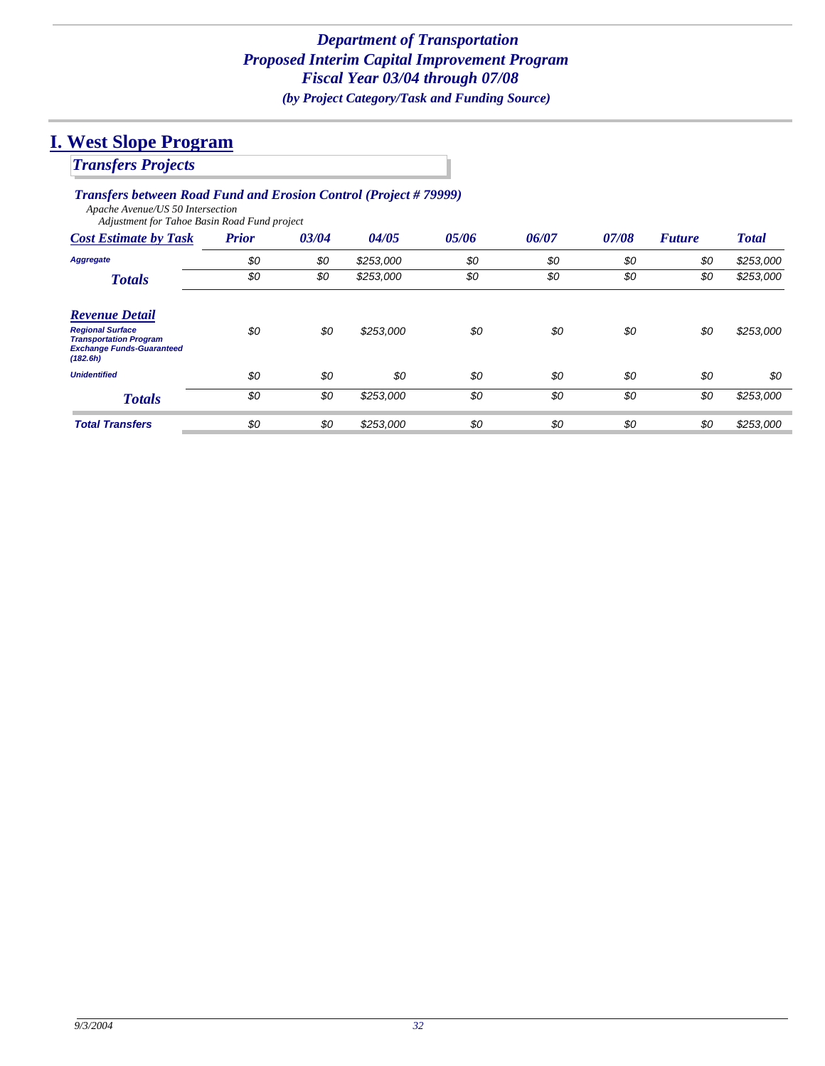# *Transfers Projects*

### *Transfers between Road Fund and Erosion Control (Project # 79999)*

*Apache Avenue/US 50 Intersection Adjustment for Tahoe Basin Road Fund project*

| <b>Cost Estimate by Task</b>                                                                             | <b>Prior</b> | 03/04 | 04/05     | 05/06 | 06/07 | 07/08 | <b>Future</b> | <b>Total</b> |
|----------------------------------------------------------------------------------------------------------|--------------|-------|-----------|-------|-------|-------|---------------|--------------|
| Aggregate                                                                                                | \$0          | \$0   | \$253,000 | \$0   | \$0   | \$0   | \$0           | \$253,000    |
| <b>Totals</b>                                                                                            | \$0          | \$0   | \$253,000 | \$0   | \$0   | \$0   | \$0           | \$253,000    |
| <b>Revenue Detail</b>                                                                                    |              |       |           |       |       |       |               |              |
| <b>Regional Surface</b><br><b>Transportation Program</b><br><b>Exchange Funds-Guaranteed</b><br>(182.6h) | \$0          | \$0   | \$253,000 | \$0   | \$0   | \$0   | \$0           | \$253,000    |
| <b>Unidentified</b>                                                                                      | \$0          | \$0   | \$0       | \$0   | \$0   | \$0   | \$0           | \$0          |
| <b>Totals</b>                                                                                            | \$0          | \$0   | \$253,000 | \$0   | \$0   | \$0   | \$0           | \$253,000    |
| <b>Total Transfers</b>                                                                                   | \$0          | \$0   | \$253,000 | \$0   | \$0   | \$0   | \$0           | \$253,000    |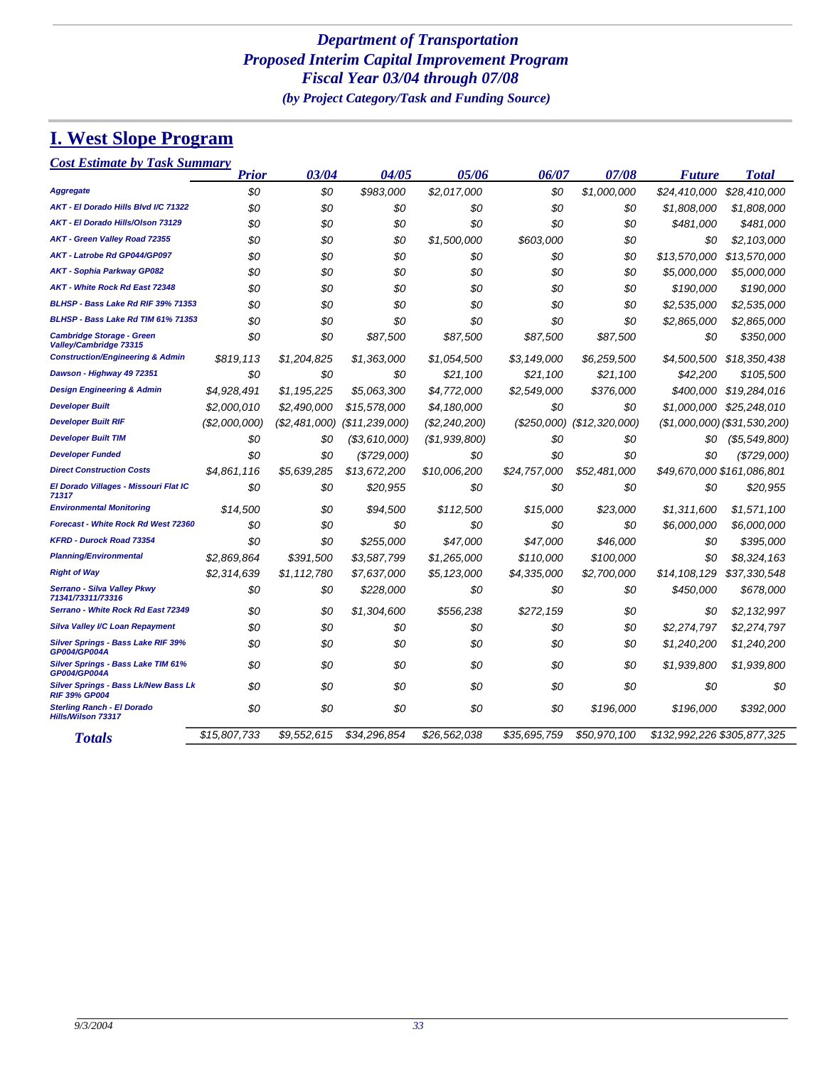## *Department of Transportation Proposed Interim Capital Improvement Program Fiscal Year 03/04 through 07/08 (by Project Category/Task and Funding Source)*

# **I. West Slope Program**

| <b>Cost Estimate by Task Summary</b> |
|--------------------------------------|
|--------------------------------------|

|                                                                     | <b>Prior</b>  | 03/04         | 04/05            | 05/06           | 06/07        | 07/08           | <b>Future</b>               | <b>Total</b>                   |
|---------------------------------------------------------------------|---------------|---------------|------------------|-----------------|--------------|-----------------|-----------------------------|--------------------------------|
| <b>Aggregate</b>                                                    | \$0           | \$0           | \$983,000        | \$2,017,000     | \$0          | \$1,000,000     | \$24,410,000                | \$28,410,000                   |
| AKT - El Dorado Hills Blvd I/C 71322                                | \$0           | \$0           | \$0              | \$0             | \$0          | \$0             | \$1,808,000                 | \$1,808,000                    |
| AKT - El Dorado Hills/Olson 73129                                   | \$0           | \$0           | \$0              | \$0             | \$0          | \$0             | \$481,000                   | \$481,000                      |
| <b>AKT - Green Valley Road 72355</b>                                | \$0           | \$0           | \$0              | \$1,500,000     | \$603.000    | \$0             | \$0                         | \$2,103,000                    |
| AKT - Latrobe Rd GP044/GP097                                        | \$0           | \$0           | \$0              | \$0             | \$0          | \$0             | \$13.570.000                | \$13,570,000                   |
| <b>AKT - Sophia Parkway GP082</b>                                   | \$0           | \$0           | \$0              | \$0             | \$0          | \$0             | \$5,000,000                 | \$5,000,000                    |
| AKT - White Rock Rd East 72348                                      | \$0           | \$0           | \$0              | \$0             | \$0          | \$0             | \$190,000                   | \$190,000                      |
| BLHSP - Bass Lake Rd RIF 39% 71353                                  | \$0           | \$0           | \$0              | \$0             | \$0          | \$0             | \$2,535,000                 | \$2,535,000                    |
| BLHSP - Bass Lake Rd TIM 61% 71353                                  | \$0           | \$0           | \$0              | \$0             | \$0          | \$0             | \$2,865,000                 | \$2,865,000                    |
| <b>Cambridge Storage - Green</b><br>Valley/Cambridge 73315          | \$0           | \$0           | \$87,500         | \$87,500        | \$87,500     | \$87,500        | \$0                         | \$350,000                      |
| <b>Construction/Engineering &amp; Admin</b>                         | \$819,113     | \$1,204,825   | \$1,363,000      | \$1,054,500     | \$3,149,000  | \$6,259,500     | \$4,500,500                 | \$18,350,438                   |
| Dawson - Highway 49 72351                                           | \$0           | \$0           | \$0              | \$21,100        | \$21,100     | \$21,100        | \$42,200                    | \$105,500                      |
| <b>Design Engineering &amp; Admin</b>                               | \$4.928.491   | \$1,195,225   | \$5.063.300      | \$4,772,000     | \$2,549,000  | \$376,000       | \$400.000                   | \$19,284,016                   |
| <b>Developer Built</b>                                              | \$2,000,010   | \$2,490,000   | \$15,578,000     | \$4,180,000     | \$0          | \$0             | \$1,000,000                 | \$25,248,010                   |
| <b>Developer Built RIF</b>                                          | (\$2,000,000) | (\$2,481,000) | (\$11,239,000)   | $(\$2,240,200)$ | (S250,000)   | (S12, 320, 000) |                             | $($1,000,000)$ $($31,530,200)$ |
| <b>Developer Built TIM</b>                                          | \$0           | \$0           | ( \$3, 610, 000) | (\$1,939,800)   | \$0          | \$0             | \$0                         | (\$5,549,800)                  |
| <b>Developer Funded</b>                                             | \$0           | \$0           | (\$729,000)      | \$0             | \$0          | \$0             | \$0                         | (\$729,000)                    |
| <b>Direct Construction Costs</b>                                    | \$4.861.116   | \$5,639,285   | \$13,672,200     | \$10.006.200    | \$24,757,000 | \$52.481.000    | \$49,670,000 \$161,086,801  |                                |
| El Dorado Villages - Missouri Flat IC<br>71317                      | \$0           | \$0           | \$20,955         | \$0             | \$0          | \$0             | \$0                         | \$20,955                       |
| <b>Environmental Monitoring</b>                                     | \$14.500      | \$0           | \$94,500         | \$112,500       | \$15,000     | \$23.000        | \$1.311.600                 | \$1,571,100                    |
| Forecast - White Rock Rd West 72360                                 | \$0           | \$0           | \$0              | \$0             | \$0          | \$0             | \$6,000,000                 | \$6,000,000                    |
| <b>KFRD - Durock Road 73354</b>                                     | \$0           | \$0           | \$255.000        | \$47,000        | \$47,000     | \$46,000        | \$0                         | \$395,000                      |
| <b>Planning/Environmental</b>                                       | \$2,869,864   | \$391,500     | \$3,587,799      | \$1,265,000     | \$110,000    | \$100,000       | \$0                         | \$8,324,163                    |
| <b>Right of Way</b>                                                 | \$2,314,639   | \$1,112,780   | \$7,637,000      | \$5,123,000     | \$4,335,000  | \$2,700,000     | \$14,108,129                | \$37,330,548                   |
| Serrano - Silva Valley Pkwy<br>71341/73311/73316                    | \$0           | \$0           | \$228,000        | \$0             | \$0          | \$0             | \$450,000                   | \$678,000                      |
| Serrano - White Rock Rd East 72349                                  | \$0           | \$0           | \$1,304,600      | \$556.238       | \$272.159    | \$0             | \$0                         | \$2,132,997                    |
| <b>Silva Valley I/C Loan Repayment</b>                              | \$0           | \$0           | \$0              | \$0             | \$0          | \$0             | \$2,274,797                 | \$2,274,797                    |
| <b>Silver Springs - Bass Lake RIF 39%</b><br>GP004/GP004A           | \$0           | \$0           | \$0              | \$0             | \$0          | \$0             | \$1,240,200                 | \$1,240,200                    |
| <b>Silver Springs - Bass Lake TIM 61%</b><br>GP004/GP004A           | \$0           | \$0           | \$0              | \$0             | \$0          | \$0             | \$1,939,800                 | \$1,939,800                    |
| <b>Silver Springs - Bass Lk/New Bass Lk</b><br><b>RIF 39% GP004</b> | \$0           | \$0           | \$0              | \$0             | \$0          | \$0             | \$0                         | 80                             |
| <b>Sterling Ranch - El Dorado</b><br><b>Hills/Wilson 73317</b>      | \$0           | \$0           | \$0              | \$0             | \$0          | \$196,000       | \$196,000                   | \$392,000                      |
| <b>Totals</b>                                                       | \$15,807,733  | \$9,552,615   | \$34,296,854     | \$26,562,038    | \$35,695,759 | \$50,970,100    | \$132,992,226 \$305,877,325 |                                |